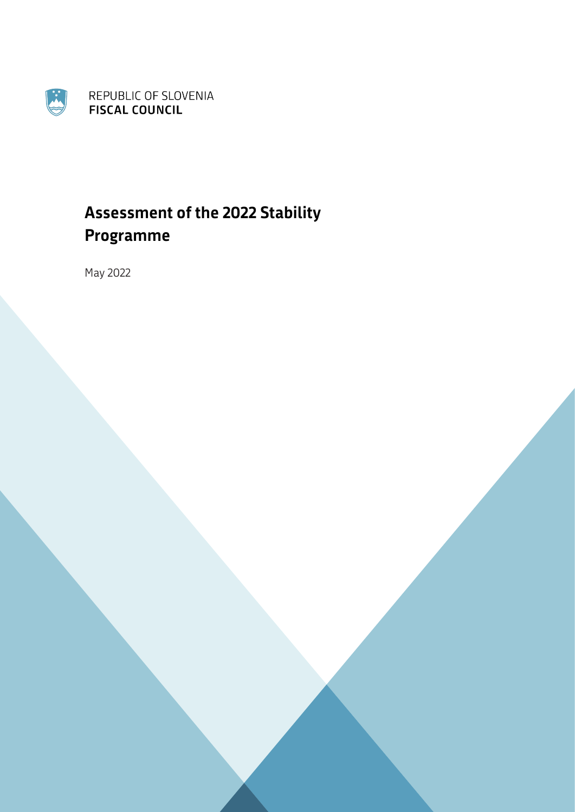

# **Assessment of the 2022 Stability Programme**

May 2022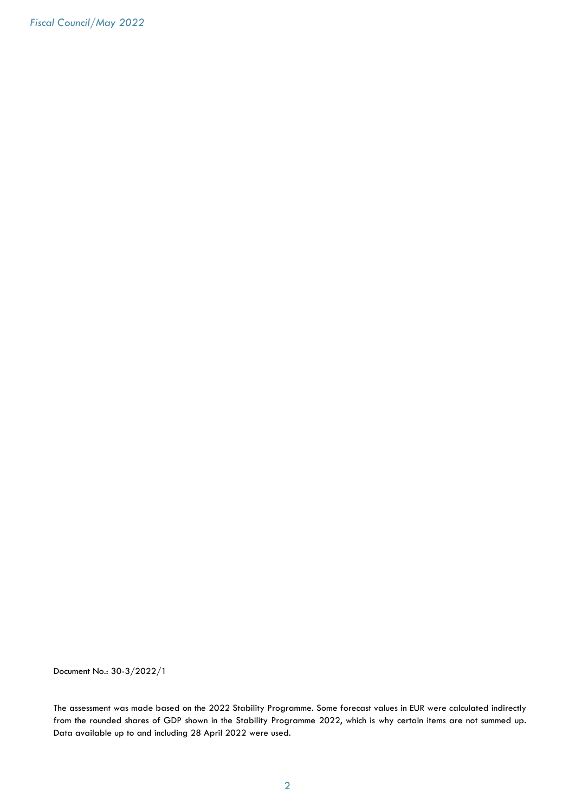Fiscal Council/May 2022

Document No.: 30-3/2022/1

The assessment was made based on the 2022 Stability Programme. Some forecast values in EUR were calculated indirectly from the rounded shares of GDP shown in the Stability Programme 2022, which is why certain items are not summed up. Data available up to and including 28 April 2022 were used.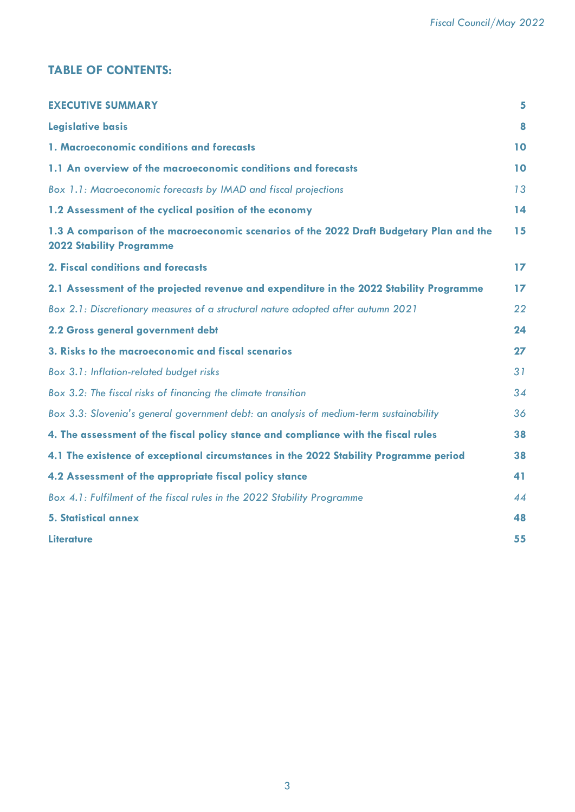# TABLE OF CONTENTS:

| <b>EXECUTIVE SUMMARY</b>                                                                                                    | 5               |
|-----------------------------------------------------------------------------------------------------------------------------|-----------------|
| <b>Legislative basis</b>                                                                                                    | 8               |
| 1. Macroeconomic conditions and forecasts                                                                                   | 10              |
| 1.1 An overview of the macroeconomic conditions and forecasts                                                               | 10              |
| Box 1.1: Macroeconomic forecasts by IMAD and fiscal projections                                                             | 13              |
| 1.2 Assessment of the cyclical position of the economy                                                                      | 14              |
| 1.3 A comparison of the macroeconomic scenarios of the 2022 Draft Budgetary Plan and the<br><b>2022 Stability Programme</b> | 15              |
| 2. Fiscal conditions and forecasts                                                                                          | 17              |
| 2.1 Assessment of the projected revenue and expenditure in the 2022 Stability Programme                                     | 17 <sup>2</sup> |
| Box 2.1: Discretionary measures of a structural nature adopted after autumn 2021                                            | 22              |
| 2.2 Gross general government debt                                                                                           | 24              |
| 3. Risks to the macroeconomic and fiscal scenarios                                                                          | 27              |
| Box 3.1: Inflation-related budget risks                                                                                     | 31              |
| Box 3.2: The fiscal risks of financing the climate transition                                                               | 34              |
| Box 3.3: Slovenia's general government debt: an analysis of medium-term sustainability                                      | 36              |
| 4. The assessment of the fiscal policy stance and compliance with the fiscal rules                                          | 38              |
| 4.1 The existence of exceptional circumstances in the 2022 Stability Programme period                                       | 38              |
| 4.2 Assessment of the appropriate fiscal policy stance                                                                      | 41              |
| Box 4.1: Fulfilment of the fiscal rules in the 2022 Stability Programme                                                     | 44              |
| <b>5. Statistical annex</b>                                                                                                 | 48              |
| <b>Literature</b>                                                                                                           | 55              |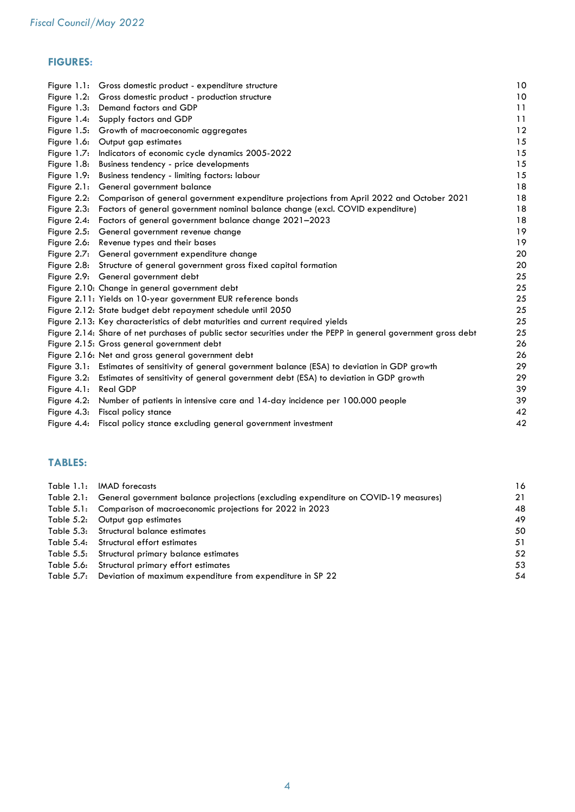# FIGURES:

|                | Figure 1.1: Gross domestic product - expenditure structure                                                      | 10 |
|----------------|-----------------------------------------------------------------------------------------------------------------|----|
| Figure $1.2$ : | Gross domestic product - production structure                                                                   | 10 |
| Figure 1.3:    | Demand factors and GDP                                                                                          | 11 |
|                | Figure 1.4: Supply factors and GDP                                                                              | 11 |
|                | Figure 1.5: Growth of macroeconomic aggregates                                                                  | 12 |
|                | Figure 1.6: Output gap estimates                                                                                | 15 |
| Figure 1.7:    | Indicators of economic cycle dynamics 2005-2022                                                                 | 15 |
| Figure $1.8$ : | Business tendency - price developments                                                                          | 15 |
| Figure $1.9:$  | Business tendency - limiting factors: labour                                                                    | 15 |
| Figure $2.1:$  | General government balance                                                                                      | 18 |
| Figure $2.2$ : | Comparison of general government expenditure projections from April 2022 and October 2021                       | 18 |
|                | Figure 2.3: Factors of general government nominal balance change (excl. COVID expenditure)                      | 18 |
| Figure 2.4:    | Factors of general government balance change 2021-2023                                                          | 18 |
|                | Figure 2.5: General government revenue change                                                                   | 19 |
|                | Figure 2.6: Revenue types and their bases                                                                       | 19 |
|                | Figure 2.7: General government expenditure change                                                               | 20 |
|                | Figure 2.8: Structure of general government gross fixed capital formation                                       | 20 |
|                | Figure 2.9: General government debt                                                                             | 25 |
|                | Figure 2.10: Change in general government debt                                                                  | 25 |
|                | Figure 2.11: Yields on 10-year government EUR reference bonds                                                   | 25 |
|                | Figure 2.12: State budget debt repayment schedule until 2050                                                    | 25 |
|                | Figure 2.13: Key characteristics of debt maturities and current required yields                                 | 25 |
|                | Figure 2.14: Share of net purchases of public sector securities under the PEPP in general government gross debt | 25 |
|                | Figure 2.15: Gross general government debt                                                                      | 26 |
|                | Figure 2.16: Net and gross general government debt                                                              | 26 |
|                | Figure 3.1: Estimates of sensitivity of general government balance (ESA) to deviation in GDP growth             | 29 |
| Figure 3.2:    | Estimates of sensitivity of general government debt (ESA) to deviation in GDP growth                            | 29 |
| Figure $4.1:$  | Real GDP                                                                                                        | 39 |
| Figure $4.2$ : | Number of patients in intensive care and 14-day incidence per 100.000 people                                    | 39 |
|                | Figure 4.3: Fiscal policy stance                                                                                | 42 |
| Figure $4.4:$  | Fiscal policy stance excluding general government investment                                                    | 42 |

# TABLES:

| Table 1.1: IMAD forecasts                                                                      | 16 |
|------------------------------------------------------------------------------------------------|----|
| Table 2.1: General government balance projections (excluding expenditure on COVID-19 measures) | 21 |
| Table 5.1: Comparison of macroeconomic projections for 2022 in 2023                            | 48 |
| Table 5.2: Output gap estimates                                                                | 49 |
| Table 5.3: Structural balance estimates                                                        | 50 |
| Table 5.4: Structural effort estimates                                                         | 51 |
| Table 5.5: Structural primary balance estimates                                                | 52 |
| Table 5.6: Structural primary effort estimates                                                 | 53 |
| Table 5.7: Deviation of maximum expenditure from expenditure in SP 22                          | 54 |
|                                                                                                |    |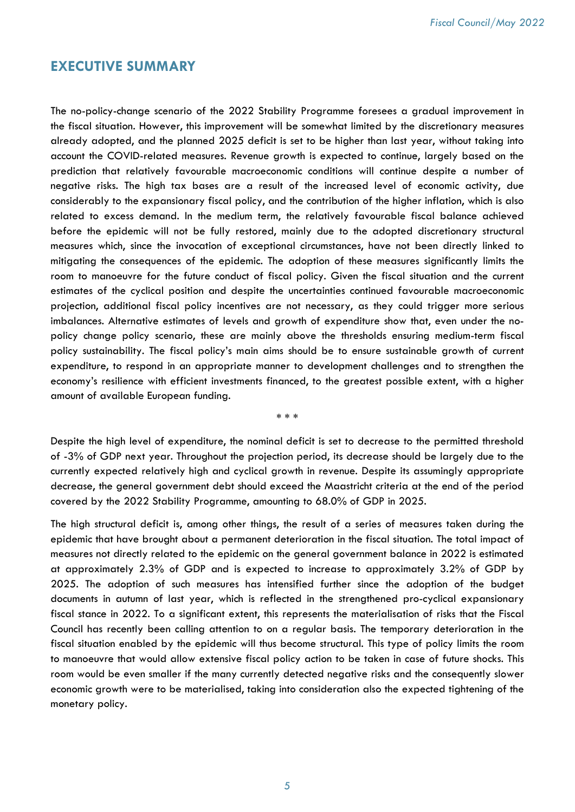# EXECUTIVE SUMMARY

The no-policy-change scenario of the 2022 Stability Programme foresees a gradual improvement in the fiscal situation. However, this improvement will be somewhat limited by the discretionary measures already adopted, and the planned 2025 deficit is set to be higher than last year, without taking into account the COVID-related measures. Revenue growth is expected to continue, largely based on the prediction that relatively favourable macroeconomic conditions will continue despite a number of negative risks. The high tax bases are a result of the increased level of economic activity, due considerably to the expansionary fiscal policy, and the contribution of the higher inflation, which is also related to excess demand. In the medium term, the relatively favourable fiscal balance achieved before the epidemic will not be fully restored, mainly due to the adopted discretionary structural measures which, since the invocation of exceptional circumstances, have not been directly linked to mitigating the consequences of the epidemic. The adoption of these measures significantly limits the room to manoeuvre for the future conduct of fiscal policy. Given the fiscal situation and the current estimates of the cyclical position and despite the uncertainties continued favourable macroeconomic projection, additional fiscal policy incentives are not necessary, as they could trigger more serious imbalances. Alternative estimates of levels and growth of expenditure show that, even under the nopolicy change policy scenario, these are mainly above the thresholds ensuring medium-term fiscal policy sustainability. The fiscal policy's main aims should be to ensure sustainable growth of current expenditure, to respond in an appropriate manner to development challenges and to strengthen the economy's resilience with efficient investments financed, to the greatest possible extent, with a higher amount of available European funding.

\* \* \*

Despite the high level of expenditure, the nominal deficit is set to decrease to the permitted threshold of -3% of GDP next year. Throughout the projection period, its decrease should be largely due to the currently expected relatively high and cyclical growth in revenue. Despite its assumingly appropriate decrease, the general government debt should exceed the Maastricht criteria at the end of the period covered by the 2022 Stability Programme, amounting to 68.0% of GDP in 2025.

The high structural deficit is, among other things, the result of a series of measures taken during the epidemic that have brought about a permanent deterioration in the fiscal situation. The total impact of measures not directly related to the epidemic on the general government balance in 2022 is estimated at approximately 2.3% of GDP and is expected to increase to approximately 3.2% of GDP by 2025. The adoption of such measures has intensified further since the adoption of the budget documents in autumn of last year, which is reflected in the strengthened pro-cyclical expansionary fiscal stance in 2022. To a significant extent, this represents the materialisation of risks that the Fiscal Council has recently been calling attention to on a regular basis. The temporary deterioration in the fiscal situation enabled by the epidemic will thus become structural. This type of policy limits the room to manoeuvre that would allow extensive fiscal policy action to be taken in case of future shocks. This room would be even smaller if the many currently detected negative risks and the consequently slower economic growth were to be materialised, taking into consideration also the expected tightening of the monetary policy.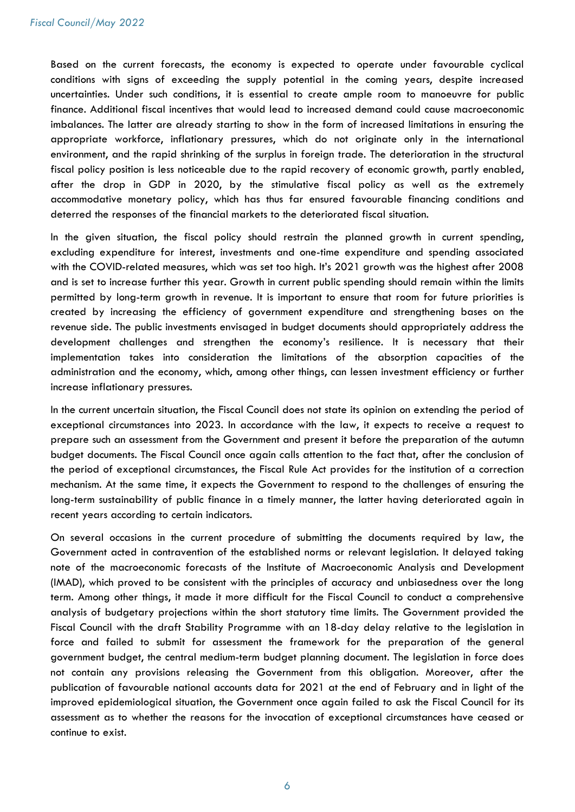Based on the current forecasts, the economy is expected to operate under favourable cyclical conditions with signs of exceeding the supply potential in the coming years, despite increased uncertainties. Under such conditions, it is essential to create ample room to manoeuvre for public finance. Additional fiscal incentives that would lead to increased demand could cause macroeconomic imbalances. The latter are already starting to show in the form of increased limitations in ensuring the appropriate workforce, inflationary pressures, which do not originate only in the international environment, and the rapid shrinking of the surplus in foreign trade. The deterioration in the structural fiscal policy position is less noticeable due to the rapid recovery of economic growth, partly enabled, after the drop in GDP in 2020, by the stimulative fiscal policy as well as the extremely accommodative monetary policy, which has thus far ensured favourable financing conditions and deterred the responses of the financial markets to the deteriorated fiscal situation.

In the given situation, the fiscal policy should restrain the planned growth in current spending, excluding expenditure for interest, investments and one-time expenditure and spending associated with the COVID-related measures, which was set too high. It's 2021 growth was the highest after 2008 and is set to increase further this year. Growth in current public spending should remain within the limits permitted by long-term growth in revenue. It is important to ensure that room for future priorities is created by increasing the efficiency of government expenditure and strengthening bases on the revenue side. The public investments envisaged in budget documents should appropriately address the development challenges and strengthen the economy's resilience. It is necessary that their implementation takes into consideration the limitations of the absorption capacities of the administration and the economy, which, among other things, can lessen investment efficiency or further increase inflationary pressures.

In the current uncertain situation, the Fiscal Council does not state its opinion on extending the period of exceptional circumstances into 2023. In accordance with the law, it expects to receive a request to prepare such an assessment from the Government and present it before the preparation of the autumn budget documents. The Fiscal Council once again calls attention to the fact that, after the conclusion of the period of exceptional circumstances, the Fiscal Rule Act provides for the institution of a correction mechanism. At the same time, it expects the Government to respond to the challenges of ensuring the long-term sustainability of public finance in a timely manner, the latter having deteriorated again in recent years according to certain indicators.

On several occasions in the current procedure of submitting the documents required by law, the Government acted in contravention of the established norms or relevant legislation. It delayed taking note of the macroeconomic forecasts of the Institute of Macroeconomic Analysis and Development (IMAD), which proved to be consistent with the principles of accuracy and unbiasedness over the long term. Among other things, it made it more difficult for the Fiscal Council to conduct a comprehensive analysis of budgetary projections within the short statutory time limits. The Government provided the Fiscal Council with the draft Stability Programme with an 18-day delay relative to the legislation in force and failed to submit for assessment the framework for the preparation of the general government budget, the central medium-term budget planning document. The legislation in force does not contain any provisions releasing the Government from this obligation. Moreover, after the publication of favourable national accounts data for 2021 at the end of February and in light of the improved epidemiological situation, the Government once again failed to ask the Fiscal Council for its assessment as to whether the reasons for the invocation of exceptional circumstances have ceased or continue to exist.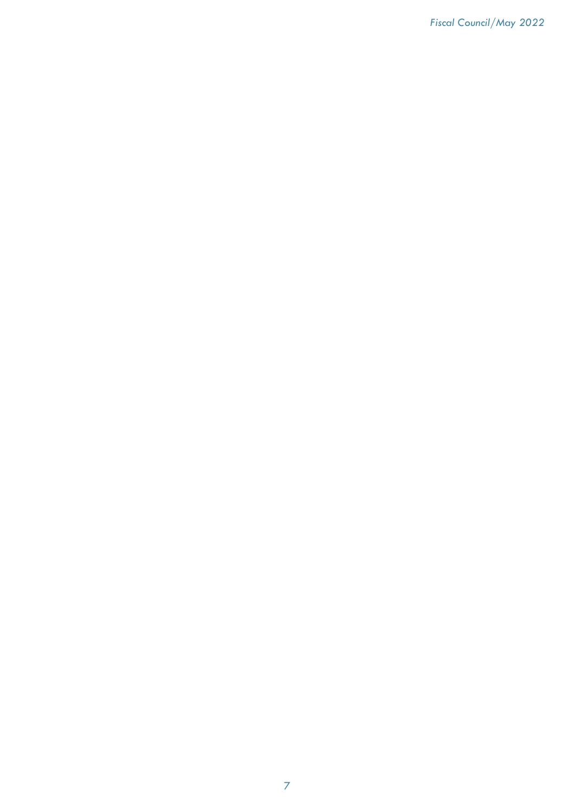Fiscal Council/May 2022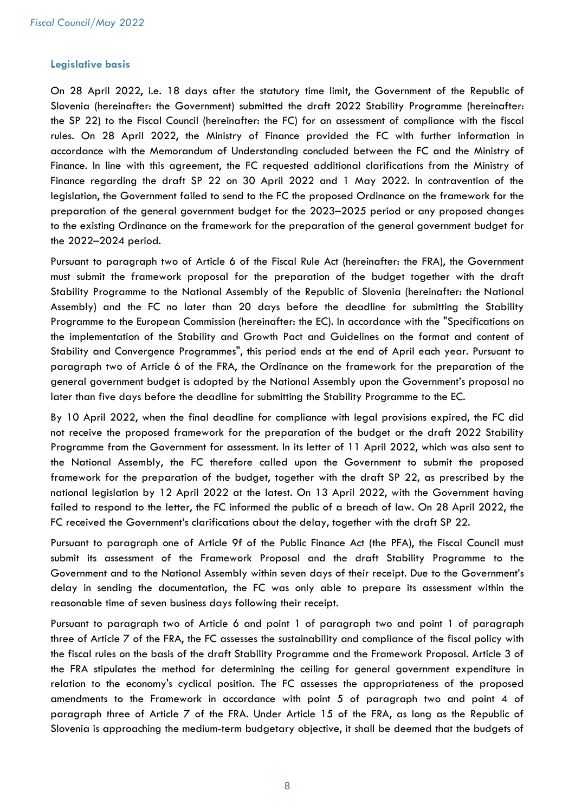### Legislative basis

On 28 April 2022, i.e. 18 days after the statutory time limit, the Government of the Republic of Slovenia (hereinafter: the Government) submitted the draft 2022 Stability Programme (hereinafter: the SP 22) to the Fiscal Council (hereinafter: the FC) for an assessment of compliance with the fiscal rules. On 28 April 2022, the Ministry of Finance provided the FC with further information in accordance with the Memorandum of Understanding concluded between the FC and the Ministry of Finance. In line with this agreement, the FC requested additional clarifications from the Ministry of Finance regarding the draft SP 22 on 30 April 2022 and 1 May 2022. In contravention of the legislation, the Government failed to send to the FC the proposed Ordinance on the framework for the preparation of the general government budget for the 2023–2025 period or any proposed changes to the existing Ordinance on the framework for the preparation of the general government budget for the 2022–2024 period.

Pursuant to paragraph two of Article 6 of the Fiscal Rule Act (hereinafter: the FRA), the Government must submit the framework proposal for the preparation of the budget together with the draft Stability Programme to the National Assembly of the Republic of Slovenia (hereinafter: the National Assembly) and the FC no later than 20 days before the deadline for submitting the Stability Programme to the European Commission (hereinafter: the EC). In accordance with the "Specifications on the implementation of the Stability and Growth Pact and Guidelines on the format and content of Stability and Convergence Programmes", this period ends at the end of April each year. Pursuant to paragraph two of Article 6 of the FRA, the Ordinance on the framework for the preparation of the general government budget is adopted by the National Assembly upon the Government's proposal no later than five days before the deadline for submitting the Stability Programme to the EC.

By 10 April 2022, when the final deadline for compliance with legal provisions expired, the FC did not receive the proposed framework for the preparation of the budget or the draft 2022 Stability Programme from the Government for assessment. In its letter of 11 April 2022, which was also sent to the National Assembly, the FC therefore called upon the Government to submit the proposed framework for the preparation of the budget, together with the draft SP 22, as prescribed by the national legislation by 12 April 2022 at the latest. On 13 April 2022, with the Government having failed to respond to the letter, the FC informed the public of a breach of law. On 28 April 2022, the FC received the Government's clarifications about the delay, together with the draft SP 22.

Pursuant to paragraph one of Article 9f of the Public Finance Act (the PFA), the Fiscal Council must submit its assessment of the Framework Proposal and the draft Stability Programme to the Government and to the National Assembly within seven days of their receipt. Due to the Government's delay in sending the documentation, the FC was only able to prepare its assessment within the reasonable time of seven business days following their receipt.

Pursuant to paragraph two of Article 6 and point 1 of paragraph two and point 1 of paragraph three of Article 7 of the FRA, the FC assesses the sustainability and compliance of the fiscal policy with the fiscal rules on the basis of the draft Stability Programme and the Framework Proposal. Article 3 of the FRA stipulates the method for determining the ceiling for general government expenditure in relation to the economy's cyclical position. The FC assesses the appropriateness of the proposed amendments to the Framework in accordance with point 5 of paragraph two and point 4 of paragraph three of Article 7 of the FRA. Under Article 15 of the FRA, as long as the Republic of Slovenia is approaching the medium-term budgetary objective, it shall be deemed that the budgets of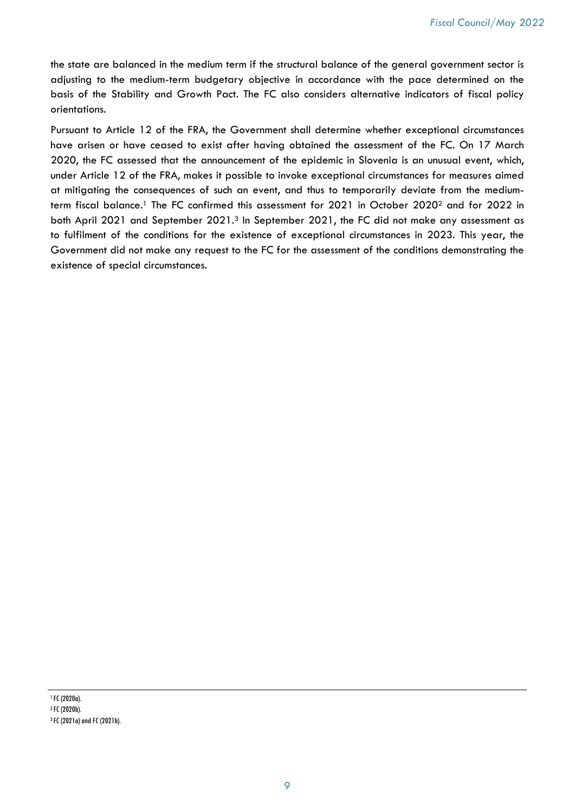the state are balanced in the medium term if the structural balance of the general government sector is adjusting to the medium-term budgetary objective in accordance with the pace determined on the basis of the Stability and Growth Pact. The FC also considers alternative indicators of fiscal policy orientations.

Pursuant to Article 12 of the FRA, the Government shall determine whether exceptional circumstances have arisen or have ceased to exist after having obtained the assessment of the FC. On 17 March 2020, the FC assessed that the announcement of the epidemic in Slovenia is an unusual event, which, under Article 12 of the FRA, makes it possible to invoke exceptional circumstances for measures aimed at mitigating the consequences of such an event, and thus to temporarily deviate from the mediumterm fiscal balance.<sup>1</sup> The FC confirmed this assessment for 2021 in October 2020<sup>2</sup> and for 2022 in both April 2021 and September 2021.<sup>3</sup> In September 2021, the FC did not make any assessment as to fulfilment of the conditions for the existence of exceptional circumstances in 2023. This year, the Government did not make any request to the FC for the assessment of the conditions demonstrating the existence of special circumstances.

<sup>1</sup>FC (2020a).

<sup>2</sup>FC (2020b).

<sup>3</sup> FC (2021a) and FC (2021b).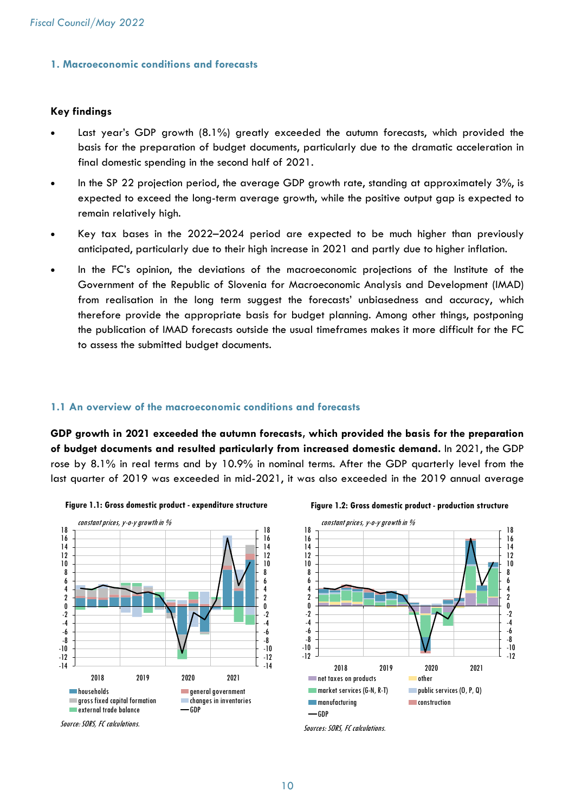### 1. Macroeconomic conditions and forecasts

### Key findings

- Last year's GDP growth (8.1%) greatly exceeded the autumn forecasts, which provided the basis for the preparation of budget documents, particularly due to the dramatic acceleration in final domestic spending in the second half of 2021.
- · In the SP 22 projection period, the average GDP growth rate, standing at approximately 3%, is expected to exceed the long-term average growth, while the positive output gap is expected to remain relatively high.
- · Key tax bases in the 2022–2024 period are expected to be much higher than previously anticipated, particularly due to their high increase in 2021 and partly due to higher inflation.
- · In the FC's opinion, the deviations of the macroeconomic projections of the Institute of the Government of the Republic of Slovenia for Macroeconomic Analysis and Development (IMAD) from realisation in the long term suggest the forecasts' unbiasedness and accuracy, which therefore provide the appropriate basis for budget planning. Among other things, postponing the publication of IMAD forecasts outside the usual timeframes makes it more difficult for the FC to assess the submitted budget documents.

### 1.1 An overview of the macroeconomic conditions and forecasts

GDP growth in 2021 exceeded the autumn forecasts, which provided the basis for the preparation of budget documents and resulted particularly from increased domestic demand. In 2021, the GDP rose by 8.1% in real terms and by 10.9% in nominal terms. After the GDP quarterly level from the last quarter of 2019 was exceeded in mid-2021, it was also exceeded in the 2019 annual average







Sources: SORS, FC calculations.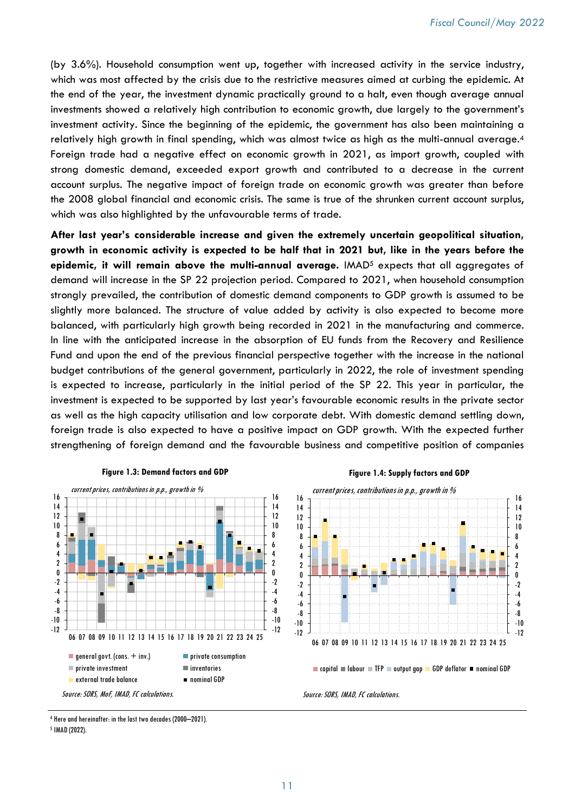(by 3.6%). Household consumption went up, together with increased activity in the service industry, which was most affected by the crisis due to the restrictive measures aimed at curbing the epidemic. At the end of the year, the investment dynamic practically ground to a halt, even though average annual investments showed a relatively high contribution to economic growth, due largely to the government's investment activity. Since the beginning of the epidemic, the government has also been maintaining a relatively high growth in final spending, which was almost twice as high as the multi-annual average.<sup>4</sup> Foreign trade had a negative effect on economic growth in 2021, as import growth, coupled with strong domestic demand, exceeded export growth and contributed to a decrease in the current account surplus. The negative impact of foreign trade on economic growth was greater than before the 2008 global financial and economic crisis. The same is true of the shrunken current account surplus, which was also highlighted by the unfavourable terms of trade.

After last year's considerable increase and given the extremely uncertain geopolitical situation, growth in economic activity is expected to be half that in 2021 but, like in the years before the epidemic, it will remain above the multi-annual average.  $IMAD<sup>5</sup>$  expects that all aggregates of demand will increase in the SP 22 projection period. Compared to 2021, when household consumption strongly prevailed, the contribution of domestic demand components to GDP growth is assumed to be slightly more balanced. The structure of value added by activity is also expected to become more balanced, with particularly high growth being recorded in 2021 in the manufacturing and commerce. In line with the anticipated increase in the absorption of EU funds from the Recovery and Resilience Fund and upon the end of the previous financial perspective together with the increase in the national budget contributions of the general government, particularly in 2022, the role of investment spending is expected to increase, particularly in the initial period of the SP 22. This year in particular, the investment is expected to be supported by last year's favourable economic results in the private sector as well as the high capacity utilisation and low corporate debt. With domestic demand settling down, foreign trade is also expected to have a positive impact on GDP growth. With the expected further strengthening of foreign demand and the favourable business and competitive position of companies



### Figure 1.4: Supply factors and GDP

5 IMAD (2022).

<sup>4</sup> Here and hereinafter: in the last two decades (2000–2021).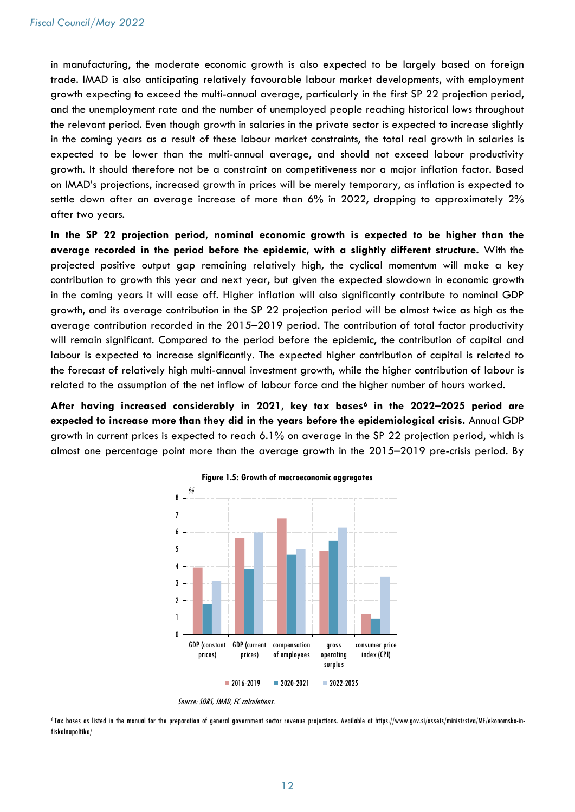in manufacturing, the moderate economic growth is also expected to be largely based on foreign trade. IMAD is also anticipating relatively favourable labour market developments, with employment growth expecting to exceed the multi-annual average, particularly in the first SP 22 projection period, and the unemployment rate and the number of unemployed people reaching historical lows throughout the relevant period. Even though growth in salaries in the private sector is expected to increase slightly in the coming years as a result of these labour market constraints, the total real growth in salaries is expected to be lower than the multi-annual average, and should not exceed labour productivity growth. It should therefore not be a constraint on competitiveness nor a major inflation factor. Based on IMAD's projections, increased growth in prices will be merely temporary, as inflation is expected to settle down after an average increase of more than 6% in 2022, dropping to approximately 2% after two years.

In the SP 22 projection period, nominal economic growth is expected to be higher than the average recorded in the period before the epidemic, with a slightly different structure. With the projected positive output gap remaining relatively high, the cyclical momentum will make a key contribution to growth this year and next year, but given the expected slowdown in economic growth in the coming years it will ease off. Higher inflation will also significantly contribute to nominal GDP growth, and its average contribution in the SP 22 projection period will be almost twice as high as the average contribution recorded in the 2015–2019 period. The contribution of total factor productivity will remain significant. Compared to the period before the epidemic, the contribution of capital and labour is expected to increase significantly. The expected higher contribution of capital is related to the forecast of relatively high multi-annual investment growth, while the higher contribution of labour is related to the assumption of the net inflow of labour force and the higher number of hours worked.

After having increased considerably in 2021, key tax bases<sup>6</sup> in the 2022–2025 period are expected to increase more than they did in the years before the epidemiological crisis. Annual GDP growth in current prices is expected to reach 6.1% on average in the SP 22 projection period, which is almost one percentage point more than the average growth in the 2015–2019 pre-crisis period. By



6 Tax bases as listed in the manual for the preparation of general government sector revenue projections. Available at https://www.gov.si/assets/ministrstva/MF/ekonomska-infiskalnapoltika/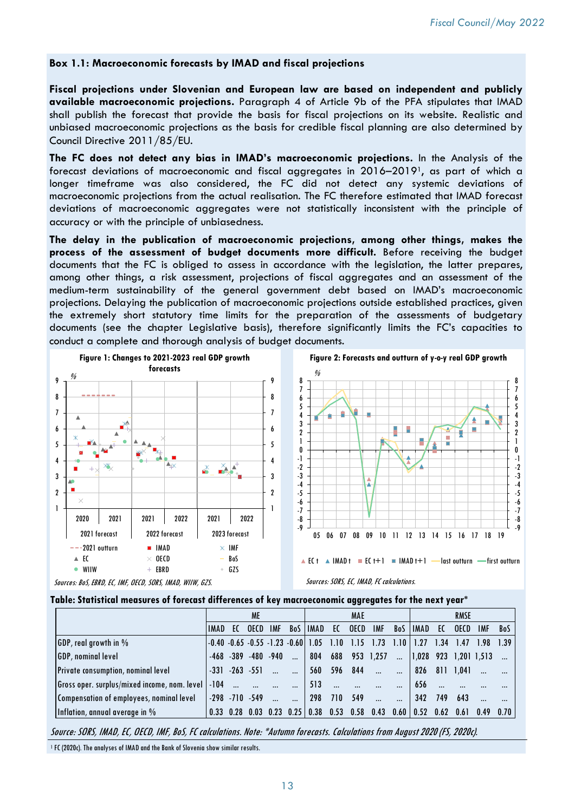### Box 1.1: Macroeconomic forecasts by IMAD and fiscal projections

Fiscal projections under Slovenian and European law are based on independent and publicly available macroeconomic projections. Paragraph 4 of Article 9b of the PFA stipulates that IMAD shall publish the forecast that provide the basis for fiscal projections on its website. Realistic and unbiased macroeconomic projections as the basis for credible fiscal planning are also determined by Council Directive 2011/85/EU.

The FC does not detect any bias in IMAD's macroeconomic projections. In the Analysis of the forecast deviations of macroeconomic and fiscal aggregates in 2016–20191, as part of which a longer timeframe was also considered, the FC did not detect any systemic deviations of macroeconomic projections from the actual realisation. The FC therefore estimated that IMAD forecast deviations of macroeconomic aggregates were not statistically inconsistent with the principle of accuracy or with the principle of unbiasedness.

The delay in the publication of macroeconomic projections, among other things, makes the process of the assessment of budget documents more difficult. Before receiving the budget documents that the FC is obliged to assess in accordance with the legislation, the latter prepares, among other things, a risk assessment, projections of fiscal aggregates and an assessment of the medium-term sustainability of the general government debt based on IMAD's macroeconomic projections. Delaying the publication of macroeconomic projections outside established practices, given the extremely short statutory time limits for the preparation of the assessments of budgetary documents (see the chapter Legislative basis), therefore significantly limits the FC's capacities to conduct a complete and thorough analysis of budget documents.





|                                                     |                                 |    | <b>ME</b> |            |            |                             |      | <b>MAE</b>       |       |          |                                             |      | <b>RMSE</b> |                 |             |
|-----------------------------------------------------|---------------------------------|----|-----------|------------|------------|-----------------------------|------|------------------|-------|----------|---------------------------------------------|------|-------------|-----------------|-------------|
|                                                     | <b>IMAD</b>                     | FC | NFC D     | <b>IMF</b> | <b>Bos</b> | <b>IIMAD</b>                | EC   | <b>OECD</b>      | IMF   | BoS      |                                             | EC   | OECD.       | 1MF             | BoS         |
| $ GDP$ , real growth in $\%$                        | $-0.40 -0.65 -0.55 -1.23 -0.60$ |    |           |            |            | 1.05                        | 1.10 | 1.15             | 1.73  | 1.10     | 1.27                                        | 1.34 | <b>1.47</b> | <b>1.98</b>     | 1.39        |
| <b>GDP, nominal level</b>                           | $-468 - 389$                    |    | -480      | -940       |            | 804                         | 688  | 953              | 1,257 |          | 1,028                                       | 923  |             | $1,201$ $1,513$ |             |
| Private consumption, nominal level                  | $-331 - 263 - 551$              |    |           |            |            | 560                         | 596  | 844              |       |          | 826                                         | 811  | 1.041       |                 | $\cdots$    |
| Gross oper. surplus/mixed income, nom. level   -104 |                                 |    |           |            |            | 513                         |      |                  |       | $\cdots$ | 656                                         |      |             |                 |             |
| Compensation of employees, nominal level            | 1-298 -710 -549                 |    |           |            |            | 298                         | 710  | 549              |       |          | 342                                         | 749  | 643         |                 |             |
| Inflation, annual average in %                      | $0.33$ 0.28 0.03                |    |           |            |            | $0.23 \quad 0.25 \mid 0.38$ |      | $0.53$ 0.58 0.43 |       | 0.60     | $\begin{bmatrix} 0.52 & 0.62 \end{bmatrix}$ |      | 0.61        |                 | $0.49$ 0.70 |

Source: SORS, IMAD, EC, OECD, IMF, BoS, FC calculations. Note: \*Autumn forecasts. Calculations from August 2020 (FS, 2020c).

<sup>1</sup> FC (2020c). The analyses of IMAD and the Bank of Slovenia show similar results.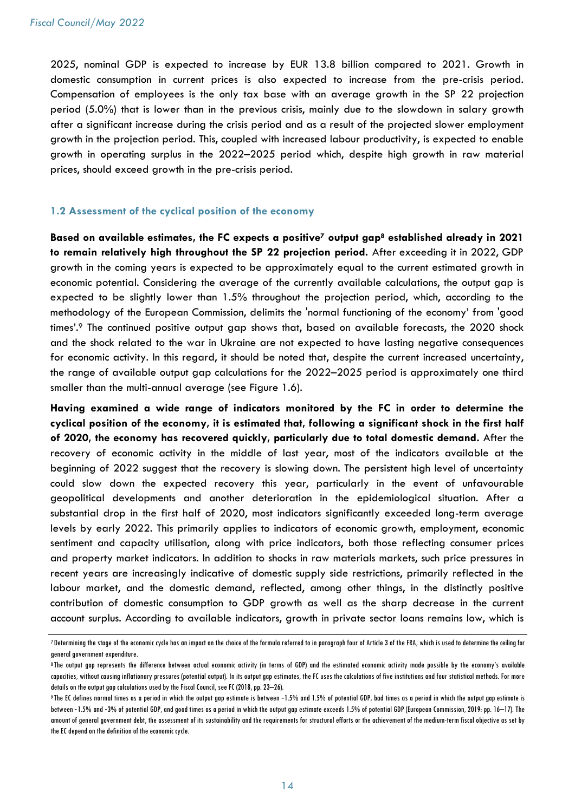2025, nominal GDP is expected to increase by EUR 13.8 billion compared to 2021. Growth in domestic consumption in current prices is also expected to increase from the pre-crisis period. Compensation of employees is the only tax base with an average growth in the SP 22 projection period (5.0%) that is lower than in the previous crisis, mainly due to the slowdown in salary growth after a significant increase during the crisis period and as a result of the projected slower employment growth in the projection period. This, coupled with increased labour productivity, is expected to enable growth in operating surplus in the 2022–2025 period which, despite high growth in raw material prices, should exceed growth in the pre-crisis period.

### 1.2 Assessment of the cyclical position of the economy

Based on available estimates, the FC expects a positive<sup>7</sup> output gap<sup>8</sup> established already in 2021 to remain relatively high throughout the SP 22 projection period. After exceeding it in 2022, GDP growth in the coming years is expected to be approximately equal to the current estimated growth in economic potential. Considering the average of the currently available calculations, the output gap is expected to be slightly lower than 1.5% throughout the projection period, which, according to the methodology of the European Commission, delimits the 'normal functioning of the economy' from 'good times'.<sup>9</sup> The continued positive output gap shows that, based on available forecasts, the 2020 shock and the shock related to the war in Ukraine are not expected to have lasting negative consequences for economic activity. In this regard, it should be noted that, despite the current increased uncertainty, the range of available output gap calculations for the 2022–2025 period is approximately one third smaller than the multi-annual average (see Figure 1.6).

Having examined a wide range of indicators monitored by the FC in order to determine the cyclical position of the economy, it is estimated that, following a significant shock in the first half of 2020, the economy has recovered quickly, particularly due to total domestic demand. After the recovery of economic activity in the middle of last year, most of the indicators available at the beginning of 2022 suggest that the recovery is slowing down. The persistent high level of uncertainty could slow down the expected recovery this year, particularly in the event of unfavourable geopolitical developments and another deterioration in the epidemiological situation. After a substantial drop in the first half of 2020, most indicators significantly exceeded long-term average levels by early 2022. This primarily applies to indicators of economic growth, employment, economic sentiment and capacity utilisation, along with price indicators, both those reflecting consumer prices and property market indicators. In addition to shocks in raw materials markets, such price pressures in recent years are increasingly indicative of domestic supply side restrictions, primarily reflected in the labour market, and the domestic demand, reflected, among other things, in the distinctly positive contribution of domestic consumption to GDP growth as well as the sharp decrease in the current account surplus. According to available indicators, growth in private sector loans remains low, which is

<sup>7</sup>Determining the stage of the economic cycle has an impact on the choice of the formula referred to in paragraph four of Article 3 of the FRA, which is used to determine the ceiling for general government expenditure.

<sup>8</sup>The output gap represents the difference between actual economic activity (in terms of GDP) and the estimated economic activity made possible by the economy's available capacities, without causing inflationary pressures (potential output). In its output gap estimates, the FC uses the calculations of five institutions and four statistical methods. For more details on the output gap calculations used by the Fiscal Council, see FC (2018, pp. 23–26).

<sup>9</sup>The EC defines normal times as a period in which the output gap estimate is between ‑1.5% and 1.5% of potential GDP, bad times as a period in which the output gap estimate is between ‑1.5% and ‑3% of potential GDP, and good times as a period in which the output gap estimate exceeds 1.5% of potential GDP (European Commission, 2019: pp. 16–17). The amount of general government debt, the assessment of its sustainability and the requirements for structural efforts or the achievement of the medium-term fiscal objective as set by the EC depend on the definition of the economic cycle.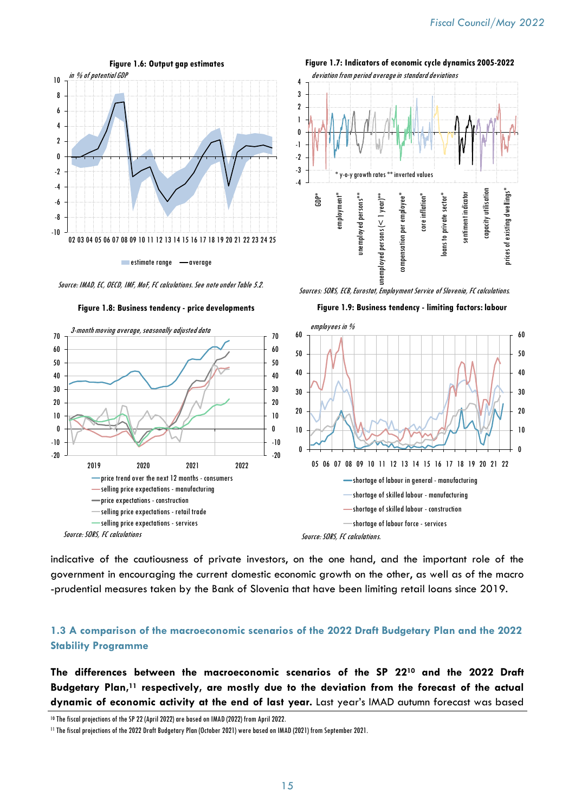

Source: IMAD, EC, OECD, IMF, MoF, FC calculations. See note under Table 5.2.





Sources: SORS, ECB, Eurostat, Employment Service of Slovenia, FC calculations.





indicative of the cautiousness of private investors, on the one hand, and the important role of the government in encouraging the current domestic economic growth on the other, as well as of the macro -prudential measures taken by the Bank of Slovenia that have been limiting retail loans since 2019.

# 1.3 A comparison of the macroeconomic scenarios of the 2022 Draft Budgetary Plan and the 2022 Stability Programme

The differences between the macroeconomic scenarios of the SP 22<sup>10</sup> and the 2022 Draft Budgetary Plan,<sup>11</sup> respectively, are mostly due to the deviation from the forecast of the actual dynamic of economic activity at the end of last year. Last year's IMAD autumn forecast was based

<sup>10</sup> The fiscal projections of the SP 22 (April 2022) are based on IMAD (2022) from April 2022.

<sup>11</sup> The fiscal projections of the 2022 Draft Budgetary Plan (October 2021) were based on IMAD (2021) from September 2021.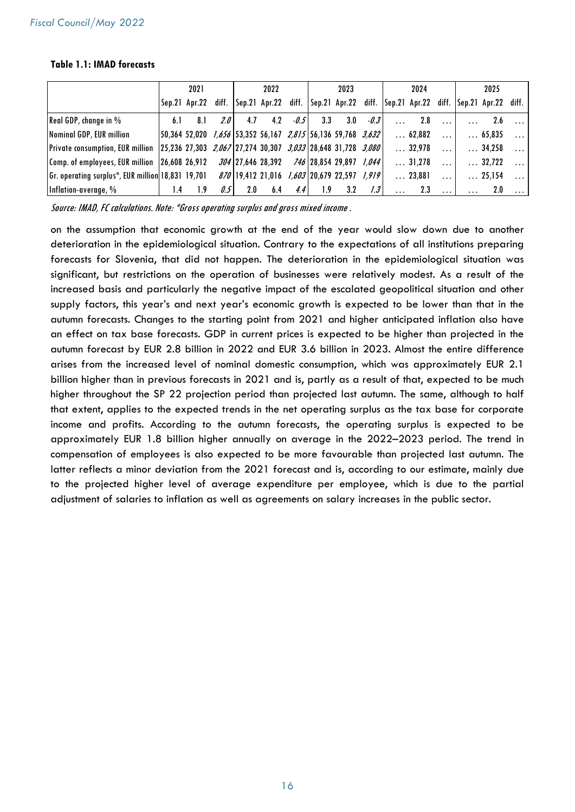### Table 1.1: IMAD forecasts

|                                                                                                |     | 2021                                                            |                 |     | 2022                                                          |                  |     | 2023                    |                  | 2024            |          |          | 2025                                                                                                |            |
|------------------------------------------------------------------------------------------------|-----|-----------------------------------------------------------------|-----------------|-----|---------------------------------------------------------------|------------------|-----|-------------------------|------------------|-----------------|----------|----------|-----------------------------------------------------------------------------------------------------|------------|
|                                                                                                |     |                                                                 |                 |     |                                                               |                  |     |                         |                  |                 |          |          | Sep.21 Apr.22 diff. Sep.21 Apr.22 diff. Sep.21 Apr.22 diff. Sep.21 Apr.22 diff. Sep.21 Apr.22 diff. |            |
| Real GDP, change in %                                                                          | 6.1 | 8.1                                                             | 20 <sup>1</sup> | 4.7 | 4.2                                                           | $-0.5$           | 3.3 | 3.0                     | $-0.3$           | 2.8             |          | $\cdots$ | 2.6                                                                                                 |            |
| Nominal GDP, EUR million                                                                       |     | 50,364 52,020 7,656   53,352 56,167 2,815   56,136 59,768 3,632 |                 |     |                                                               |                  |     |                         |                  | $\ldots 62,882$ |          |          | $\ldots 65,835$                                                                                     |            |
| Private consumption, EUR million   25,236 27,303 2,067 27,274 30,307 3,033 28,648 31,728 3,080 |     |                                                                 |                 |     |                                                               |                  |     |                         |                  | $\ldots$ 32,978 |          |          | $\dots 34.258$                                                                                      | $\dddotsc$ |
| Comp. of employees, EUR million 26,608 26,912                                                  |     |                                                                 |                 |     | <i>304</i> 27,646 28,392                                      |                  |     | 746 28,854 29,897 7,044 |                  | $\ldots$ 31.278 | $\cdots$ |          | $\ldots 32.722$                                                                                     | $\cdots$   |
| Gr. operating surplus*, EUR million 18,831 19,701                                              |     |                                                                 |                 |     | $870$  19,412 21,016 <i>1,603</i>  20,679 22,597 <i>1,919</i> |                  |     |                         |                  | $\ldots 23.881$ | $\cdots$ |          | $\ldots 25.154$                                                                                     | $\ldots$   |
| Inflation-average, %                                                                           | 1.4 | 1.9                                                             | 0.51            | 2.0 | 6.4                                                           | 4.4 <sub>1</sub> | 1.9 | 3.2                     | 1.3 <sub>1</sub> | 2.3             | $\cdots$ | $\cdots$ | 2.0                                                                                                 |            |

Source: IMAD, FC calculations. Note: \*Gross operating surplus and gross mixed income .

on the assumption that economic growth at the end of the year would slow down due to another deterioration in the epidemiological situation. Contrary to the expectations of all institutions preparing forecasts for Slovenia, that did not happen. The deterioration in the epidemiological situation was significant, but restrictions on the operation of businesses were relatively modest. As a result of the increased basis and particularly the negative impact of the escalated geopolitical situation and other supply factors, this year's and next year's economic growth is expected to be lower than that in the autumn forecasts. Changes to the starting point from 2021 and higher anticipated inflation also have an effect on tax base forecasts. GDP in current prices is expected to be higher than projected in the autumn forecast by EUR 2.8 billion in 2022 and EUR 3.6 billion in 2023. Almost the entire difference arises from the increased level of nominal domestic consumption, which was approximately EUR 2.1 billion higher than in previous forecasts in 2021 and is, partly as a result of that, expected to be much higher throughout the SP 22 projection period than projected last autumn. The same, although to half that extent, applies to the expected trends in the net operating surplus as the tax base for corporate income and profits. According to the autumn forecasts, the operating surplus is expected to be approximately EUR 1.8 billion higher annually on average in the 2022–2023 period. The trend in compensation of employees is also expected to be more favourable than projected last autumn. The latter reflects a minor deviation from the 2021 forecast and is, according to our estimate, mainly due to the projected higher level of average expenditure per employee, which is due to the partial adjustment of salaries to inflation as well as agreements on salary increases in the public sector.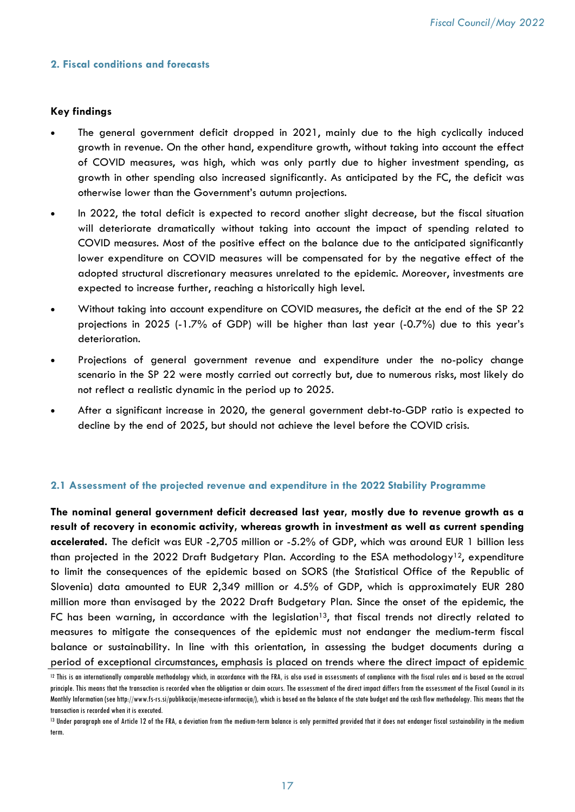### 2. Fiscal conditions and forecasts

### Key findings

- · The general government deficit dropped in 2021, mainly due to the high cyclically induced growth in revenue. On the other hand, expenditure growth, without taking into account the effect of COVID measures, was high, which was only partly due to higher investment spending, as growth in other spending also increased significantly. As anticipated by the FC, the deficit was otherwise lower than the Government's autumn projections.
- In 2022, the total deficit is expected to record another slight decrease, but the fiscal situation will deteriorate dramatically without taking into account the impact of spending related to COVID measures. Most of the positive effect on the balance due to the anticipated significantly lower expenditure on COVID measures will be compensated for by the negative effect of the adopted structural discretionary measures unrelated to the epidemic. Moreover, investments are expected to increase further, reaching a historically high level.
- · Without taking into account expenditure on COVID measures, the deficit at the end of the SP 22 projections in 2025 (-1.7% of GDP) will be higher than last year (-0.7%) due to this year's deterioration.
- · Projections of general government revenue and expenditure under the no-policy change scenario in the SP 22 were mostly carried out correctly but, due to numerous risks, most likely do not reflect a realistic dynamic in the period up to 2025.
- After a significant increase in 2020, the general government debt-to-GDP ratio is expected to decline by the end of 2025, but should not achieve the level before the COVID crisis.

### 2.1 Assessment of the projected revenue and expenditure in the 2022 Stability Programme

The nominal general government deficit decreased last year, mostly due to revenue growth as a result of recovery in economic activity, whereas growth in investment as well as current spending accelerated. The deficit was EUR -2,705 million or -5.2% of GDP, which was around EUR 1 billion less than projected in the 2022 Draft Budgetary Plan. According to the ESA methodology<sup>12</sup>, expenditure to limit the consequences of the epidemic based on SORS (the Statistical Office of the Republic of Slovenia) data amounted to EUR 2,349 million or 4.5% of GDP, which is approximately EUR 280 million more than envisaged by the 2022 Draft Budgetary Plan. Since the onset of the epidemic, the FC has been warning, in accordance with the legislation<sup>13</sup>, that fiscal trends not directly related to measures to mitigate the consequences of the epidemic must not endanger the medium-term fiscal balance or sustainability. In line with this orientation, in assessing the budget documents during a period of exceptional circumstances, emphasis is placed on trends where the direct impact of epidemic

<sup>&</sup>lt;sup>12</sup> This is an internationally comparable methodology which, in accordance with the FRA, is also used in assessments of compliance with the fiscal rules and is based on the accrual principle. This means that the transaction is recorded when the obligation or claim occurs. The assessment of the direct impact differs from the assessment of the Fiscal Council in its Monthly Information (see http://www.fs-rs.si/publikacije/mesecna-informacija/), which is based on the balance of the state budget and the cash flow methodology. This means that the transaction is recorded when it is executed.

<sup>&</sup>lt;sup>13</sup> Under paragraph one of Article 12 of the FRA, a deviation from the medium-term balance is only permitted provided that it does not endanger fiscal sustainability in the medium term.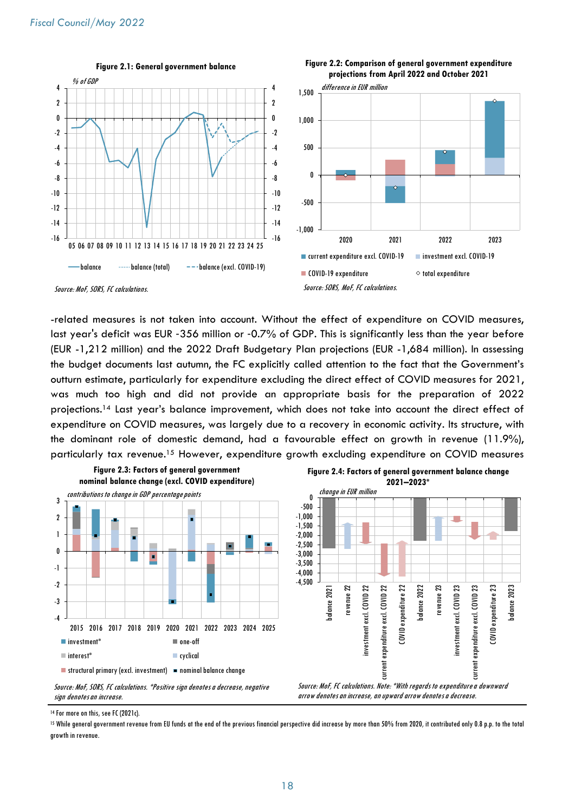

Figure 2.1: General government balance

-related measures is not taken into account. Without the effect of expenditure on COVID measures, last year's deficit was EUR -356 million or -0.7% of GDP. This is significantly less than the year before (EUR -1,212 million) and the 2022 Draft Budgetary Plan projections (EUR -1,684 million). In assessing the budget documents last autumn, the FC explicitly called attention to the fact that the Government's outturn estimate, particularly for expenditure excluding the direct effect of COVID measures for 2021, was much too high and did not provide an appropriate basis for the preparation of 2022 projections.<sup>14</sup> Last year's balance improvement, which does not take into account the direct effect of expenditure on COVID measures, was largely due to a recovery in economic activity. Its structure, with the dominant role of domestic demand, had a favourable effect on growth in revenue (11.9%), particularly tax revenue.<sup>15</sup> However, expenditure growth excluding expenditure on COVID measures



14 For more on this, see FC (2021c).

<sup>15</sup> While general government revenue from EU funds at the end of the previous financial perspective did increase by more than 50% from 2020, it contributed only 0.8 p.p. to the total growth in revenue.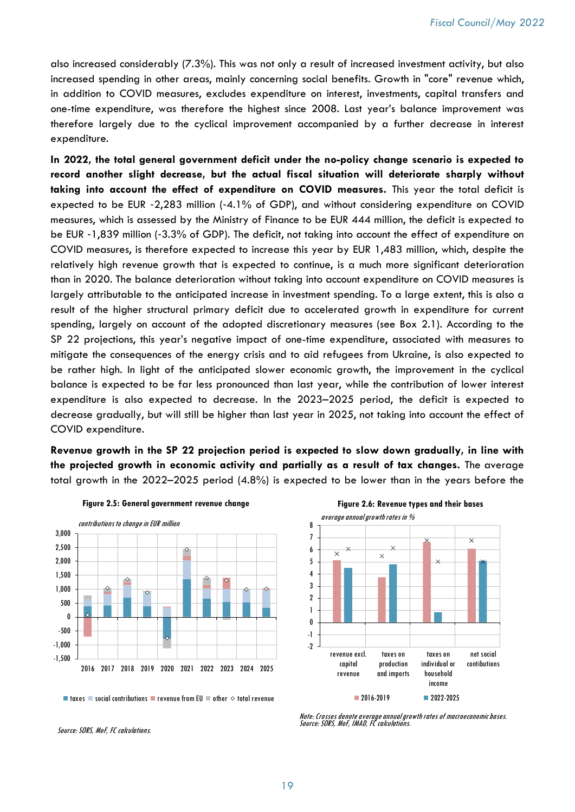also increased considerably (7.3%). This was not only a result of increased investment activity, but also increased spending in other areas, mainly concerning social benefits. Growth in "core" revenue which, in addition to COVID measures, excludes expenditure on interest, investments, capital transfers and one-time expenditure, was therefore the highest since 2008. Last year's balance improvement was therefore largely due to the cyclical improvement accompanied by a further decrease in interest expenditure.

In 2022, the total general government deficit under the no-policy change scenario is expected to record another slight decrease, but the actual fiscal situation will deteriorate sharply without taking into account the effect of expenditure on COVID measures. This year the total deficit is expected to be EUR -2,283 million (-4.1% of GDP), and without considering expenditure on COVID measures, which is assessed by the Ministry of Finance to be EUR 444 million, the deficit is expected to be EUR -1,839 million (-3.3% of GDP). The deficit, not taking into account the effect of expenditure on COVID measures, is therefore expected to increase this year by EUR 1,483 million, which, despite the relatively high revenue growth that is expected to continue, is a much more significant deterioration than in 2020. The balance deterioration without taking into account expenditure on COVID measures is largely attributable to the anticipated increase in investment spending. To a large extent, this is also a result of the higher structural primary deficit due to accelerated growth in expenditure for current spending, largely on account of the adopted discretionary measures (see Box 2.1). According to the SP 22 projections, this year's negative impact of one-time expenditure, associated with measures to mitigate the consequences of the energy crisis and to aid refugees from Ukraine, is also expected to be rather high. In light of the anticipated slower economic growth, the improvement in the cyclical balance is expected to be far less pronounced than last year, while the contribution of lower interest expenditure is also expected to decrease. In the 2023–2025 period, the deficit is expected to decrease gradually, but will still be higher than last year in 2025, not taking into account the effect of COVID expenditure.

Revenue growth in the SP 22 projection period is expected to slow down gradually, in line with the projected growth in economic activity and partially as a result of tax changes. The average total growth in the 2022–2025 period (4.8%) is expected to be lower than in the years before the



 $\blacksquare$  taxes  $\blacksquare$  social contributions  $\blacksquare$  revenue from EU  $\blacksquare$  other  $\diamond$  total revenue



Note: Crosses denote average annual growth rates of macroeconomic bases. Source: SORS, MoF, IMAD, FC calculations.

Source: SORS, MoF, FC calculations.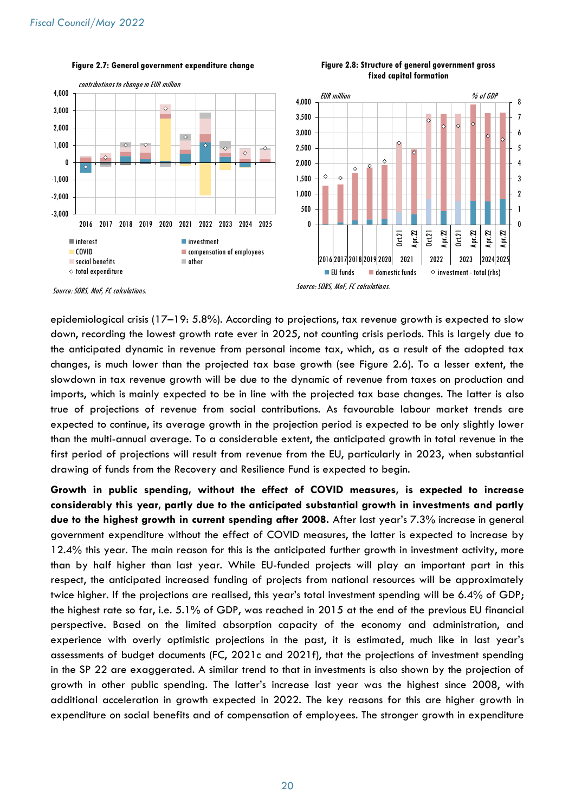

Figure 2.7: General government expenditure change

### Figure 2.8: Structure of general government gross fixed capital formation



Source: SORS, MoF, FC calculations.

Source: SORS, MoF, FC calculations.

epidemiological crisis (17–19: 5.8%). According to projections, tax revenue growth is expected to slow down, recording the lowest growth rate ever in 2025, not counting crisis periods. This is largely due to the anticipated dynamic in revenue from personal income tax, which, as a result of the adopted tax changes, is much lower than the projected tax base growth (see Figure 2.6). To a lesser extent, the slowdown in tax revenue growth will be due to the dynamic of revenue from taxes on production and imports, which is mainly expected to be in line with the projected tax base changes. The latter is also true of projections of revenue from social contributions. As favourable labour market trends are expected to continue, its average growth in the projection period is expected to be only slightly lower than the multi-annual average. To a considerable extent, the anticipated growth in total revenue in the first period of projections will result from revenue from the EU, particularly in 2023, when substantial drawing of funds from the Recovery and Resilience Fund is expected to begin.

Growth in public spending, without the effect of COVID measures, is expected to increase considerably this year, partly due to the anticipated substantial growth in investments and partly due to the highest growth in current spending after 2008. After last year's 7.3% increase in general government expenditure without the effect of COVID measures, the latter is expected to increase by 12.4% this year. The main reason for this is the anticipated further growth in investment activity, more than by half higher than last year. While EU-funded projects will play an important part in this respect, the anticipated increased funding of projects from national resources will be approximately twice higher. If the projections are realised, this year's total investment spending will be 6.4% of GDP; the highest rate so far, i.e. 5.1% of GDP, was reached in 2015 at the end of the previous EU financial perspective. Based on the limited absorption capacity of the economy and administration, and experience with overly optimistic projections in the past, it is estimated, much like in last year's assessments of budget documents (FC, 2021c and 2021f), that the projections of investment spending in the SP 22 are exaggerated. A similar trend to that in investments is also shown by the projection of growth in other public spending. The latter's increase last year was the highest since 2008, with additional acceleration in growth expected in 2022. The key reasons for this are higher growth in expenditure on social benefits and of compensation of employees. The stronger growth in expenditure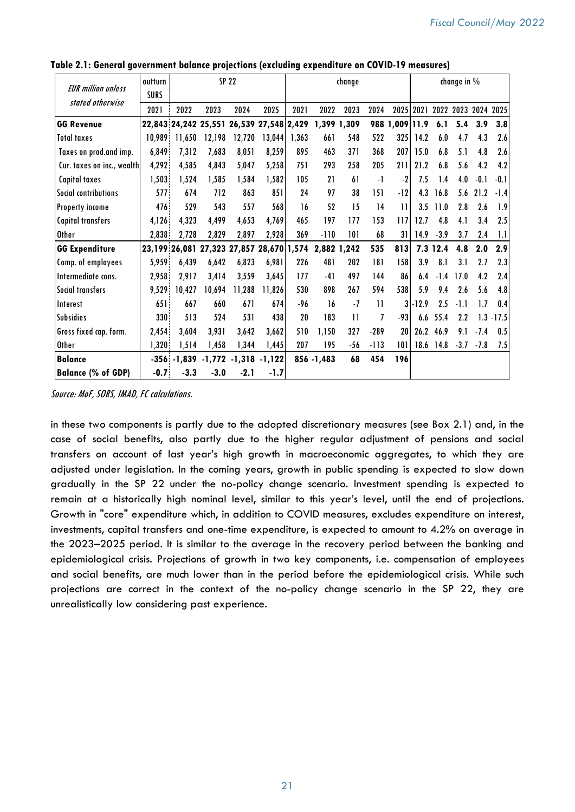| <b>EUR</b> million unless  | outturn |          | change                                         |                   |          |       |               | change in %  |              |                |       |        |           |           |              |
|----------------------------|---------|----------|------------------------------------------------|-------------------|----------|-------|---------------|--------------|--------------|----------------|-------|--------|-----------|-----------|--------------|
| stated otherwise           | SURS    |          |                                                |                   |          |       |               |              |              |                |       |        |           |           |              |
|                            | 2021    | 2022     | 2023                                           | 2024              | 2025     | 2021  | 2022          | 2023         | 2024         | 2025           | 2021  |        | 2022 2023 | 2024 2025 |              |
| <b>GG Revenue</b>          |         |          | 22,843 24,242 25,551 26,539 27,548 2,429       |                   |          |       |               | 1,399 1,309  |              | 988 1,009 11.9 |       | 6.1    | 5.4       | 3.9       | 3.8          |
| <b>Total taxes</b>         | 10,989  | 11,650   | 12.198                                         | 12,720            | 13,044   | 1.363 | 661           | 548          | 522          | 325            | 14.2  | 6.0    | 4.7       | 4.3       | 2.6          |
| Taxes on prod.and imp.     | 6,849   | 7,312    | 7,683                                          | 8,051             | 8,259    | 895   | 463           | 371          | 368          | 207            | 15.0  | 6.8    | 5.1       | 4.8       | 2.6          |
| Cur. taxes on inc., wealth | 4,292   | 4,585    | 4,843                                          | 5,047             | 5,258    | 751   | 293           | 258          | 205          | 211            | 21.2  | 6.8    | 5.6       | 4.2       | 4.2          |
| <b>Capital taxes</b>       | 1,503   | 1,524    | 1,585                                          | 1,584             | 1,582    | 105   | 21            | 61           | $-1$         | $-2$           | 7.5   | 1.4    | 4.0       | $-0.1$    | $-0.1$       |
| Social contributions       | 577     | 674      | 712                                            | 863               | 851      | 24    | 97            | 38           | 151          | $-12$          | 4.3   | 16.8   | 5.6       | 21.2      | $-1.4$       |
| <b>Property income</b>     | 476     | 529      | 543                                            | 557               | 568      | 16    | 52            | 15           | 14           | $\mathbf{1}$   | 3.5   | 11.0   | 2.8       | 2.6       | 1.9          |
| <b>Capital transfers</b>   | 4,126   | 4,323    | 4,499                                          | 4,653             | 4,769    | 465   | 197           | 177          | 153          | 117            | 12.7  | 4.8    | 4.1       | 3.4       | 2.5          |
| <b>Other</b>               | 2,838   | 2,728    | 2,829                                          | 2,897             | 2,928    | 369   | $-110$        | 101          | 68           | 31             | 14.9  | $-3.9$ | 3.7       | 2.4       | 1.1          |
| <b>GG Expenditure</b>      |         |          | 23, 199 26, 081 27, 323 27, 857 28, 670 1, 574 |                   |          |       | 2,882 1,242   |              | 535          | 813            | 7.3   | 12.4   | 4.8       | 2.0       | 2.9          |
| Comp. of employees         | 5,959   | 6,439    | 6,642                                          | 6,823             | 6,981    | 226   | 481           | 202          | 181          | 158            | 3.9   | 8.1    | 3.1       | 2.7       | 2.3          |
| Intermediate cons.         | 2,958   | 2,917    | 3,414                                          | 3,559             | 3,645    | 177   | $-41$         | 497          | 144          | 86             | 6.4   | $-1.4$ | 17.0      | 4.2       | 2.4          |
| Social transfers           | 9,529   | 10,427   | 10,694                                         | 11,288            | 11.826   | 530   | 898           | 267          | 594          | 538            | 5.9   | 9.4    | 2.6       | 5.6       | 4.8          |
| Interest                   | 651!    | 667      | 660                                            | 671               | 674      | $-96$ | 16            | $-7$         | $\mathbf{1}$ | 3              | -12.9 | 2.5    | $-1.1$    | 1.7       | 0.4          |
| <b>Subsidies</b>           | 330     | 513      | 524                                            | 531               | 438      | 20    | 183           | $\mathbf{1}$ | 7            | $-93$          | 6.6   | 55.4   | 2.2       |           | $1.3 - 17.5$ |
| Gross fixed cap. form.     | 2,454   | 3,604    | 3,931                                          | 3,642             | 3,662    | 510   | 1,150         | 327          | $-289$       | 20             | 26.2  | 46.9   | 9.1       | $-7.4$    | 0.5          |
| <b>Other</b>               | 1,320   | 1,514    | 1,458                                          | 1,344             | 1,445    | 207   | 195           | -56          | $-113$       | 101            | 18.6  | 14.8   | $-3.7$    | $-7.8$    | 7.5          |
| <b>Balance</b>             | $-356$  | $-1,839$ |                                                | $-1,772$ $-1,318$ | $-1,122$ |       | $856 - 1,483$ | 68           | 454          | 196            |       |        |           |           |              |
| <b>Balance (% of GDP)</b>  | $-0.7$  | $-3.3$   | $-3.0$                                         | $-2.1$            | $-1.7$   |       |               |              |              |                |       |        |           |           |              |

Table 2.1: General government balance projections (excluding expenditure on COVID-19 measures)

Source: MoF, SORS, IMAD, FC calculations.

in these two components is partly due to the adopted discretionary measures (see Box 2.1) and, in the case of social benefits, also partly due to the higher regular adjustment of pensions and social transfers on account of last year's high growth in macroeconomic aggregates, to which they are adjusted under legislation. In the coming years, growth in public spending is expected to slow down gradually in the SP 22 under the no-policy change scenario. Investment spending is expected to remain at a historically high nominal level, similar to this year's level, until the end of projections. Growth in "core" expenditure which, in addition to COVID measures, excludes expenditure on interest, investments, capital transfers and one-time expenditure, is expected to amount to 4.2% on average in the 2023–2025 period. It is similar to the average in the recovery period between the banking and epidemiological crisis. Projections of growth in two key components, i.e. compensation of employees and social benefits, are much lower than in the period before the epidemiological crisis. While such projections are correct in the context of the no-policy change scenario in the SP 22, they are unrealistically low considering past experience.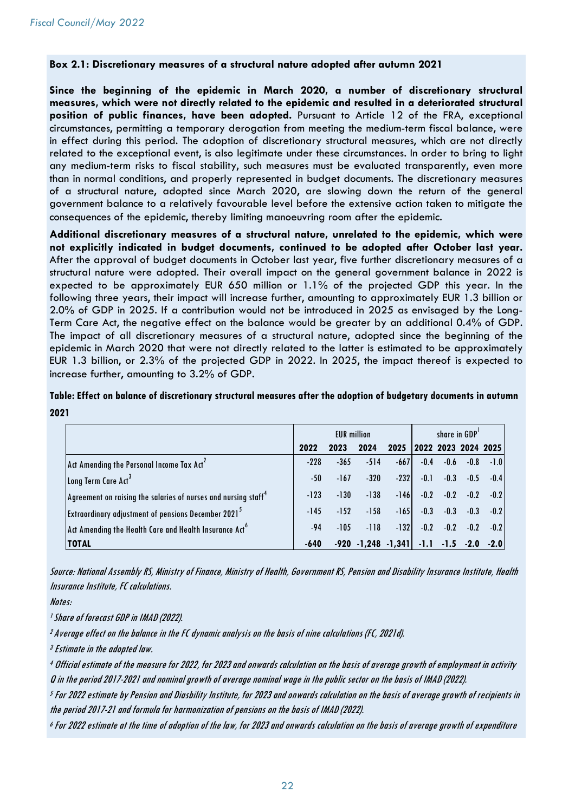Box 2.1: Discretionary measures of a structural nature adopted after autumn 2021

Since the beginning of the epidemic in March 2020, a number of discretionary structural measures, which were not directly related to the epidemic and resulted in a deteriorated structural position of public finances, have been adopted. Pursuant to Article 12 of the FRA, exceptional circumstances, permitting a temporary derogation from meeting the medium-term fiscal balance, were in effect during this period. The adoption of discretionary structural measures, which are not directly related to the exceptional event, is also legitimate under these circumstances. In order to bring to light any medium-term risks to fiscal stability, such measures must be evaluated transparently, even more than in normal conditions, and properly represented in budget documents. The discretionary measures of a structural nature, adopted since March 2020, are slowing down the return of the general government balance to a relatively favourable level before the extensive action taken to mitigate the consequences of the epidemic, thereby limiting manoeuvring room after the epidemic.

Additional discretionary measures of a structural nature, unrelated to the epidemic, which were not explicitly indicated in budget documents, continued to be adopted after October last year. After the approval of budget documents in October last year, five further discretionary measures of a structural nature were adopted. Their overall impact on the general government balance in 2022 is expected to be approximately EUR 650 million or 1.1% of the projected GDP this year. In the following three years, their impact will increase further, amounting to approximately EUR 1.3 billion or 2.0% of GDP in 2025. If a contribution would not be introduced in 2025 as envisaged by the Long-Term Care Act, the negative effect on the balance would be greater by an additional 0.4% of GDP. The impact of all discretionary measures of a structural nature, adopted since the beginning of the epidemic in March 2020 that were not directly related to the latter is estimated to be approximately EUR 1.3 billion, or 2.3% of the projected GDP in 2022. In 2025, the impact thereof is expected to increase further, amounting to 3.2% of GDP.

Table: Effect on balance of discretionary structural measures after the adoption of budgetary documents in autumn 2021

|                                                                            | <b>EUR</b> million |        |                        |        | share in GDP |                       |        |                     |  |
|----------------------------------------------------------------------------|--------------------|--------|------------------------|--------|--------------|-----------------------|--------|---------------------|--|
|                                                                            | 2022               | 2023   | 2024                   | 2025   |              |                       |        | 2022 2023 2024 2025 |  |
| Act Amending the Personal Income Tax Act                                   | $-228$             | $-365$ | $-514$                 | $-667$ | $-0.4$       | $-0.6$                |        | $-0.8 - 1.0$        |  |
| Long Term Care Act <sup>3</sup>                                            | -50                | $-167$ | $-320$                 | $-232$ | $-0.1$       | $-0.3$                | $-0.5$ | $-0.4$              |  |
| Agreement on raising the salaries of nurses and nursing staff <sup>4</sup> | $-123$             | $-130$ | $-138$                 | $-146$ | $-0.2$       | $-0.2$                | $-0.2$ | $-0.2$              |  |
| <b>Extraordinary adjustment of pensions December 2021</b> <sup>5</sup>     | $-145$             | $-152$ | $-158$                 | $-165$ | $-0.3$       | $-0.3$                | $-0.3$ | $-0.2$              |  |
| Act Amending the Health Care and Health Insurance Act <sup>6</sup>         | -94                | $-105$ | $-118$                 | $-132$ | $-0.2$       | $-0.2$                | $-0.2$ | $-0.2$              |  |
| <b>TOTAL</b>                                                               | $-640$             |        | $-920 - 1,248 - 1,341$ |        |              | $-1.1 -1.5 -2.0 -2.0$ |        |                     |  |

Source: National Assembly RS, Ministry of Finance, Ministry of Health, Government RS, Pension and Disability Insurance Institute, Health Insurance Institute, FC calculations.

Notes:

<sup>1</sup> Share of forecast GDP in IMAD (2022).

<sup>2</sup>Average effect on the balance in the FC dynamic analysis on the basis of nine calculations (FC, 2021d).

<sup>3</sup> Estimate in the adopted law.

<sup>4</sup> Official estimate of the measure for 2022, for 2023 and onwards calculation on the basis of average growth of employment in activity

Q in the period 2017-2021 and nominal growth of average nominal wage in the public sector on the basis of IMAD (2022).

<sup>5</sup> For 2022 estimate by Pension and Diasbility Institute, for 2023 and onwards calculation on the basis of average growth of recipients in the period 2017-21 and formula for harmonization of pensions on the basis of IMAD (2022).

<sup>6</sup> For 2022 estimate at the time of adoption of the law, for 2023 and onwards calculation on the basis of average growth of expenditure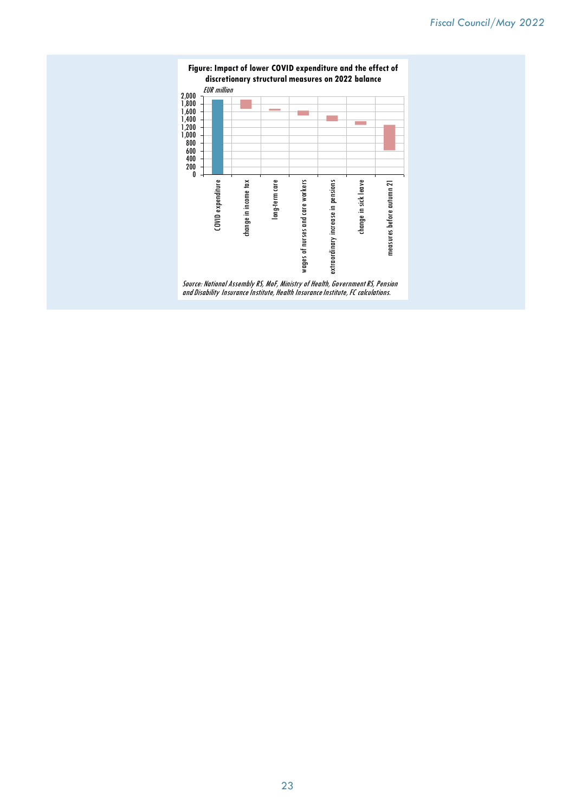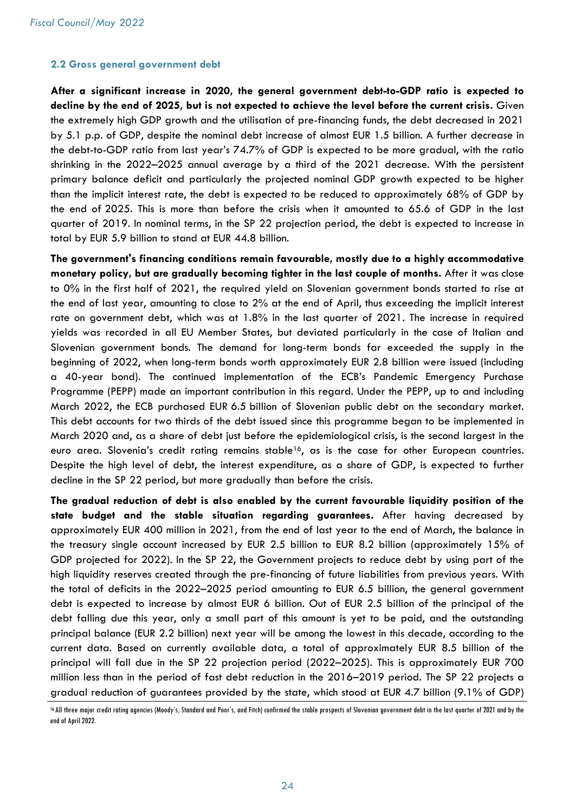### 2.2 Gross general government debt

After a significant increase in 2020, the general government debt-to-GDP ratio is expected to decline by the end of 2025, but is not expected to achieve the level before the current crisis. Given the extremely high GDP growth and the utilisation of pre-financing funds, the debt decreased in 2021 by 5.1 p.p. of GDP, despite the nominal debt increase of almost EUR 1.5 billion. A further decrease in the debt-to-GDP ratio from last year's 74.7% of GDP is expected to be more gradual, with the ratio shrinking in the 2022–2025 annual average by a third of the 2021 decrease. With the persistent primary balance deficit and particularly the projected nominal GDP growth expected to be higher than the implicit interest rate, the debt is expected to be reduced to approximately 68% of GDP by the end of 2025. This is more than before the crisis when it amounted to 65.6 of GDP in the last quarter of 2019. In nominal terms, in the SP 22 projection period, the debt is expected to increase in total by EUR 5.9 billion to stand at EUR 44.8 billion.

The government's financing conditions remain favourable, mostly due to a highly accommodative monetary policy, but are gradually becoming tighter in the last couple of months. After it was close to 0% in the first half of 2021, the required yield on Slovenian government bonds started to rise at the end of last year, amounting to close to 2% at the end of April, thus exceeding the implicit interest rate on government debt, which was at 1.8% in the last quarter of 2021. The increase in required yields was recorded in all EU Member States, but deviated particularly in the case of Italian and Slovenian government bonds. The demand for long-term bonds far exceeded the supply in the beginning of 2022, when long-term bonds worth approximately EUR 2.8 billion were issued (including a 40-year bond). The continued implementation of the ECB's Pandemic Emergency Purchase Programme (PEPP) made an important contribution in this regard. Under the PEPP, up to and including March 2022, the ECB purchased EUR 6.5 billion of Slovenian public debt on the secondary market. This debt accounts for two thirds of the debt issued since this programme began to be implemented in March 2020 and, as a share of debt just before the epidemiological crisis, is the second largest in the euro area. Slovenia's credit rating remains stable<sup>16</sup>, as is the case for other European countries. Despite the high level of debt, the interest expenditure, as a share of GDP, is expected to further decline in the SP 22 period, but more gradually than before the crisis.

The gradual reduction of debt is also enabled by the current favourable liquidity position of the state budget and the stable situation regarding guarantees. After having decreased by approximately EUR 400 million in 2021, from the end of last year to the end of March, the balance in the treasury single account increased by EUR 2.5 billion to EUR 8.2 billion (approximately 15% of GDP projected for 2022). In the SP 22, the Government projects to reduce debt by using part of the high liquidity reserves created through the pre-financing of future liabilities from previous years. With the total of deficits in the 2022–2025 period amounting to EUR 6.5 billion, the general government debt is expected to increase by almost EUR 6 billion. Out of EUR 2.5 billion of the principal of the debt falling due this year, only a small part of this amount is yet to be paid, and the outstanding principal balance (EUR 2.2 billion) next year will be among the lowest in this decade, according to the current data. Based on currently available data, a total of approximately EUR 8.5 billion of the principal will fall due in the SP 22 projection period (2022–2025). This is approximately EUR 700 million less than in the period of fast debt reduction in the 2016–2019 period. The SP 22 projects a gradual reduction of guarantees provided by the state, which stood at EUR 4.7 billion (9.1% of GDP)

<sup>16</sup> All three major credit rating agencies (Moody's, Standard and Poor's, and Fitch) confirmed the stable prospects of Slovenian government debt in the last quarter of 2021 and by the end of April 2022.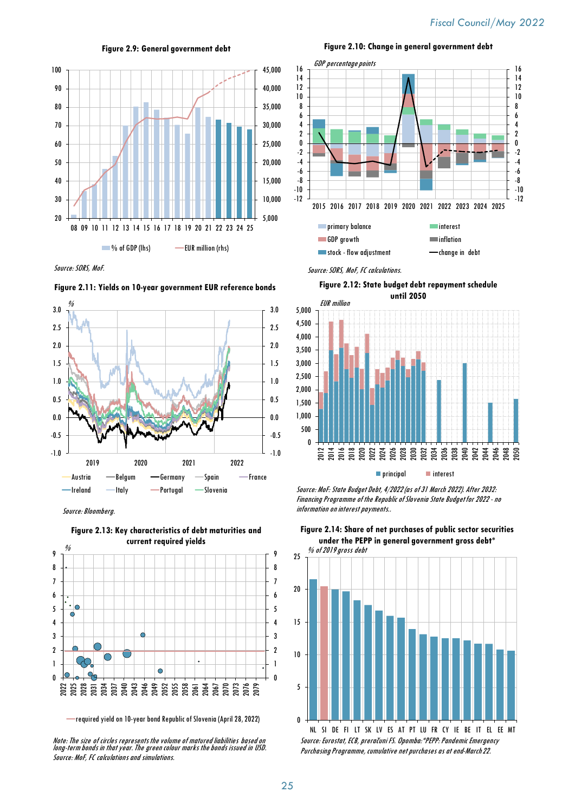### Fiscal Council/May 2022

### Figure 2.9: General government debt



Source: SORS, MoF.





Source: Bloomberg.



required yield on 10-year bond Republic of Slovenia (April 28, 2022)

Note: The size of circles represents the volume of matured liabilities based on long-term bonds in that year. The green colour marks the bonds issued in USD. Source: MoF, FC calculations and simulations.

Figure 2.10: Change in general government debt



Source: SORS, MoF, FC calculations.

Figure 2.12: State budget debt repayment schedule until 2050



Source: MoF: State Budget Debt, 4/2022 (as of 31 March 2022). After 2032: Financing Programme of the Republic of Slovenia State Budget for 2022 -no information on interest payments..

Figure 2.14: Share of net purchases of public sector securities



Source: Eurostat, ECB, preračuni FS. Opomba:\*PEPP: Pandemic Emergency Purchasing Programme, cumulative net purchases as at end-March 22.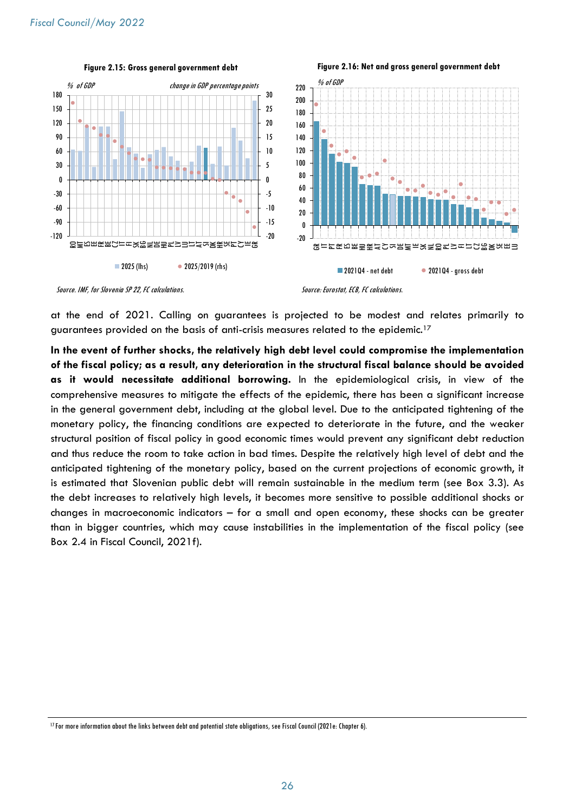

Figure 2.15: Gross general government debt

Figure 2.16: Net and gross general government debt



Source. IMF, for Slovenia SP 22, FC calculations.

Source: Eurostat, ECB, FC calculations.

at the end of 2021. Calling on guarantees is projected to be modest and relates primarily to guarantees provided on the basis of anti-crisis measures related to the epidemic.<sup>17</sup>

In the event of further shocks, the relatively high debt level could compromise the implementation of the fiscal policy; as a result, any deterioration in the structural fiscal balance should be avoided as it would necessitate additional borrowing. In the epidemiological crisis, in view of the comprehensive measures to mitigate the effects of the epidemic, there has been a significant increase in the general government debt, including at the global level. Due to the anticipated tightening of the monetary policy, the financing conditions are expected to deteriorate in the future, and the weaker structural position of fiscal policy in good economic times would prevent any significant debt reduction and thus reduce the room to take action in bad times. Despite the relatively high level of debt and the anticipated tightening of the monetary policy, based on the current projections of economic growth, it is estimated that Slovenian public debt will remain sustainable in the medium term (see Box 3.3). As the debt increases to relatively high levels, it becomes more sensitive to possible additional shocks or changes in macroeconomic indicators – for a small and open economy, these shocks can be greater than in bigger countries, which may cause instabilities in the implementation of the fiscal policy (see Box 2.4 in Fiscal Council, 2021f).

<sup>17</sup> For more information about the links between debt and potential state obligations, see Fiscal Council (2021e: Chapter 6).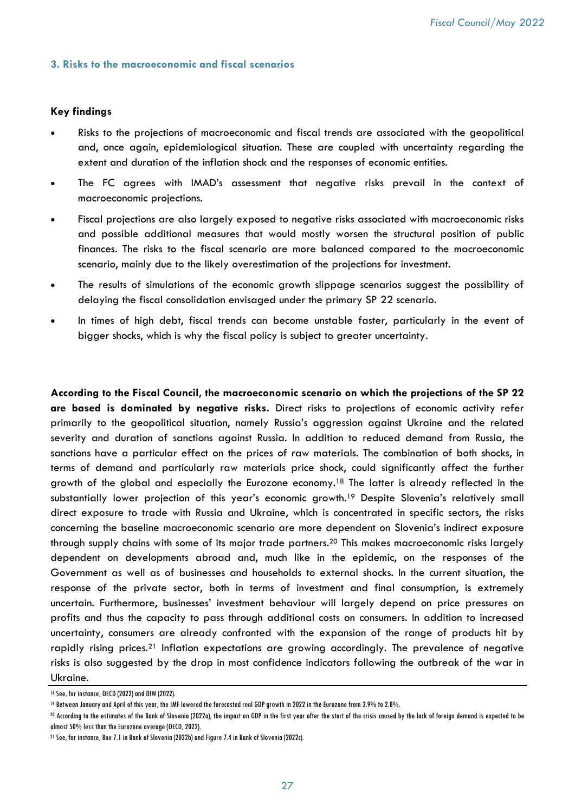### 3. Risks to the macroeconomic and fiscal scenarios

### Key findings

- · Risks to the projections of macroeconomic and fiscal trends are associated with the geopolitical and, once again, epidemiological situation. These are coupled with uncertainty regarding the extent and duration of the inflation shock and the responses of economic entities.
- The FC agrees with IMAD's assessment that negative risks prevail in the context of macroeconomic projections.
- Fiscal projections are also largely exposed to negative risks associated with macroeconomic risks and possible additional measures that would mostly worsen the structural position of public finances. The risks to the fiscal scenario are more balanced compared to the macroeconomic scenario, mainly due to the likely overestimation of the projections for investment.
- The results of simulations of the economic growth slippage scenarios suggest the possibility of delaying the fiscal consolidation envisaged under the primary SP 22 scenario.
- · In times of high debt, fiscal trends can become unstable faster, particularly in the event of bigger shocks, which is why the fiscal policy is subject to greater uncertainty.

According to the Fiscal Council, the macroeconomic scenario on which the projections of the SP 22 are based is dominated by negative risks. Direct risks to projections of economic activity refer primarily to the geopolitical situation, namely Russia's aggression against Ukraine and the related severity and duration of sanctions against Russia. In addition to reduced demand from Russia, the sanctions have a particular effect on the prices of raw materials. The combination of both shocks, in terms of demand and particularly raw materials price shock, could significantly affect the further growth of the global and especially the Eurozone economy.<sup>18</sup> The latter is already reflected in the substantially lower projection of this year's economic growth.<sup>19</sup> Despite Slovenia's relatively small direct exposure to trade with Russia and Ukraine, which is concentrated in specific sectors, the risks concerning the baseline macroeconomic scenario are more dependent on Slovenia's indirect exposure through supply chains with some of its major trade partners.<sup>20</sup> This makes macroeconomic risks largely dependent on developments abroad and, much like in the epidemic, on the responses of the Government as well as of businesses and households to external shocks. In the current situation, the response of the private sector, both in terms of investment and final consumption, is extremely uncertain. Furthermore, businesses' investment behaviour will largely depend on price pressures on profits and thus the capacity to pass through additional costs on consumers. In addition to increased uncertainty, consumers are already confronted with the expansion of the range of products hit by rapidly rising prices.<sup>21</sup> Inflation expectations are growing accordingly. The prevalence of negative risks is also suggested by the drop in most confidence indicators following the outbreak of the war in Ukraine.

<sup>18</sup> See, for instance, OECD (2022) and DIW (2022).

<sup>19</sup> Between January and April of this year, the IMF lowered the forecasted real GDP growth in 2022 in the Eurozone from 3.9% to 2.8%.

<sup>20</sup> According to the estimates of the Bank of Slovenia (2022a), the impact on GDP in the first year after the start of the crisis caused by the lack of foreign demand is expected to be almost 50% less than the Eurozone average (OECD, 2022).

<sup>21</sup> See, for instance, Box 7.1 in Bank of Slovenia (2022b) and Figure 7.4 in Bank of Slovenia (2022c).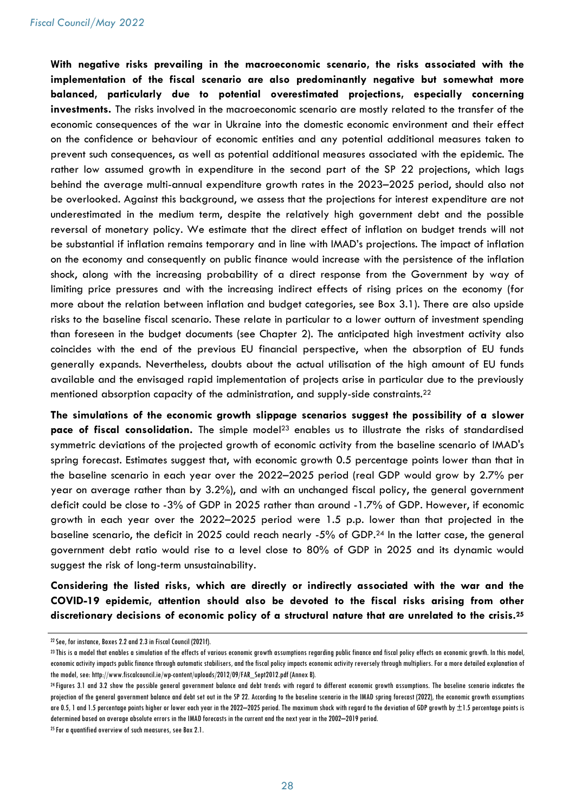### Fiscal Council/May 2022

With negative risks prevailing in the macroeconomic scenario, the risks associated with the implementation of the fiscal scenario are also predominantly negative but somewhat more balanced, particularly due to potential overestimated projections, especially concerning investments. The risks involved in the macroeconomic scenario are mostly related to the transfer of the economic consequences of the war in Ukraine into the domestic economic environment and their effect on the confidence or behaviour of economic entities and any potential additional measures taken to prevent such consequences, as well as potential additional measures associated with the epidemic. The rather low assumed growth in expenditure in the second part of the SP 22 projections, which lags behind the average multi-annual expenditure growth rates in the 2023–2025 period, should also not be overlooked. Against this background, we assess that the projections for interest expenditure are not underestimated in the medium term, despite the relatively high government debt and the possible reversal of monetary policy. We estimate that the direct effect of inflation on budget trends will not be substantial if inflation remains temporary and in line with IMAD's projections. The impact of inflation on the economy and consequently on public finance would increase with the persistence of the inflation shock, along with the increasing probability of a direct response from the Government by way of limiting price pressures and with the increasing indirect effects of rising prices on the economy (for more about the relation between inflation and budget categories, see Box 3.1). There are also upside risks to the baseline fiscal scenario. These relate in particular to a lower outturn of investment spending than foreseen in the budget documents (see Chapter 2). The anticipated high investment activity also coincides with the end of the previous EU financial perspective, when the absorption of EU funds generally expands. Nevertheless, doubts about the actual utilisation of the high amount of EU funds available and the envisaged rapid implementation of projects arise in particular due to the previously mentioned absorption capacity of the administration, and supply-side constraints.<sup>22</sup>

The simulations of the economic growth slippage scenarios suggest the possibility of a slower pace of fiscal consolidation. The simple model<sup>23</sup> enables us to illustrate the risks of standardised symmetric deviations of the projected growth of economic activity from the baseline scenario of IMAD's spring forecast. Estimates suggest that, with economic growth 0.5 percentage points lower than that in the baseline scenario in each year over the 2022–2025 period (real GDP would grow by 2.7% per year on average rather than by 3.2%), and with an unchanged fiscal policy, the general government deficit could be close to -3% of GDP in 2025 rather than around -1.7% of GDP. However, if economic growth in each year over the 2022–2025 period were 1.5 p.p. lower than that projected in the baseline scenario, the deficit in 2025 could reach nearly -5% of GDP.<sup>24</sup> In the latter case, the general government debt ratio would rise to a level close to 80% of GDP in 2025 and its dynamic would suggest the risk of long-term unsustainability.

Considering the listed risks, which are directly or indirectly associated with the war and the COVID-19 epidemic, attention should also be devoted to the fiscal risks arising from other discretionary decisions of economic policy of a structural nature that are unrelated to the crisis.<sup>25</sup>

<sup>25</sup>For a quantified overview of such measures, see Box 2.1.

<sup>22</sup>See, for instance, Boxes 2.2 and 2.3 in Fiscal Council (2021f).

<sup>23</sup>This is a model that enables a simulation of the effects of various economic growth assumptions regarding public finance and fiscal policy effects on economic growth. In this model, economic activity impacts public finance through automatic stabilisers, and the fiscal policy impacts economic activity reversely through multipliers. For a more detailed explanation of the model, see: http://www.fiscalcouncil.ie/wp-content/uploads/2012/09/FAR\_Sept2012.pdf (Annex B).

<sup>&</sup>lt;sup>24</sup> Figures 3.1 and 3.2 show the possible general government balance and debt trends with regard to different economic growth assumptions. The baseline scenario indicates the projection of the general government balance and debt set out in the SP 22. According to the baseline scenario in the IMAD spring forecast (2022), the economic growth assumptions are 0.5, 1 and 1.5 percentage points higher or lower each year in the 2022—2025 period. The maximum shock with regard to the deviation of GDP growth by  $\pm$ 1.5 percentage points is determined based on average absolute errors in the IMAD forecasts in the current and the next year in the 2002–2019 period.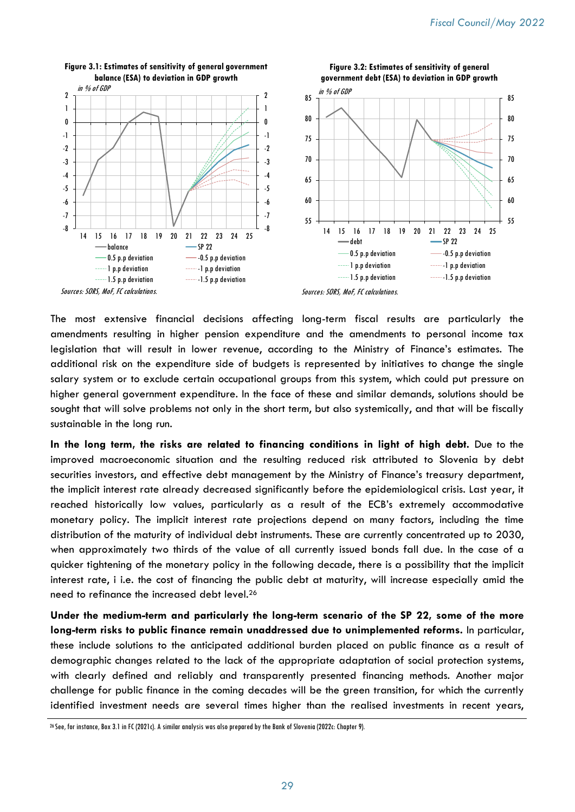

Figure 3.1: Estimates of sensitivity of general government

The most extensive financial decisions affecting long-term fiscal results are particularly the amendments resulting in higher pension expenditure and the amendments to personal income tax legislation that will result in lower revenue, according to the Ministry of Finance's estimates. The additional risk on the expenditure side of budgets is represented by initiatives to change the single salary system or to exclude certain occupational groups from this system, which could put pressure on higher general government expenditure. In the face of these and similar demands, solutions should be sought that will solve problems not only in the short term, but also systemically, and that will be fiscally sustainable in the long run.

In the long term, the risks are related to financing conditions in light of high debt. Due to the improved macroeconomic situation and the resulting reduced risk attributed to Slovenia by debt securities investors, and effective debt management by the Ministry of Finance's treasury department, the implicit interest rate already decreased significantly before the epidemiological crisis. Last year, it reached historically low values, particularly as a result of the ECB's extremely accommodative monetary policy. The implicit interest rate projections depend on many factors, including the time distribution of the maturity of individual debt instruments. These are currently concentrated up to 2030, when approximately two thirds of the value of all currently issued bonds fall due. In the case of a quicker tightening of the monetary policy in the following decade, there is a possibility that the implicit interest rate, i i.e. the cost of financing the public debt at maturity, will increase especially amid the need to refinance the increased debt level.<sup>26</sup>

Under the medium-term and particularly the long-term scenario of the SP 22, some of the more long-term risks to public finance remain unaddressed due to unimplemented reforms. In particular, these include solutions to the anticipated additional burden placed on public finance as a result of demographic changes related to the lack of the appropriate adaptation of social protection systems, with clearly defined and reliably and transparently presented financing methods. Another major challenge for public finance in the coming decades will be the green transition, for which the currently identified investment needs are several times higher than the realised investments in recent years,

<sup>26</sup>See, for instance, Box 3.1 in FC (2021c). A similar analysis was also prepared by the Bank of Slovenia (2022c: Chapter 9).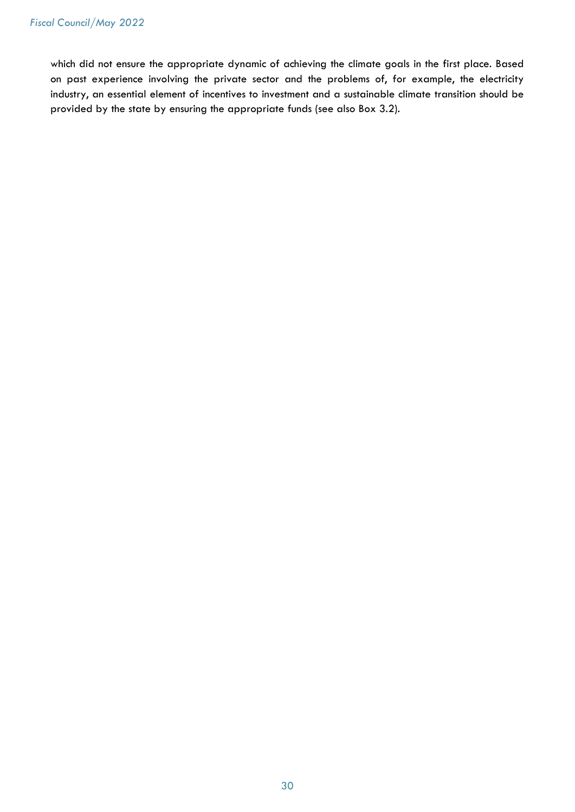which did not ensure the appropriate dynamic of achieving the climate goals in the first place. Based on past experience involving the private sector and the problems of, for example, the electricity industry, an essential element of incentives to investment and a sustainable climate transition should be provided by the state by ensuring the appropriate funds (see also Box 3.2).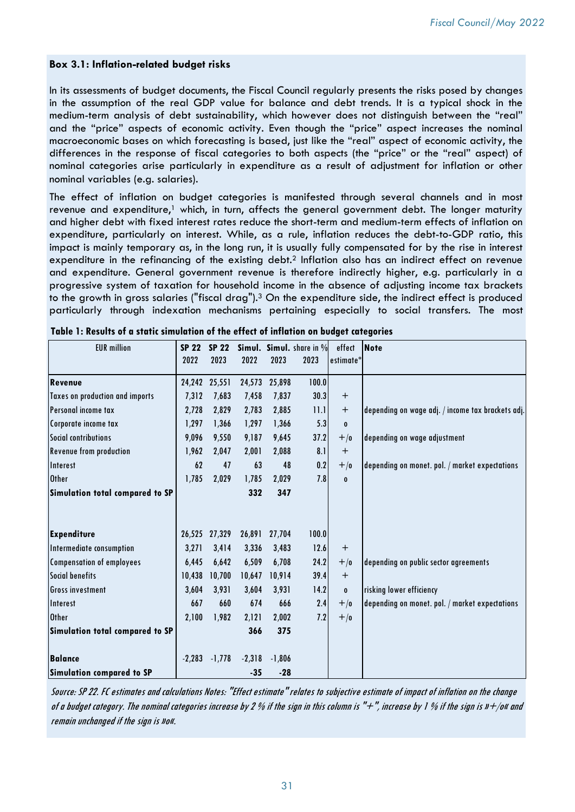### Box 3.1: Inflation-related budget risks

In its assessments of budget documents, the Fiscal Council regularly presents the risks posed by changes in the assumption of the real GDP value for balance and debt trends. It is a typical shock in the medium-term analysis of debt sustainability, which however does not distinguish between the "real" and the "price" aspects of economic activity. Even though the "price" aspect increases the nominal macroeconomic bases on which forecasting is based, just like the "real" aspect of economic activity, the differences in the response of fiscal categories to both aspects (the "price" or the "real" aspect) of nominal categories arise particularly in expenditure as a result of adjustment for inflation or other nominal variables (e.g. salaries).

The effect of inflation on budget categories is manifested through several channels and in most revenue and expenditure,<sup>1</sup> which, in turn, affects the general government debt. The longer maturity and higher debt with fixed interest rates reduce the short-term and medium-term effects of inflation on expenditure, particularly on interest. While, as a rule, inflation reduces the debt-to-GDP ratio, this impact is mainly temporary as, in the long run, it is usually fully compensated for by the rise in interest expenditure in the refinancing of the existing debt.<sup>2</sup> Inflation also has an indirect effect on revenue and expenditure. General government revenue is therefore indirectly higher, e.g. particularly in a progressive system of taxation for household income in the absence of adjusting income tax brackets to the growth in gross salaries ("fiscal drag").<sup>3</sup> On the expenditure side, the indirect effect is produced particularly through indexation mechanisms pertaining especially to social transfers. The most

| <b>EUR</b> million                     | <b>SP 22</b><br>2022 | <b>SP 22</b><br>2023 | 2022     | 2023     | <b>Simul.</b> Simul. share in $\%$<br>2023 | effect<br>estimate* | <b>Note</b>                                       |
|----------------------------------------|----------------------|----------------------|----------|----------|--------------------------------------------|---------------------|---------------------------------------------------|
| Revenue                                |                      | 24,242 25,551        | 24,573   | 25,898   | 100.0                                      |                     |                                                   |
| <b>Taxes on production and imports</b> | 7,312                | 7,683                | 7,458    | 7,837    | 30.3                                       | $+$                 |                                                   |
| Personal income tax                    | 2,728                | 2,829                | 2,783    | 2,885    | 11.1                                       | $+$                 | depending on wage adj. / income tax brackets adj. |
| Corporate income tax                   | 1,297                | 1,366                | 1,297    | 1,366    | 5.3                                        | $\bf{0}$            |                                                   |
| <b>Social contributions</b>            | 9,096                | 9,550                | 9,187    | 9,645    | 37.2                                       | $+$ /0              | depending on wage adjustment                      |
| <b>Revenue from production</b>         | 1,962                | 2,047                | 2,001    | 2,088    | 8.1                                        | $+$                 |                                                   |
| <b>Interest</b>                        | 62                   | 47                   | 63       | 48       | 0.2                                        | $+$ /0              | depending on monet. pol. / market expectations    |
| <b>Other</b>                           | 1,785                | 2,029                | 1,785    | 2,029    | 7.8                                        | $\Omega$            |                                                   |
| <b>Simulation total compared to SP</b> |                      |                      | 332      | 347      |                                            |                     |                                                   |
| Expenditure                            |                      | 26,525 27,329        | 26,891   | 27,704   | 100.0                                      |                     |                                                   |
| Intermediate consumption               | 3,271                | 3,414                | 3,336    | 3,483    | 12.6                                       | $+$                 |                                                   |
| <b>Compensation of employees</b>       | 6,445                | 6,642                | 6,509    | 6,708    | 24.2                                       | $+$ /0              | depending on public sector agreements             |
| Social benefits                        | 10,438               | 10,700               | 10,647   | 10,914   | 39.4                                       | $+$                 |                                                   |
| l Gross investment                     | 3,604                | 3,931                | 3,604    | 3,931    | 14.2                                       | $\bf{0}$            | risking lower efficiency                          |
| Interest                               | 667                  | 660                  | 674      | 666      | 2.4                                        | $+$ /0              | depending on monet. pol. / market expectations    |
| Other                                  | 2,100                | 1,982                | 2,121    | 2,002    | 7.2                                        | $+$ /0              |                                                   |
| Simulation total compared to SP        |                      |                      | 366      | 375      |                                            |                     |                                                   |
| Balance                                | $-2,283$             | $-1,778$             | $-2,318$ | $-1,806$ |                                            |                     |                                                   |
| <b>Simulation compared to SP</b>       |                      |                      | $-35$    | $-28$    |                                            |                     |                                                   |

| Table 1: Results of a static simulation of the effect of inflation on budget categories |  |  |
|-----------------------------------------------------------------------------------------|--|--|
|-----------------------------------------------------------------------------------------|--|--|

Source: SP 22. FC estimates and calculations Notes: "Effect estimate" relates to subjective estimate of impact of inflation on the change of a budget category. The nominal categories increase by 2 % if the sign in this column is  $"+'$ , increase by 1 % if the sign is  $\nu+$ /ou and remain unchanged if the sign is »o«.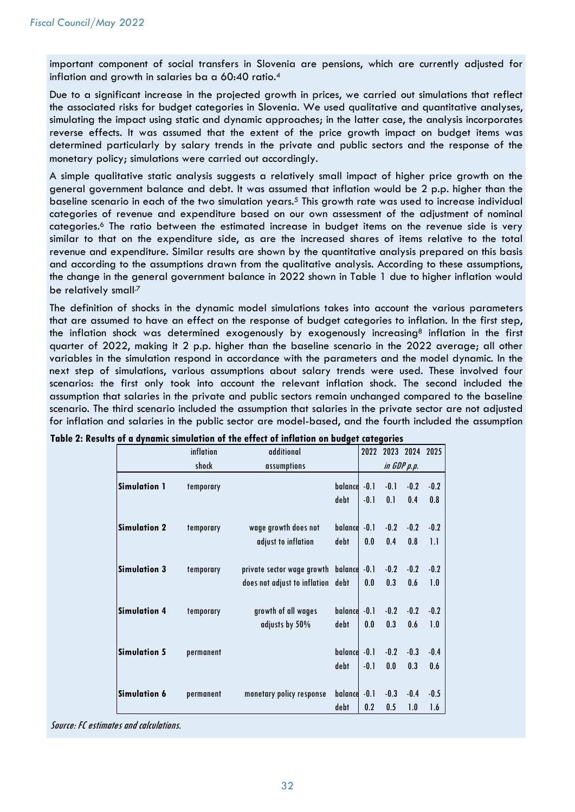important component of social transfers in Slovenia are pensions, which are currently adjusted for inflation and growth in salaries ba a 60:40 ratio.<sup>4</sup>

Due to a significant increase in the projected growth in prices, we carried out simulations that reflect the associated risks for budget categories in Slovenia. We used qualitative and quantitative analyses, simulating the impact using static and dynamic approaches; in the latter case, the analysis incorporates reverse effects. It was assumed that the extent of the price growth impact on budget items was determined particularly by salary trends in the private and public sectors and the response of the monetary policy; simulations were carried out accordingly.

A simple qualitative static analysis suggests a relatively small impact of higher price growth on the general government balance and debt. It was assumed that inflation would be 2 p.p. higher than the baseline scenario in each of the two simulation years.<sup>5</sup> This growth rate was used to increase individual categories of revenue and expenditure based on our own assessment of the adjustment of nominal categories.<sup>6</sup> The ratio between the estimated increase in budget items on the revenue side is very similar to that on the expenditure side, as are the increased shares of items relative to the total revenue and expenditure. Similar results are shown by the quantitative analysis prepared on this basis and according to the assumptions drawn from the qualitative analysis. According to these assumptions, the change in the general government balance in 2022 shown in Table 1 due to higher inflation would be relatively small<sup>7</sup>

The definition of shocks in the dynamic model simulations takes into account the various parameters that are assumed to have an effect on the response of budget categories to inflation. In the first step, the inflation shock was determined exogenously by exogenously increasing<sup>8</sup> inflation in the first quarter of 2022, making it 2 p.p. higher than the baseline scenario in the 2022 average; all other variables in the simulation respond in accordance with the parameters and the model dynamic. In the next step of simulations, various assumptions about salary trends were used. These involved four scenarios: the first only took into account the relevant inflation shock. The second included the assumption that salaries in the private and public sectors remain unchanged compared to the baseline scenario. The third scenario included the assumption that salaries in the private sector are not adjusted for inflation and salaries in the public sector are model-based, and the fourth included the assumption

|                     | inflation | additional                              |              |        | 2022 2023 2024 2025 |        |        |
|---------------------|-----------|-----------------------------------------|--------------|--------|---------------------|--------|--------|
|                     | shock     | assumptions                             |              |        | in GDP p.p.         |        |        |
| <b>Simulation 1</b> | temporary |                                         | balance -0.1 |        | $-0.1$              | $-0.2$ | $-0.2$ |
|                     |           |                                         | debt         | $-0.1$ | 0.1                 | 0.4    | 0.8    |
| <b>Simulation 2</b> | temporary | wage growth does not                    | balance -0.1 |        | $-0.2$              | $-0.2$ | $-0.2$ |
|                     |           | adjust to inflation                     | debt         | 0.0    | 0.4                 | 0.8    | 1.1    |
| <b>Simulation 3</b> | temporary | private sector wage growth balance -0.1 |              |        | $-0.2$              | $-0.2$ | $-0.2$ |
|                     |           | does not adjust to inflation debt       |              | 0.0    | 0.3                 | 0.6    | 1.0    |
| <b>Simulation 4</b> | temporary | growth of all wages                     | balance      | $-0.1$ | $-0.2$              | $-0.2$ | $-0.2$ |
|                     |           | adjusts by 50%                          | debt         | 0.0    | 0.3                 | 0.6    | 1.0    |
| <b>Simulation 5</b> | permanent |                                         | balance      | $-0.1$ | $-0.2$              | $-0.3$ | $-0.4$ |
|                     |           |                                         | debt         | $-0.1$ | 0.0                 | 0.3    | 0.6    |
| <b>Simulation 6</b> | permanent | monetary policy response                | balance      | $-0.1$ | $-0.3$              | $-0.4$ | $-0.5$ |
|                     |           |                                         | debt         | 0.2    | 0.5                 | 1.0    | 1.6    |

| Table 2: Results of a dynamic simulation of the effect of inflation on budget categories |  |
|------------------------------------------------------------------------------------------|--|
|------------------------------------------------------------------------------------------|--|

Source: FC estimates and calculations.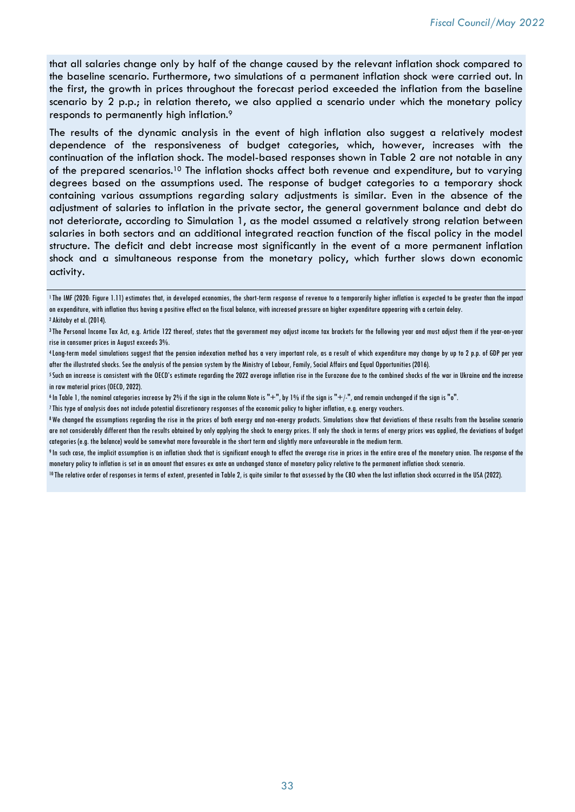that all salaries change only by half of the change caused by the relevant inflation shock compared to the baseline scenario. Furthermore, two simulations of a permanent inflation shock were carried out. In the first, the growth in prices throughout the forecast period exceeded the inflation from the baseline scenario by 2 p.p.; in relation thereto, we also applied a scenario under which the monetary policy responds to permanently high inflation.<sup>9</sup>

The results of the dynamic analysis in the event of high inflation also suggest a relatively modest dependence of the responsiveness of budget categories, which, however, increases with the continuation of the inflation shock. The model-based responses shown in Table 2 are not notable in any of the prepared scenarios.<sup>10</sup> The inflation shocks affect both revenue and expenditure, but to varying degrees based on the assumptions used. The response of budget categories to a temporary shock containing various assumptions regarding salary adjustments is similar. Even in the absence of the adjustment of salaries to inflation in the private sector, the general government balance and debt do not deteriorate, according to Simulation 1, as the model assumed a relatively strong relation between salaries in both sectors and an additional integrated reaction function of the fiscal policy in the model structure. The deficit and debt increase most significantly in the event of a more permanent inflation shock and a simultaneous response from the monetary policy, which further slows down economic activity.

<sup>5</sup>Such an increase is consistent with the OECD's estimate regarding the 2022 average inflation rise in the Eurozone due to the combined shocks of the war in Ukraine and the increase in raw material prices (OECD, 2022).

 $6$  In Table 1, the nominal categories increase by 2% if the sign in the column Note is " $+$ ", by 1% if the sign is " $+/-$ ", and remain unchanged if the sign is "o".

<sup>7</sup>This type of analysis does not include potential discretionary responses of the economic policy to higher inflation, e.g. energyvouchers.

<sup>8</sup>We changed the assumptions regarding the rise in the prices of both energy and non-energy products. Simulations show that deviations of these results from the baseline scenario are not considerably different than the results obtained by only applying the shock to energy prices. If only the shock in terms of energy prices was applied, the deviations of budget categories (e.g. the balance) would be somewhat more favourable in the short term and slightly more unfavourable in the medium term.

<sup>9</sup>In such case, the implicit assumption is an inflation shock that is significant enough to affect the average rise in prices in the entire area of the monetary union. The response of the monetary policy to inflation is set in an amount that ensures ex ante an unchanged stance of monetary policy relative to the permanent inflation shock scenario.

10 The relative order of responses in terms of extent, presented in Table 2, is quite similar to that assessed by the CBO when the last inflation shock occurred in the USA (2022).

<sup>1</sup>The IMF (2020: Figure 1.11) estimates that, in developed economies, the short-term response of revenue to a temporarily higher inflation is expected to be greater than the impact on expenditure, with inflation thus having a positive effect on the fiscal balance, with increased pressure on higher expenditure appearing with a certain delay. <sup>2</sup>Akitoby et al. (2014).

<sup>&</sup>lt;sup>3</sup>The Personal Income Tax Act, e.g. Article 122 thereof, states that the government may adjust income tax brackets for the following year and must adjust them if the year-on-year rise in consumer prices in August exceeds 3%.

<sup>4</sup>Long-term model simulations suggest that the pension indexation method has a very important role, as a result of which expenditure may change by up to 2 p.p. of GDP per year after the illustrated shocks. See the analysis of the pension system by the Ministry of Labour, Family, Social Affairs and Equal Opportunities (2016).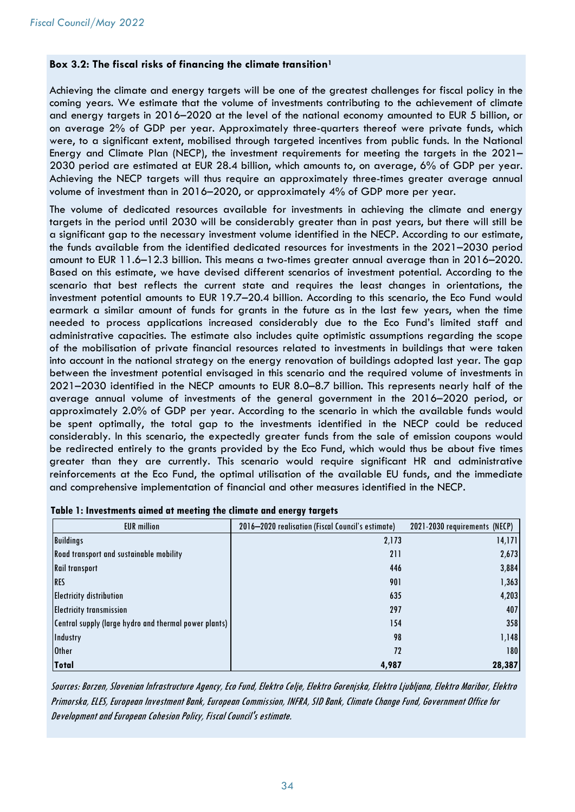### Box 3.2: The fiscal risks of financing the climate transition<sup>1</sup>

Achieving the climate and energy targets will be one of the greatest challenges for fiscal policy in the coming years. We estimate that the volume of investments contributing to the achievement of climate and energy targets in 2016–2020 at the level of the national economy amounted to EUR 5 billion, or on average 2% of GDP per year. Approximately three-quarters thereof were private funds, which were, to a significant extent, mobilised through targeted incentives from public funds. In the National Energy and Climate Plan (NECP), the investment requirements for meeting the targets in the 2021– 2030 period are estimated at EUR 28.4 billion, which amounts to, on average, 6% of GDP per year. Achieving the NECP targets will thus require an approximately three-times greater average annual volume of investment than in 2016–2020, or approximately 4% of GDP more per year.

The volume of dedicated resources available for investments in achieving the climate and energy targets in the period until 2030 will be considerably greater than in past years, but there will still be a significant gap to the necessary investment volume identified in the NECP. According to our estimate, the funds available from the identified dedicated resources for investments in the 2021–2030 period amount to EUR 11.6–12.3 billion. This means a two-times greater annual average than in 2016–2020. Based on this estimate, we have devised different scenarios of investment potential. According to the scenario that best reflects the current state and requires the least changes in orientations, the investment potential amounts to EUR 19.7–20.4 billion. According to this scenario, the Eco Fund would earmark a similar amount of funds for grants in the future as in the last few years, when the time needed to process applications increased considerably due to the Eco Fund's limited staff and administrative capacities. The estimate also includes quite optimistic assumptions regarding the scope of the mobilisation of private financial resources related to investments in buildings that were taken into account in the national strategy on the energy renovation of buildings adopted last year. The gap between the investment potential envisaged in this scenario and the required volume of investments in 2021–2030 identified in the NECP amounts to EUR 8.0–8.7 billion. This represents nearly half of the average annual volume of investments of the general government in the 2016–2020 period, or approximately 2.0% of GDP per year. According to the scenario in which the available funds would be spent optimally, the total gap to the investments identified in the NECP could be reduced considerably. In this scenario, the expectedly greater funds from the sale of emission coupons would be redirected entirely to the grants provided by the Eco Fund, which would thus be about five times greater than they are currently. This scenario would require significant HR and administrative reinforcements at the Eco Fund, the optimal utilisation of the available EU funds, and the immediate and comprehensive implementation of financial and other measures identified in the NECP.

| <b>EUR</b> million                                            | 2016-2020 realisation (Fiscal Council's estimate) | 2021-2030 requirements (NECP) |
|---------------------------------------------------------------|---------------------------------------------------|-------------------------------|
| Buildings                                                     | 2,173                                             | 14,171                        |
| Road transport and sustainable mobility                       | 211                                               | 2,673                         |
| <b>Rail transport</b>                                         | 446                                               | 3,884                         |
| <b>IRES</b>                                                   | 901                                               | 1,363                         |
| <b>Electricity distribution</b>                               | 635                                               | 4,203                         |
| <b>Electricity transmission</b>                               | 297                                               | 407                           |
| <b>[Central supply (large hydro and thermal power plants)</b> | 154                                               | 358                           |
| Industry                                                      | 98                                                | 1,148                         |
| <b>Other</b>                                                  | 72                                                | 180                           |
| <b>Total</b>                                                  | 4,987                                             | 28,387                        |

|  |  |  |  |  | Table 1: Investments aimed at meeting the climate and energy targets |
|--|--|--|--|--|----------------------------------------------------------------------|
|--|--|--|--|--|----------------------------------------------------------------------|

Sources: Borzen, Slovenian Infrastructure Agency, Eco Fund, Elektro Celje, Elektro Gorenjska, Elektro Ljubljana, Elektro Maribor, Elektro Primorska, ELES, European Investment Bank, European Commission, INFRA, SID Bank, Climate Change Fund, Government Office for Development and European Cohesion Policy, Fiscal Council's estimate.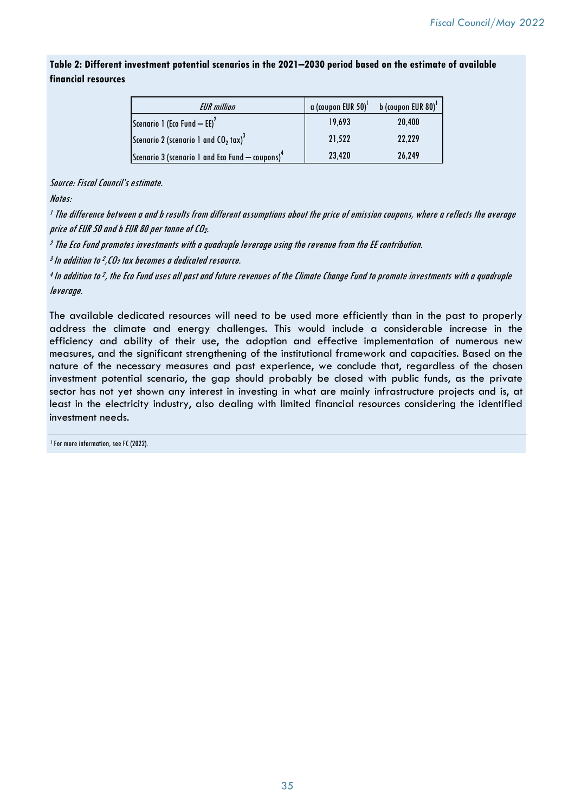Table 2: Different investment potential scenarios in the 2021–2030 period based on the estimate of available financial resources

| <b>EUR</b> million                                          | a (coupon EUR 50) | b (coupon EUR 80) |
|-------------------------------------------------------------|-------------------|-------------------|
| Scenario 1 (Eco Fund $-$ EE) <sup>2</sup>                   | 19,693            | 20,400            |
| Scenario 2 (scenario 1 and $CO2$ tax) <sup>3</sup>          | 21,522            | 22,229            |
| Scenario 3 (scenario 1 and Eco Fund - coupons) <sup>4</sup> | 23,420            | 26.249            |

Source: Fiscal Council's estimate.

Notes:

<sup>1</sup> The difference between a and b results from different assumptions about the price of emission coupons, where a reflects the average price of EUR 50 and b EUR 80 per tonne of CO<sub>2</sub>.

<sup>2</sup> The Eco Fund promotes investments with a quadruple leverage using the revenue from the EE contribution.

 $^{\emph{3}}$  In addition to  $^{\emph{2}}$ ,CO $_{\emph{2}}$  tax becomes a dedicated resource.

4 In addition to 2 , the Eco Fund uses all past and future revenues of the Climate Change Fund to promote investments with a quadruple leverage.

The available dedicated resources will need to be used more efficiently than in the past to properly address the climate and energy challenges. This would include a considerable increase in the efficiency and ability of their use, the adoption and effective implementation of numerous new measures, and the significant strengthening of the institutional framework and capacities. Based on the nature of the necessary measures and past experience, we conclude that, regardless of the chosen investment potential scenario, the gap should probably be closed with public funds, as the private sector has not yet shown any interest in investing in what are mainly infrastructure projects and is, at least in the electricity industry, also dealing with limited financial resources considering the identified investment needs.

<sup>1</sup>For more information, see FC (2022).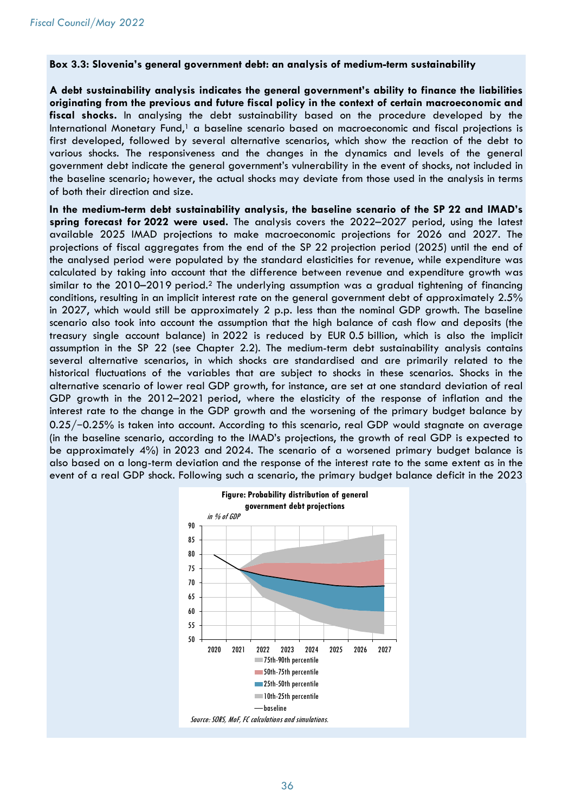Box 3.3: Slovenia's general government debt: an analysis of medium-term sustainability

A debt sustainability analysis indicates the general government's ability to finance the liabilities originating from the previous and future fiscal policy in the context of certain macroeconomic and fiscal shocks. In analysing the debt sustainability based on the procedure developed by the International Monetary Fund,<sup>1</sup> a baseline scenario based on macroeconomic and fiscal projections is first developed, followed by several alternative scenarios, which show the reaction of the debt to various shocks. The responsiveness and the changes in the dynamics and levels of the general government debt indicate the general government's vulnerability in the event of shocks, not included in the baseline scenario; however, the actual shocks may deviate from those used in the analysis in terms of both their direction and size.

In the medium-term debt sustainability analysis, the baseline scenario of the SP 22 and IMAD's spring forecast for 2022 were used. The analysis covers the 2022-2027 period, using the latest available 2025 IMAD projections to make macroeconomic projections for 2026 and 2027. The projections of fiscal aggregates from the end of the SP 22 projection period (2025) until the end of the analysed period were populated by the standard elasticities for revenue, while expenditure was calculated by taking into account that the difference between revenue and expenditure growth was similar to the 2010–2019 period.<sup>2</sup> The underlying assumption was a gradual tightening of financing conditions, resulting in an implicit interest rate on the general government debt of approximately 2.5% in 2027, which would still be approximately 2 p.p. less than the nominal GDP growth. The baseline scenario also took into account the assumption that the high balance of cash flow and deposits (the treasury single account balance) in 2022 is reduced by EUR 0.5 billion, which is also the implicit assumption in the SP 22 (see Chapter 2.2). The medium-term debt sustainability analysis contains several alternative scenarios, in which shocks are standardised and are primarily related to the historical fluctuations of the variables that are subject to shocks in these scenarios. Shocks in the alternative scenario of lower real GDP growth, for instance, are set at one standard deviation of real GDP growth in the 2012–2021 period, where the elasticity of the response of inflation and the interest rate to the change in the GDP growth and the worsening of the primary budget balance by  $0.25/-0.25%$  is taken into account. According to this scenario, real GDP would stagnate on average (in the baseline scenario, according to the IMAD's projections, the growth of real GDP is expected to be approximately 4%) in 2023 and 2024. The scenario of a worsened primary budget balance is also based on a long-term deviation and the response of the interest rate to the same extent as in the event of a real GDP shock. Following such a scenario, the primary budget balance deficit in the 2023

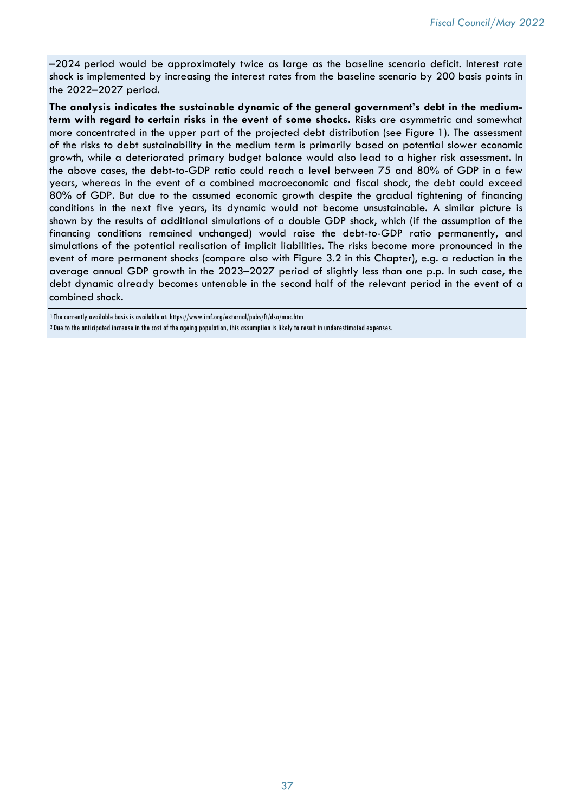–2024 period would be approximately twice as large as the baseline scenario deficit. Interest rate shock is implemented by increasing the interest rates from the baseline scenario by 200 basis points in the 2022–2027 period.

The analysis indicates the sustainable dynamic of the general government's debt in the mediumterm with regard to certain risks in the event of some shocks. Risks are asymmetric and somewhat more concentrated in the upper part of the projected debt distribution (see Figure 1). The assessment of the risks to debt sustainability in the medium term is primarily based on potential slower economic growth, while a deteriorated primary budget balance would also lead to a higher risk assessment. In the above cases, the debt-to-GDP ratio could reach a level between 75 and 80% of GDP in a few years, whereas in the event of a combined macroeconomic and fiscal shock, the debt could exceed 80% of GDP. But due to the assumed economic growth despite the gradual tightening of financing conditions in the next five years, its dynamic would not become unsustainable. A similar picture is shown by the results of additional simulations of a double GDP shock, which (if the assumption of the financing conditions remained unchanged) would raise the debt-to-GDP ratio permanently, and simulations of the potential realisation of implicit liabilities. The risks become more pronounced in the event of more permanent shocks (compare also with Figure 3.2 in this Chapter), e.g. a reduction in the average annual GDP growth in the 2023–2027 period of slightly less than one p.p. In such case, the debt dynamic already becomes untenable in the second half of the relevant period in the event of a combined shock.

2 Due to the anticipated increase in the cost of the ageing population, this assumption is likely to result in underestimated expenses.

<sup>1</sup>The currently available basis is available at: https://www.imf.org/external/pubs/ft/dsa/mac.htm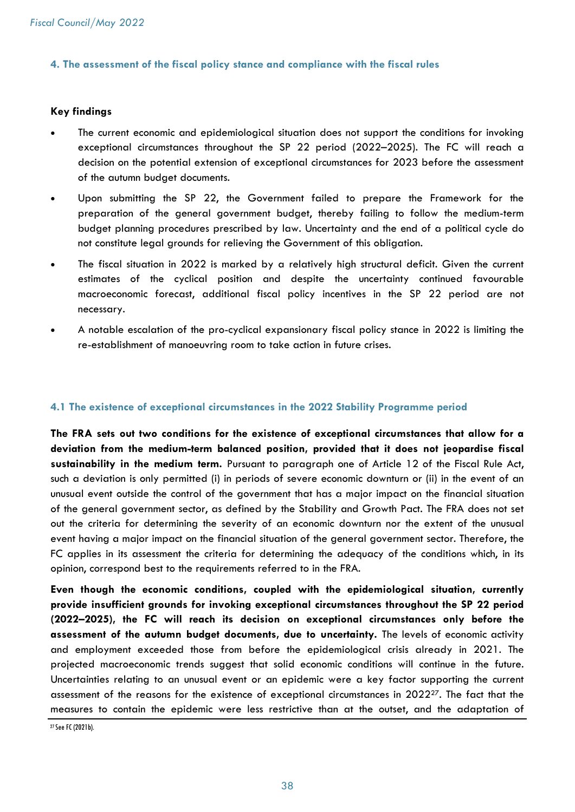4. The assessment of the fiscal policy stance and compliance with the fiscal rules

### Key findings

- · The current economic and epidemiological situation does not support the conditions for invoking exceptional circumstances throughout the SP 22 period (2022–2025). The FC will reach a decision on the potential extension of exceptional circumstances for 2023 before the assessment of the autumn budget documents.
- · Upon submitting the SP 22, the Government failed to prepare the Framework for the preparation of the general government budget, thereby failing to follow the medium-term budget planning procedures prescribed by law. Uncertainty and the end of a political cycle do not constitute legal grounds for relieving the Government of this obligation.
- · The fiscal situation in 2022 is marked by a relatively high structural deficit. Given the current estimates of the cyclical position and despite the uncertainty continued favourable macroeconomic forecast, additional fiscal policy incentives in the SP 22 period are not necessary.
- · A notable escalation of the pro-cyclical expansionary fiscal policy stance in 2022 is limiting the re-establishment of manoeuvring room to take action in future crises.

### 4.1 The existence of exceptional circumstances in the 2022 Stability Programme period

The FRA sets out two conditions for the existence of exceptional circumstances that allow for a deviation from the medium-term balanced position, provided that it does not jeopardise fiscal sustainability in the medium term. Pursuant to paragraph one of Article 12 of the Fiscal Rule Act, such a deviation is only permitted (i) in periods of severe economic downturn or (ii) in the event of an unusual event outside the control of the government that has a major impact on the financial situation of the general government sector, as defined by the Stability and Growth Pact. The FRA does not set out the criteria for determining the severity of an economic downturn nor the extent of the unusual event having a major impact on the financial situation of the general government sector. Therefore, the FC applies in its assessment the criteria for determining the adequacy of the conditions which, in its opinion, correspond best to the requirements referred to in the FRA.

Even though the economic conditions, coupled with the epidemiological situation, currently provide insufficient grounds for invoking exceptional circumstances throughout the SP 22 period (2022–2025), the FC will reach its decision on exceptional circumstances only before the assessment of the autumn budget documents, due to uncertainty. The levels of economic activity and employment exceeded those from before the epidemiological crisis already in 2021. The projected macroeconomic trends suggest that solid economic conditions will continue in the future. Uncertainties relating to an unusual event or an epidemic were a key factor supporting the current assessment of the reasons for the existence of exceptional circumstances in 202227. The fact that the measures to contain the epidemic were less restrictive than at the outset, and the adaptation of

<sup>27</sup> See FC (2021b).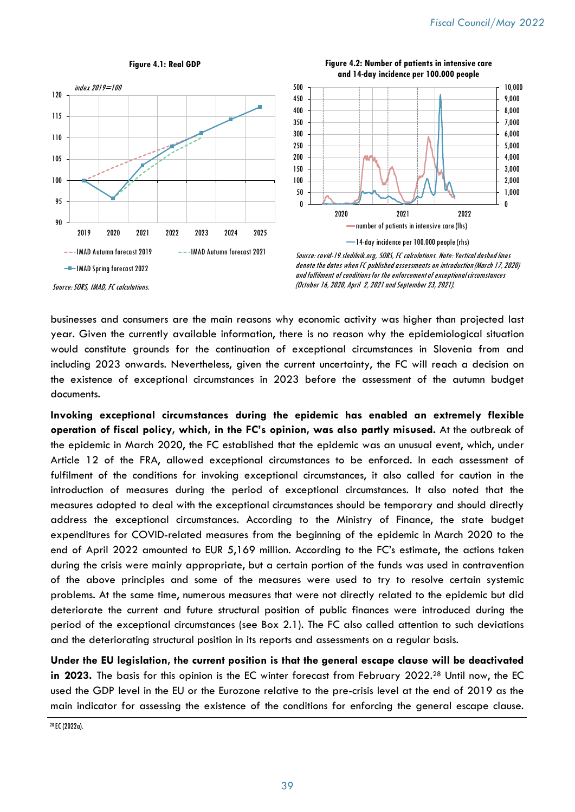

### Figure 4.1: Real GDP

0 1,000 2,000 3,000 4,000 5,000 6,000 7,000 8,000 9,000 10,000 0 50 100 150 200 250 300 350 400 450 500 2020 2021 2022 number of patients in intensive care (lhs) and 14-day incidence per 100.000 people

Figure 4.2: Number of patients in intensive care

14-day incidence per 100.000 people (rhs)

Source: SORS, IMAD, FC calculations.

businesses and consumers are the main reasons why economic activity was higher than projected last year. Given the currently available information, there is no reason why the epidemiological situation would constitute grounds for the continuation of exceptional circumstances in Slovenia from and including 2023 onwards. Nevertheless, given the current uncertainty, the FC will reach a decision on the existence of exceptional circumstances in 2023 before the assessment of the autumn budget documents.

Invoking exceptional circumstances during the epidemic has enabled an extremely flexible operation of fiscal policy, which, in the FC's opinion, was also partly misused. At the outbreak of the epidemic in March 2020, the FC established that the epidemic was an unusual event, which, under Article 12 of the FRA, allowed exceptional circumstances to be enforced. In each assessment of fulfilment of the conditions for invoking exceptional circumstances, it also called for caution in the introduction of measures during the period of exceptional circumstances. It also noted that the measures adopted to deal with the exceptional circumstances should be temporary and should directly address the exceptional circumstances. According to the Ministry of Finance, the state budget expenditures for COVID-related measures from the beginning of the epidemic in March 2020 to the end of April 2022 amounted to EUR 5,169 million. According to the FC's estimate, the actions taken during the crisis were mainly appropriate, but a certain portion of the funds was used in contravention of the above principles and some of the measures were used to try to resolve certain systemic problems. At the same time, numerous measures that were not directly related to the epidemic but did deteriorate the current and future structural position of public finances were introduced during the period of the exceptional circumstances (see Box 2.1). The FC also called attention to such deviations and the deteriorating structural position in its reports and assessments on a regular basis.

Under the EU legislation, the current position is that the general escape clause will be deactivated in 2023. The basis for this opinion is the EC winter forecast from February 2022.<sup>28</sup> Until now, the EC used the GDP level in the EU or the Eurozone relative to the pre-crisis level at the end of 2019 as the main indicator for assessing the existence of the conditions for enforcing the general escape clause.

<sup>28</sup> EC (2022a).

Source: covid-19.sledilnik.org, SORS, FC calculations. Note: Vertical dashed lines denote the dates when FC published assessments on introduction (March 17, 2020) and fulfilment of conditions for the enforcement of exceptional circumstances (October 16, 2020, April 2, 2021 and September 23, 2021).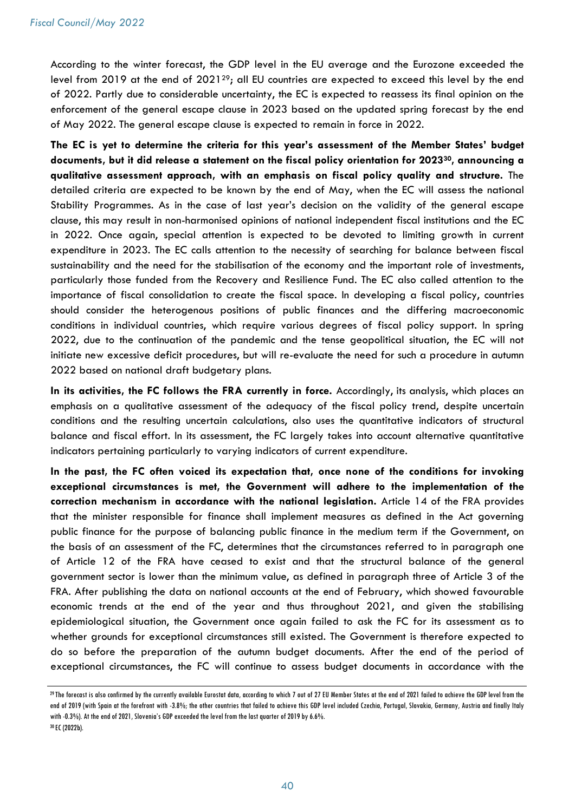According to the winter forecast, the GDP level in the EU average and the Eurozone exceeded the level from 2019 at the end of  $2021^{29}$ ; all EU countries are expected to exceed this level by the end of 2022. Partly due to considerable uncertainty, the EC is expected to reassess its final opinion on the enforcement of the general escape clause in 2023 based on the updated spring forecast by the end of May 2022. The general escape clause is expected to remain in force in 2022.

The EC is yet to determine the criteria for this year's assessment of the Member States' budget documents, but it did release a statement on the fiscal policy orientation for 202330, announcing a qualitative assessment approach, with an emphasis on fiscal policy quality and structure. The detailed criteria are expected to be known by the end of May, when the EC will assess the national Stability Programmes. As in the case of last year's decision on the validity of the general escape clause, this may result in non-harmonised opinions of national independent fiscal institutions and the EC in 2022. Once again, special attention is expected to be devoted to limiting growth in current expenditure in 2023. The EC calls attention to the necessity of searching for balance between fiscal sustainability and the need for the stabilisation of the economy and the important role of investments, particularly those funded from the Recovery and Resilience Fund. The EC also called attention to the importance of fiscal consolidation to create the fiscal space. In developing a fiscal policy, countries should consider the heterogenous positions of public finances and the differing macroeconomic conditions in individual countries, which require various degrees of fiscal policy support. In spring 2022, due to the continuation of the pandemic and the tense geopolitical situation, the EC will not initiate new excessive deficit procedures, but will re-evaluate the need for such a procedure in autumn 2022 based on national draft budgetary plans.

In its activities, the FC follows the FRA currently in force. Accordingly, its analysis, which places an emphasis on a qualitative assessment of the adequacy of the fiscal policy trend, despite uncertain conditions and the resulting uncertain calculations, also uses the quantitative indicators of structural balance and fiscal effort. In its assessment, the FC largely takes into account alternative quantitative indicators pertaining particularly to varying indicators of current expenditure.

In the past, the FC often voiced its expectation that, once none of the conditions for invoking exceptional circumstances is met, the Government will adhere to the implementation of the correction mechanism in accordance with the national legislation. Article 14 of the FRA provides that the minister responsible for finance shall implement measures as defined in the Act governing public finance for the purpose of balancing public finance in the medium term if the Government, on the basis of an assessment of the FC, determines that the circumstances referred to in paragraph one of Article 12 of the FRA have ceased to exist and that the structural balance of the general government sector is lower than the minimum value, as defined in paragraph three of Article 3 of the FRA. After publishing the data on national accounts at the end of February, which showed favourable economic trends at the end of the year and thus throughout 2021, and given the stabilising epidemiological situation, the Government once again failed to ask the FC for its assessment as to whether grounds for exceptional circumstances still existed. The Government is therefore expected to do so before the preparation of the autumn budget documents. After the end of the period of exceptional circumstances, the FC will continue to assess budget documents in accordance with the

<sup>29</sup>The forecast is also confirmed by the currently available Eurostat data, according to which 7 out of 27 EU Member States at the end of 2021 failed to achieve the GDP level from the end of 2019 (with Spain at the forefront with -3.8%; the other countries that failed to achieve this GDP level included Czechia, Portugal, Slovakia, Germany, Austria and finally Italy with -0.3%). At the end of 2021, Slovenia's GDP exceeded the level from the last quarter of 2019 by 6.6%. 30 EC (2022b).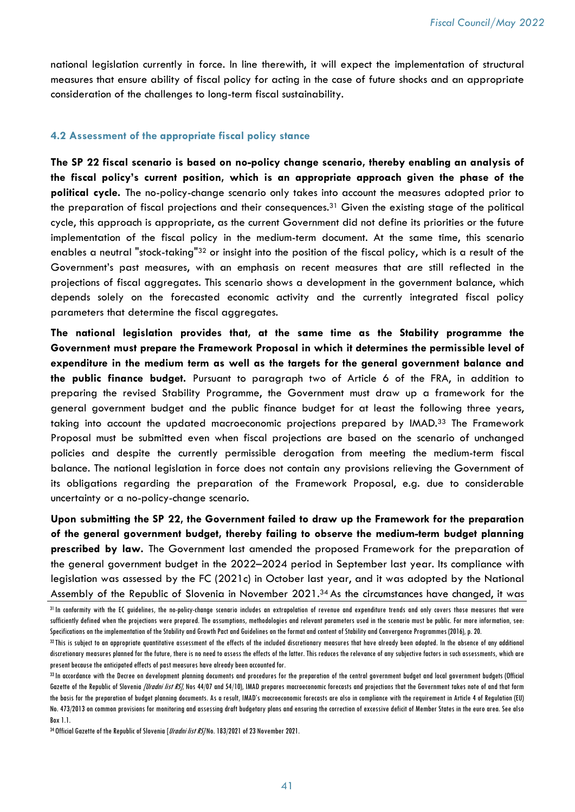national legislation currently in force. In line therewith, it will expect the implementation of structural measures that ensure ability of fiscal policy for acting in the case of future shocks and an appropriate consideration of the challenges to long-term fiscal sustainability.

### 4.2 Assessment of the appropriate fiscal policy stance

The SP 22 fiscal scenario is based on no-policy change scenario, thereby enabling an analysis of the fiscal policy's current position, which is an appropriate approach given the phase of the political cycle. The no-policy-change scenario only takes into account the measures adopted prior to the preparation of fiscal projections and their consequences.<sup>31</sup> Given the existing stage of the political cycle, this approach is appropriate, as the current Government did not define its priorities or the future implementation of the fiscal policy in the medium-term document. At the same time, this scenario enables a neutral "stock-taking"<sup>32</sup> or insight into the position of the fiscal policy, which is a result of the Government's past measures, with an emphasis on recent measures that are still reflected in the projections of fiscal aggregates. This scenario shows a development in the government balance, which depends solely on the forecasted economic activity and the currently integrated fiscal policy parameters that determine the fiscal aggregates.

The national legislation provides that, at the same time as the Stability programme the Government must prepare the Framework Proposal in which it determines the permissible level of expenditure in the medium term as well as the targets for the general government balance and the public finance budget. Pursuant to paragraph two of Article 6 of the FRA, in addition to preparing the revised Stability Programme, the Government must draw up a framework for the general government budget and the public finance budget for at least the following three years, taking into account the updated macroeconomic projections prepared by IMAD.<sup>33</sup> The Framework Proposal must be submitted even when fiscal projections are based on the scenario of unchanged policies and despite the currently permissible derogation from meeting the medium-term fiscal balance. The national legislation in force does not contain any provisions relieving the Government of its obligations regarding the preparation of the Framework Proposal, e.g. due to considerable uncertainty or a no-policy-change scenario.

Upon submitting the SP 22, the Government failed to draw up the Framework for the preparation of the general government budget, thereby failing to observe the medium-term budget planning prescribed by law. The Government last amended the proposed Framework for the preparation of the general government budget in the 2022–2024 period in September last year. Its compliance with legislation was assessed by the FC (2021c) in October last year, and it was adopted by the National Assembly of the Republic of Slovenia in November 2021.34 As the circumstances have changed, it was

<sup>34</sup> Official Gazette of the Republic of Slovenia [Uradni list RS/No. 183/2021 of 23 November 2021.

<sup>31</sup>In conformity with the EC guidelines, the no-policy-change scenario includes an extrapolation of revenue and expenditure trends and only covers those measures that were sufficiently defined when the projections were prepared. The assumptions, methodologies and relevant parameters used in the scenario must be public. For more information, see: Specifications on the implementation of the Stability and Growth Pact and Guidelines on the format and content of Stability and Convergence Programmes (2016), p. 20.

<sup>32</sup>This is subject to an appropriate quantitative assessment of the effects of the included discretionary measures that have already been adopted. In the absence of any additional discretionary measures planned for the future, there is no need to assess the effects of the latter. This reduces the relevance of any subjective factors in such assessments, which are present because the anticipated effects of past measures have already been accounted for.

<sup>33</sup>In accordance with the Decree on development planning documents and procedures for the preparation of the central government budget and local government budgets (Official Gazette of the Republic of Slovenia *[Uradni list RS]*, Nos 44/07 and 54/10), IMAD prepares macroeconomic forecasts and projections that the Government takes note of and that form the basis for the preparation of budget planning documents. As a result, IMAD's macroeconomic forecasts are also in compliance with the requirement in Article 4 of Regulation (EU) No. 473/2013 on common provisions for monitoring and assessing draft budgetary plans and ensuring the correction of excessive deficit of Member States in the euro area. See also Box 1.1.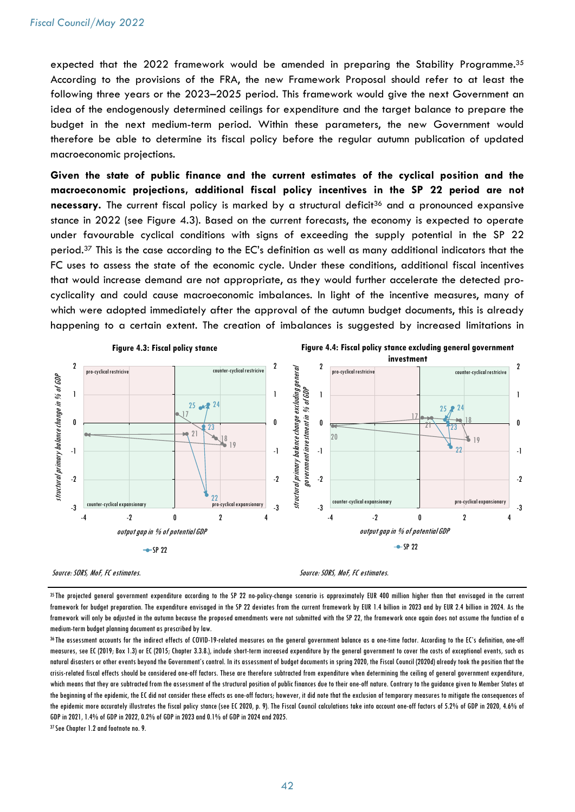expected that the 2022 framework would be amended in preparing the Stability Programme.<sup>35</sup> According to the provisions of the FRA, the new Framework Proposal should refer to at least the following three years or the 2023–2025 period. This framework would give the next Government an idea of the endogenously determined ceilings for expenditure and the target balance to prepare the budget in the next medium-term period. Within these parameters, the new Government would therefore be able to determine its fiscal policy before the regular autumn publication of updated macroeconomic projections.

Given the state of public finance and the current estimates of the cyclical position and the macroeconomic projections, additional fiscal policy incentives in the SP 22 period are not necessary. The current fiscal policy is marked by a structural deficit<sup>36</sup> and a pronounced expansive stance in 2022 (see Figure 4.3). Based on the current forecasts, the economy is expected to operate under favourable cyclical conditions with signs of exceeding the supply potential in the SP 22 period.<sup>37</sup> This is the case according to the EC's definition as well as many additional indicators that the FC uses to assess the state of the economic cycle. Under these conditions, additional fiscal incentives that would increase demand are not appropriate, as they would further accelerate the detected procyclicality and could cause macroeconomic imbalances. In light of the incentive measures, many of which were adopted immediately after the approval of the autumn budget documents, this is already happening to a certain extent. The creation of imbalances is suggested by increased limitations in



Source: SORS, MoF, FC estimates.

Source: SORS, MoF, FC estimates.

<sup>35</sup>The projected general government expenditure according to the SP 22 no-policy-change scenario is approximately EUR 400 million higher than that envisaged in the current framework for budget preparation. The expenditure envisaged in the SP 22 deviates from the current framework by EUR 1.4 billion in 2023 and by EUR 2.4 billion in 2024. As the framework will only be adjusted in the autumn because the proposed amendments were not submitted with the SP 22, the framework once again does not assume the function of a medium-term budget planning document as prescribed by law.

<sup>36</sup>The assessment accounts for the indirect effects of COVID-19-related measures on the general government balance as a one-time factor. According to the EC's definition, one-off measures, see EC (2019; Box 1.3) or EC (2015; Chapter 3.3.8.), include short-term increased expenditure by the general government to cover the costs of exceptional events, such as natural disasters or other events beyond the Government's control. In its assessment of budget documents in spring 2020, the Fiscal Council (2020d) already took the position that the crisis-related fiscal effects should be considered one-off factors. These are therefore subtracted from expenditure when determining the ceiling of general government expenditure, which means that they are subtracted from the assessment of the structural position of public finances due to their one-off nature. Contrary to the guidance given to Member States at the beginning of the epidemic, the EC did not consider these effects as one-off factors; however, it did note that the exclusion of temporary measures to mitigate the consequences of the epidemic more accurately illustrates the fiscal policy stance (see EC 2020, p. 9). The Fiscal Council calculations take into account one-off factors of 5.2% of GDP in 2020, 4.6% of GDP in 2021, 1.4% of GDP in 2022, 0.2% of GDP in 2023 and 0.1% of GDP in 2024 and 2025.

<sup>37</sup>See Chapter 1.2 and footnote no. 9.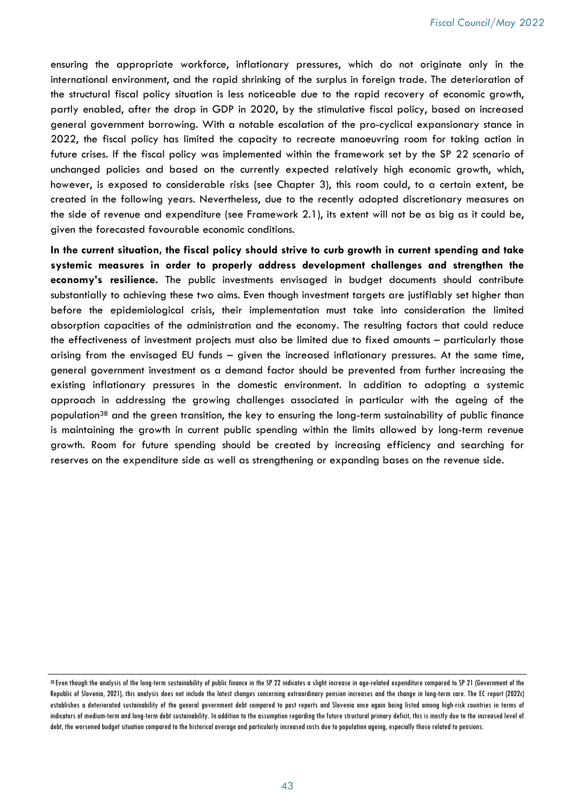ensuring the appropriate workforce, inflationary pressures, which do not originate only in the international environment, and the rapid shrinking of the surplus in foreign trade. The deterioration of the structural fiscal policy situation is less noticeable due to the rapid recovery of economic growth, partly enabled, after the drop in GDP in 2020, by the stimulative fiscal policy, based on increased general government borrowing. With a notable escalation of the pro-cyclical expansionary stance in 2022, the fiscal policy has limited the capacity to recreate manoeuvring room for taking action in future crises. If the fiscal policy was implemented within the framework set by the SP 22 scenario of unchanged policies and based on the currently expected relatively high economic growth, which, however, is exposed to considerable risks (see Chapter 3), this room could, to a certain extent, be created in the following years. Nevertheless, due to the recently adopted discretionary measures on the side of revenue and expenditure (see Framework 2.1), its extent will not be as big as it could be, given the forecasted favourable economic conditions.

In the current situation, the fiscal policy should strive to curb growth in current spending and take systemic measures in order to properly address development challenges and strengthen the economy's resilience. The public investments envisaged in budget documents should contribute substantially to achieving these two aims. Even though investment targets are justifiably set higher than before the epidemiological crisis, their implementation must take into consideration the limited absorption capacities of the administration and the economy. The resulting factors that could reduce the effectiveness of investment projects must also be limited due to fixed amounts – particularly those arising from the envisaged EU funds – given the increased inflationary pressures. At the same time, general government investment as a demand factor should be prevented from further increasing the existing inflationary pressures in the domestic environment. In addition to adopting a systemic approach in addressing the growing challenges associated in particular with the ageing of the population<sup>38</sup> and the green transition, the key to ensuring the long-term sustainability of public finance is maintaining the growth in current public spending within the limits allowed by long-term revenue growth. Room for future spending should be created by increasing efficiency and searching for reserves on the expenditure side as well as strengthening or expanding bases on the revenue side.

<sup>38</sup> Even though the analysis of the long-term sustainability of public finance in the SP 22 indicates a slight increase in age-related expenditure compared to SP 21 (Government of the Republic of Slovenia, 2021), this analysis does not include the latest changes concerning extraordinary pension increases and the change in long-term care. The EC report (2022c) establishes a deteriorated sustainability of the general government debt compared to past reports and Slovenia once again being listed among high-risk countries in terms of indicators of medium-term and long-term debt sustainability. In addition to the assumption regarding the future structural primary deficit, this is mostly due to the increased level of debt, the worsened budget situation compared to the historical average and particularly increased costs due to population ageing, especially those related to pensions.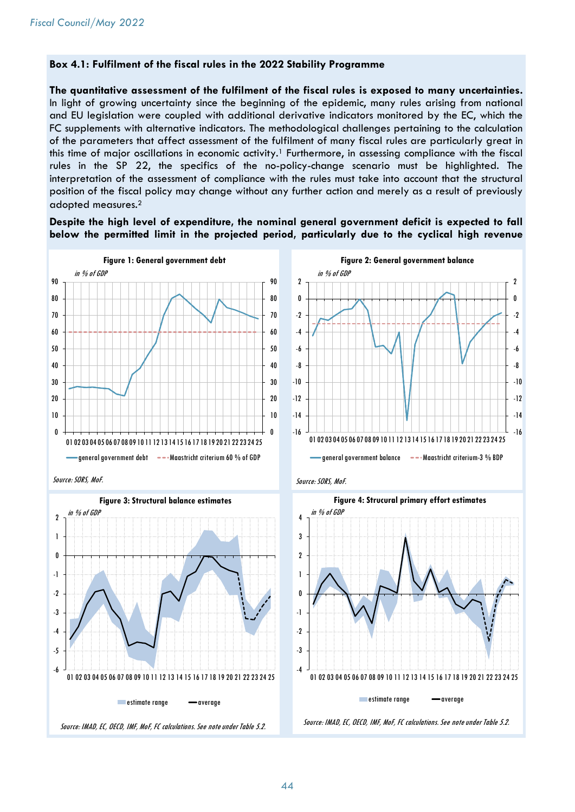## Box 4.1: Fulfilment of the fiscal rules in the 2022 Stability Programme

The quantitative assessment of the fulfilment of the fiscal rules is exposed to many uncertainties. In light of growing uncertainty since the beginning of the epidemic, many rules arising from national and EU legislation were coupled with additional derivative indicators monitored by the EC, which the FC supplements with alternative indicators. The methodological challenges pertaining to the calculation of the parameters that affect assessment of the fulfilment of many fiscal rules are particularly great in this time of major oscillations in economic activity.<sup>1</sup> Furthermore, in assessing compliance with the fiscal rules in the SP 22, the specifics of the no-policy-change scenario must be highlighted. The interpretation of the assessment of compliance with the rules must take into account that the structural position of the fiscal policy may change without any further action and merely as a result of previously adopted measures.<sup>2</sup>

### Despite the high level of expenditure, the nominal general government deficit is expected to fall below the permitted limit in the projected period, particularly due to the cyclical high revenue

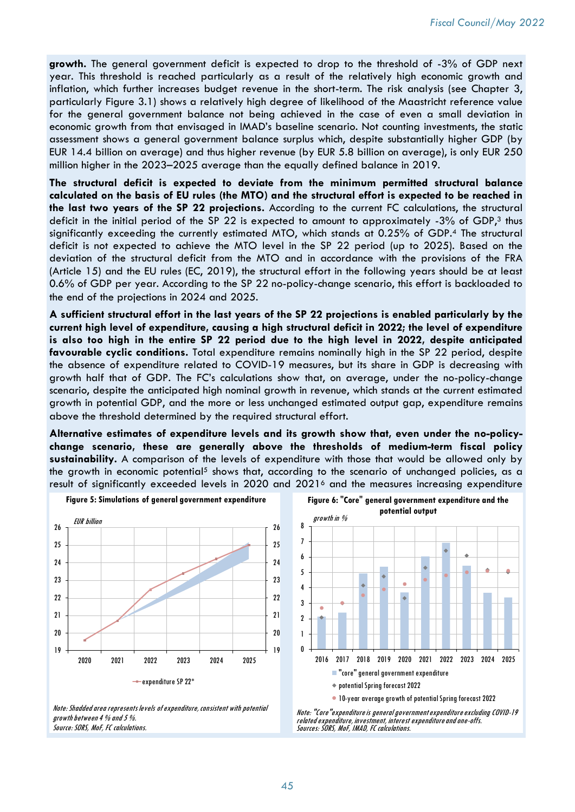growth. The general government deficit is expected to drop to the threshold of -3% of GDP next year. This threshold is reached particularly as a result of the relatively high economic growth and inflation, which further increases budget revenue in the short-term. The risk analysis (see Chapter 3, particularly Figure 3.1) shows a relatively high degree of likelihood of the Maastricht reference value for the general government balance not being achieved in the case of even a small deviation in economic growth from that envisaged in IMAD's baseline scenario. Not counting investments, the static assessment shows a general government balance surplus which, despite substantially higher GDP (by EUR 14.4 billion on average) and thus higher revenue (by EUR 5.8 billion on average), is only EUR 250 million higher in the 2023–2025 average than the equally defined balance in 2019.

The structural deficit is expected to deviate from the minimum permitted structural balance calculated on the basis of EU rules (the MTO) and the structural effort is expected to be reached in the last two years of the SP 22 projections. According to the current FC calculations, the structural deficit in the initial period of the SP 22 is expected to amount to approximately -3% of GDP,<sup>3</sup> thus significantly exceeding the currently estimated MTO, which stands at 0.25% of GDP.<sup>4</sup> The structural deficit is not expected to achieve the MTO level in the SP 22 period (up to 2025). Based on the deviation of the structural deficit from the MTO and in accordance with the provisions of the FRA (Article 15) and the EU rules (EC, 2019), the structural effort in the following years should be at least 0.6% of GDP per year. According to the SP 22 no-policy-change scenario, this effort is backloaded to the end of the projections in 2024 and 2025.

A sufficient structural effort in the last years of the SP 22 projections is enabled particularly by the current high level of expenditure, causing a high structural deficit in 2022; the level of expenditure is also too high in the entire SP 22 period due to the high level in 2022, despite anticipated favourable cyclic conditions. Total expenditure remains nominally high in the SP 22 period, despite the absence of expenditure related to COVID-19 measures, but its share in GDP is decreasing with growth half that of GDP. The FC's calculations show that, on average, under the no-policy-change scenario, despite the anticipated high nominal growth in revenue, which stands at the current estimated growth in potential GDP, and the more or less unchanged estimated output gap, expenditure remains above the threshold determined by the required structural effort.

Alternative estimates of expenditure levels and its growth show that, even under the no-policychange scenario, these are generally above the thresholds of medium-term fiscal policy sustainability. A comparison of the levels of expenditure with those that would be allowed only by the growth in economic potential<sup>5</sup> shows that, according to the scenario of unchanged policies, as a result of significantly exceeded levels in 2020 and 2021<sup>6</sup> and the measures increasing expenditure



Source: SORS, MoF, FC calculations.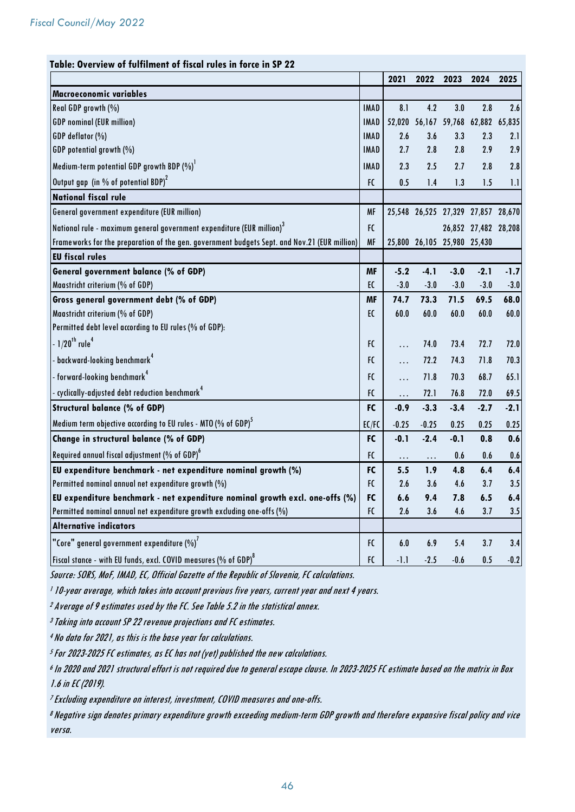### Table: Overview of fulfilment of fiscal rules in force in SP 22

|                                                                                              |             | 2021     | 2022    | 2023                               | 2024                 | 2025    |
|----------------------------------------------------------------------------------------------|-------------|----------|---------|------------------------------------|----------------------|---------|
| Macroeconomic variables                                                                      |             |          |         |                                    |                      |         |
| Real GDP growth (%)                                                                          | <b>IMAD</b> | 8.1      | 4.2     | 3.0                                | 2.8                  | 2.6     |
| <b>GDP</b> nominal (EUR million)                                                             | <b>IMAD</b> | 52,020   |         | 56,167 59,768 62,882 65,835        |                      |         |
| GDP deflator (%)                                                                             | <b>IMAD</b> | 2.6      | 3.6     | 3.3                                | 2.3                  | 2.1     |
| GDP potential growth (%)                                                                     | <b>IMAD</b> | 2.7      | 2.8     | 2.8                                | 2.9                  | 2.9     |
| Medium-term potential GDP growth BDP $(\%)^1$                                                | <b>IMAD</b> | 2.3      | 2.5     | 2.7                                | 2.8                  | 2.8     |
| Output gap (in $\%$ of potential BDP) <sup>2</sup>                                           | $F$ $C$     | 0.5      | 1.4     | 1.3                                | 1.5                  | 1.1     |
| <b>National fiscal rule</b>                                                                  |             |          |         |                                    |                      |         |
| General government expenditure (EUR million)                                                 | МF          |          |         | 25,548 26,525 27,329 27,857 28,670 |                      |         |
| National rule - maximum general government expenditure (EUR million) <sup>3</sup>            | $F$ $C$     |          |         |                                    | 26,852 27,482 28,208 |         |
| Frameworks for the preparation of the gen. government budgets Sept. and Nov.21 (EUR million) | <b>MF</b>   |          |         | 25,800 26,105 25,980 25,430        |                      |         |
| <b>EU</b> fiscal rules                                                                       |             |          |         |                                    |                      |         |
| General government balance (% of GDP)                                                        | <b>MF</b>   | $-5.2$   | $-4.1$  | $-3.0$                             | $-2.1$               | $-1.7$  |
| Maastricht criterium (% of GDP)                                                              | E           | $-3.0$   | $-3.0$  | $-3.0$                             | $-3.0$               | $-3.0$  |
| Gross general government debt (% of GDP)                                                     | <b>MF</b>   | 74.7     | 73.3    | 71.5                               | 69.5                 | 68.0    |
| Maastricht criterium (% of GDP)                                                              | EC.         | 60.0     | 60.0    | 60.0                               | 60.0                 | 60.0    |
| Permitted debt level according to EU rules (% of GDP):                                       |             |          |         |                                    |                      |         |
| $-1/20^{th}$ rule <sup>4</sup>                                                               | FC.         | .        | 74.0    | 73.4                               | 72.7                 | 72.0    |
| - backward-looking benchmark <sup>4</sup>                                                    | FC.         | .        | 72.2    | 74.3                               | 71.8                 | 70.3    |
| - forward-looking benchmark <sup>4</sup>                                                     | F()         | .        | 71.8    | 70.3                               | 68.7                 | 65.1    |
| - cyclically-adjusted debt reduction benchmark <sup>4</sup>                                  | $F$ C       | .        | 72.1    | 76.8                               | 72.0                 | 69.5    |
| <b>Structural balance (% of GDP)</b>                                                         | FC          | $-0.9$   | $-3.3$  | $-3.4$                             | $-2.7$               | $-2.1$  |
| Medium term objective according to EU rules - MTO (% of GDP) $^5$                            | $E$ $F$ $C$ | $-0.25$  | $-0.25$ | 0.25                               | 0.25                 | 0.25    |
| Change in structural balance (% of GDP)                                                      | FC          | $-0.1$   | $-2.4$  | $-0.1$                             | 0.8                  | 0.6     |
| Required annual fiscal adjustment ( $\%$ of GDP) $^6$                                        | F           | $\cdots$ | .       | 0.6                                | 0.6                  | $0.6\,$ |
| EU expenditure benchmark - net expenditure nominal growth (%)                                | FC          | 5.5      | 1.9     | 4.8                                | 6.4                  | 6.4     |
| Permitted nominal annual net expenditure growth (%)                                          | FC.         | 2.6      | 3.6     | 4.6                                | 3.7                  | 3.5     |
| EU expenditure benchmark - net expenditure nominal growth excl. one-offs (%)                 | FC          | 6.6      | 9.4     | 7.8                                | 6.5                  | 6.4     |
| Permitted nominal annual net expenditure growth excluding one-offs (%)                       | $F$ $C$     | 2.6      | 3.6     | 4.6                                | 3.7                  | 3.5     |
| <b>Alternative indicators</b>                                                                |             |          |         |                                    |                      |         |
| "Core" general government expenditure $\left(\% \right)^7$                                   | F           | 6.0      | 6.9     | 5.4                                | 3.7                  | 3.4     |
| $\vert$ Fiscal stance - with EU funds, excl. COVID measures (% of GDP) $^8$                  | FC          | $-1.1$   | $-2.5$  | $-0.6$                             | 0.5                  | $-0.2$  |

Source: SORS, MoF, IMAD, EC, Official Gazette of the Republic of Slovenia, FC calculations.

<sup>1</sup> 10-year average, which takes into account previous five years, current year and next 4 years.

<sup>2</sup>Average of 9 estimates used by the FC. See Table 5.2 in the statistical annex.

<sup>3</sup>Taking into account SP 22 revenue projections and FC estimates.

<sup>4</sup>No data for 2021, as this is the base year for calculations.

<sup>5</sup>For 2023-2025 FC estimates, as EC has not (yet) published the new calculations.

6 In 2020 and 2021 structural effort is not required due to general escape clause. In 2023-2025 FC estimate based on the matrix in Box 1.6 in EC (2019).

<sup>7</sup>Excluding expenditure on interest, investment, COVID measures and one-offs.

<sup>8</sup>Negative sign denotes primary expenditure growth exceeding medium-term GDP growth and therefore expansive fiscal policy and vice versa.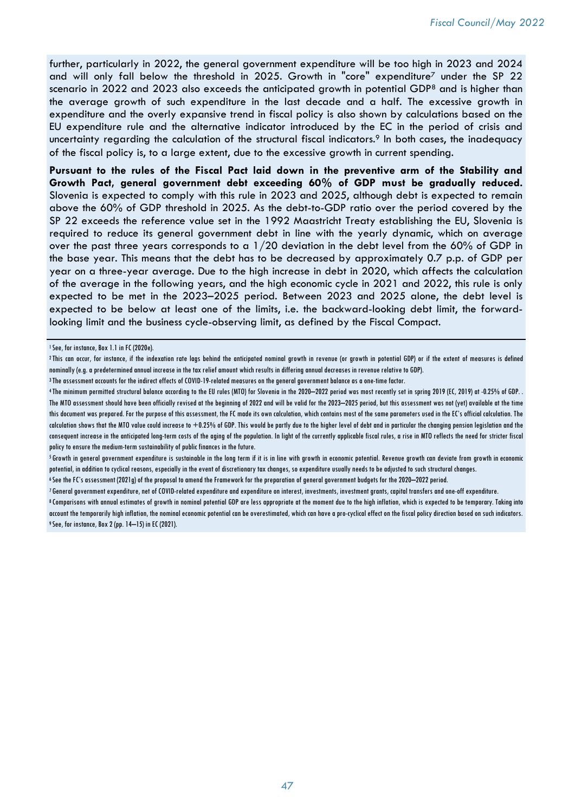further, particularly in 2022, the general government expenditure will be too high in 2023 and 2024 and will only fall below the threshold in 2025. Growth in "core" expenditure<sup>7</sup> under the SP 22 scenario in 2022 and 2023 also exceeds the anticipated growth in potential GDP<sup>8</sup> and is higher than the average growth of such expenditure in the last decade and a half. The excessive growth in expenditure and the overly expansive trend in fiscal policy is also shown by calculations based on the EU expenditure rule and the alternative indicator introduced by the EC in the period of crisis and uncertainty regarding the calculation of the structural fiscal indicators.<sup>9</sup> In both cases, the inadequacy of the fiscal policy is, to a large extent, due to the excessive growth in current spending.

Pursuant to the rules of the Fiscal Pact laid down in the preventive arm of the Stability and Growth Pact, general government debt exceeding 60% of GDP must be gradually reduced. Slovenia is expected to comply with this rule in 2023 and 2025, although debt is expected to remain above the 60% of GDP threshold in 2025. As the debt-to-GDP ratio over the period covered by the SP 22 exceeds the reference value set in the 1992 Maastricht Treaty establishing the EU, Slovenia is required to reduce its general government debt in line with the yearly dynamic, which on average over the past three years corresponds to a  $1/20$  deviation in the debt level from the 60% of GDP in the base year. This means that the debt has to be decreased by approximately 0.7 p.p. of GDP per year on a three-year average. Due to the high increase in debt in 2020, which affects the calculation of the average in the following years, and the high economic cycle in 2021 and 2022, this rule is only expected to be met in the 2023–2025 period. Between 2023 and 2025 alone, the debt level is expected to be below at least one of the limits, i.e. the backward-looking debt limit, the forwardlooking limit and the business cycle-observing limit, as defined by the Fiscal Compact.

<sup>5</sup>Growth in general government expenditure is sustainable in the long term if it is in line with growth in economic potential. Revenue growth can deviate from growth in economic potential, in addition to cyclical reasons, especially in the event of discretionary tax changes, so expenditure usually needs to be adjusted to such structural changes.

<sup>6</sup>See the FC's assessment (2021g) of the proposal to amend the Framework for the preparation of general government budgets for the2020–2022 period.

<sup>7</sup>General government expenditure, net of COVID-related expenditure and expenditure on interest, investments, investment grants, capital transfers and one-off expenditure.

<sup>8</sup>Comparisons with annual estimates of growth in nominal potential GDP are less appropriate at the moment due to the high inflation, which is expected to be temporary. Taking into account the temporarily high inflation, the nominal economic potential can be overestimated, which can have a pro-cyclical effect on the fiscal policy direction based on such indicators. 9 See, for instance, Box 2 (pp. 14–15) in EC (2021).

<sup>1</sup>See, for instance, Box 1.1 in FC (2020e).

<sup>2</sup>This can occur, for instance, if the indexation rate lags behind the anticipated nominal growth in revenue (or growth in potential GDP) or if the extent of measures is defined nominally (e.g. a predetermined annual increase in the tax relief amount which results in differing annual decreases in revenue relative to GDP).

<sup>3</sup>The assessment accounts for the indirect effects of COVID-19-related measures on the general government balance as a one-time factor.

<sup>4</sup>The minimum permitted structural balance according to the EU rules (MTO) for Slovenia in the 2020–2022 period was most recently set in spring 2019 (EC, 2019) at -0.25% of GDP. . The MTO assessment should have been officially revised at the beginning of 2022 and will be valid for the 2023–2025 period, but this assessment was not (yet) available at the time this document was prepared. For the purpose of this assessment, the FC made its own calculation, which contains most of the same parameters used in the EC's official calculation. The calculation shows that the MTO value could increase to +0.25% of GDP. This would be partly due to the higher level of debt and in particular the changing pension legislation and the consequent increase in the anticipated long-term costs of the aging of the population. In light of the currently applicable fiscal rules, a rise in MTO reflects the need for stricter fiscal policy to ensure the medium-term sustainability of public finances in the future.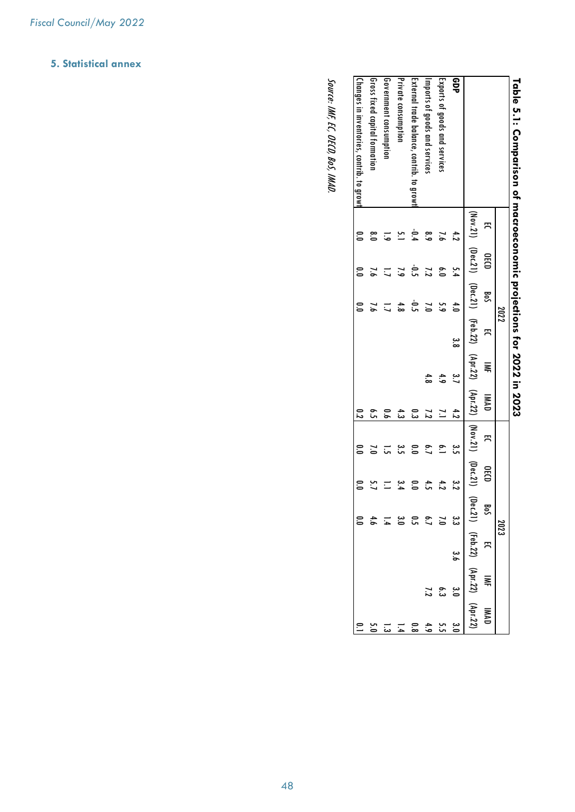|        | 030         | ទី          | <sub>군</sub> | ⋚      | <b>IMAD</b>          | ጛ           | OECD   | ទី             |                                                                                           |           |                                                                                                                                   |
|--------|-------------|-------------|--------------|--------|----------------------|-------------|--------|----------------|-------------------------------------------------------------------------------------------|-----------|-----------------------------------------------------------------------------------------------------------------------------------|
|        |             |             |              |        |                      |             |        |                |                                                                                           |           |                                                                                                                                   |
| 1.7    | 5.4         | $\ddot{1}$  | ယ္က          | ب<br>پ | $\ddot{5}$           | دي<br>ن     | ς<br>Σ |                |                                                                                           |           |                                                                                                                                   |
|        | ĉ.o         | ς,          |              | 4.9    | $\mathbf{r}$         | Ê           | 4.2    |                |                                                                                           |           |                                                                                                                                   |
| ္မိ    | $\tilde{c}$ | $\tilde{c}$ |              |        | 21                   | م.<br>سا    | 45     |                |                                                                                           |           |                                                                                                                                   |
| $-0.4$ | خ<br>ج      | ູ່ຕ່        |              |        | ្ជិ                  | ິວ          | ິຣ     |                |                                                                                           |           | $\frac{6}{8}$                                                                                                                     |
|        | $\tilde{c}$ | 4.8         |              |        | 43                   | د،<br>ن     | یت     |                |                                                                                           |           |                                                                                                                                   |
|        | ニ           |             |              |        | <b>م</b> :           | ದ           |        | $\overline{t}$ |                                                                                           |           |                                                                                                                                   |
|        |             |             |              |        |                      |             |        | 4.6            |                                                                                           |           |                                                                                                                                   |
|        |             | ິວ          |              |        | $\tilde{\mathbf{c}}$ | $\tilde{0}$ |        |                |                                                                                           |           |                                                                                                                                   |
|        |             |             |              | 2022   |                      |             |        |                | (Nov.21) (Dec.21) (Feb.22) (Apr.22) (Apr.22) (Nov.21) (Dec.21) (Dec.<br>$2.3$ $3.3$ $3.3$ | ین<br>منا | S EC IMF IMAD<br>21) (Feb.22) (Apr.22) (Apr.22<br>$\begin{array}{c c}\n3.6\n\end{array}$<br>$\begin{array}{c c} & 30 \end{array}$ |

Table 5.1: Comparison of macroeconomic projections for 2022 in 2023 Table 5.1: Comparison of macroeconomic projections for 2022 in 2023

Source: IMF, EC, OECD, BoS, IMAD. Source: IMF, EC, OECD, BoS, IMAD.

5. Statistical annex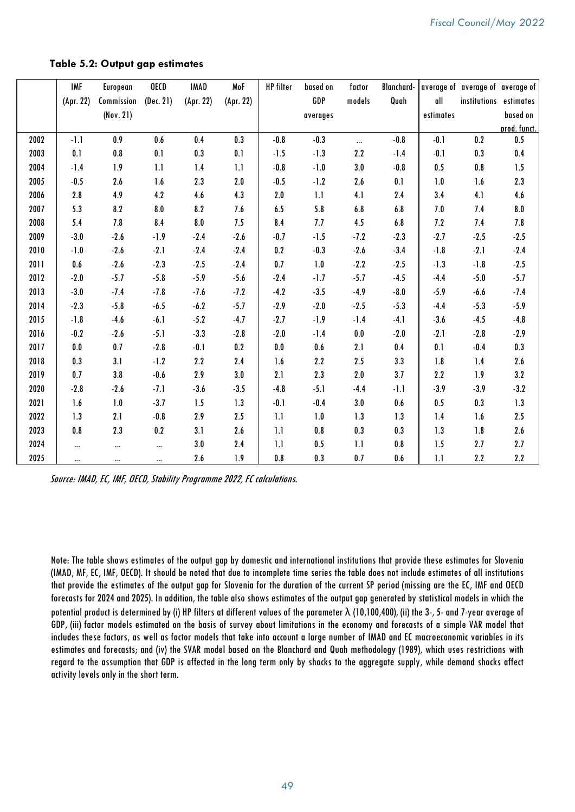Table 5.2: Output gap estimates

|      | <b>IMF</b> | European   | <b>OECD</b> | <b>IMAD</b> | MoF       | <b>HP</b> filter | based on | factor    | <b>Blanchard-</b> |           | average of average of average of |              |
|------|------------|------------|-------------|-------------|-----------|------------------|----------|-----------|-------------------|-----------|----------------------------------|--------------|
|      | (Apr. 22)  | Commission | (Dec. 21)   | (Apr. 22)   | (Apr. 22) |                  | GDP      | models    | Quah              | all       | institutions estimates           |              |
|      |            | (Nov. 21)  |             |             |           |                  | averages |           |                   | estimates |                                  | based on     |
|      |            |            |             |             |           |                  |          |           |                   |           |                                  | prod. funct. |
| 2002 | $-1.1$     | 0.9        | 0.6         | 0.4         | 0.3       | $-0.8$           | $-0.3$   | $\ddotsc$ | $-0.8$            | $-0.1$    | 0.2                              | 0.5          |
| 2003 | 0.1        | $0.8\,$    | 0.1         | 0.3         | 0.1       | $-1.5$           | $-1.3$   | 2.2       | $-1.4$            | $-0.1$    | 0.3                              | 0.4          |
| 2004 | $-1.4$     | 1.9        | 1.1         | 1.4         | 1.1       | $-0.8$           | $-1.0$   | 3.0       | $-0.8$            | 0.5       | $0.8\,$                          | 1.5          |
| 2005 | $-0.5$     | 2.6        | 1.6         | 2.3         | 2.0       | $-0.5$           | $-1.2$   | 2.6       | 0.1               | 1.0       | 1.6                              | 2.3          |
| 2006 | 2.8        | 4.9        | 4.2         | 4.6         | 4.3       | 2.0              | 1.1      | 4.1       | 2.4               | 3.4       | 4.1                              | 4.6          |
| 2007 | 5.3        | 8.2        | $\pmb{8.0}$ | 8.2         | 7.6       | 6.5              | 5.8      | $6.8\,$   | 6.8               | 7.0       | 7.4                              | $\pmb{8.0}$  |
| 2008 | 5.4        | 7.8        | 8.4         | $\pmb{8.0}$ | 7.5       | 8.4              | 7.7      | 4.5       | 6.8               | 7.2       | 7.4                              | 7.8          |
| 2009 | $-3.0$     | $-2.6$     | $-1.9$      | $-2.4$      | $-2.6$    | $-0.7$           | $-1.5$   | $-7.2$    | $-2.3$            | $-2.7$    | $-2.5$                           | $-2.5$       |
| 2010 | $-1.0$     | $-2.6$     | $-2.1$      | $-2.4$      | $-2.4$    | 0.2              | $-0.3$   | $-2.6$    | $-3.4$            | $-1.8$    | $-2.1$                           | $-2.4$       |
| 2011 | $0.6\,$    | $-2.6$     | $-2.3$      | $-2.5$      | $-2.4$    | 0.7              | $1.0$    | $-2.2$    | $-2.5$            | $-1.3$    | $-1.8$                           | $-2.5$       |
| 2012 | $-2.0$     | $-5.7$     | $-5.8$      | $-5.9$      | $-5.6$    | $-2.4$           | $-1.7$   | $-5.7$    | $-4.5$            | $-4.4$    | $-5.0$                           | $-5.7$       |
| 2013 | $-3.0$     | $-7.4$     | $-7.8$      | $-7.6$      | $-7.2$    | $-4.2$           | $-3.5$   | $-4.9$    | $-8.0$            | $-5.9$    | $-6.6$                           | $-7.4$       |
| 2014 | $-2.3$     | $-5.8$     | $-6.5$      | $-6.2$      | $-5.7$    | $-2.9$           | $-2.0$   | $-2.5$    | $-5.3$            | $-4.4$    | $-5.3$                           | $-5.9$       |
| 2015 | $-1.8$     | $-4.6$     | $-6.1$      | $-5.2$      | $-4.7$    | $-2.7$           | $-1.9$   | $-1.4$    | $-4.1$            | $-3.6$    | $-4.5$                           | $-4.8$       |
| 2016 | $-0.2$     | $-2.6$     | $-5.1$      | $-3.3$      | $-2.8$    | $-2.0$           | $-1.4$   | $0.0\,$   | $-2.0$            | $-2.1$    | $-2.8$                           | $-2.9$       |
| 2017 | $0.0\,$    | $0.7\,$    | $-2.8$      | $-0.1$      | $0.2\,$   | $0.0\,$          | 0.6      | 2.1       | 0.4               | 0.1       | $-0.4$                           | 0.3          |
| 2018 | 0.3        | 3.1        | $-1.2$      | 2.2         | 2.4       | 1.6              | 2.2      | 2.5       | 3.3               | 1.8       | 1.4                              | 2.6          |
| 2019 | 0.7        | $3.8\,$    | $-0.6$      | 2.9         | 3.0       | 2.1              | 2.3      | 2.0       | 3.7               | 2.2       | 1.9                              | 3.2          |
| 2020 | $-2.8$     | $-2.6$     | $-7.1$      | $-3.6$      | $-3.5$    | $-4.8$           | $-5.1$   | $-4.4$    | $-1.1$            | $-3.9$    | $-3.9$                           | $-3.2$       |
| 2021 | 1.6        | $1.0\,$    | $-3.7$      | 1.5         | 1.3       | $-0.1$           | $-0.4$   | $3.0\,$   | $0.6\,$           | 0.5       | 0.3                              | 1.3          |
| 2022 | 1.3        | 2.1        | $-0.8$      | 2.9         | 2.5       | 1.1              | 1.0      | 1.3       | 1.3               | 1.4       | 1.6                              | 2.5          |
| 2023 | $0.8\,$    | 2.3        | 0.2         | 3.1         | 2.6       | $1.1\,$          | $0.8\,$  | 0.3       | 0.3               | 1.3       | 1.8                              | 2.6          |
| 2024 | $\cdots$   | $\cdots$   | $\cdots$    | 3.0         | 2.4       | 1.1              | 0.5      | 1.1       | 0.8               | 1.5       | 2.7                              | 2.7          |
| 2025 | $\cdots$   | $\cdots$   | $\cdots$    | 2.6         | 1.9       | $0.8\,$          | 0.3      | 0.7       | 0.6               | 1.1       | 2.2                              | 2.2          |

Source: IMAD, EC, IMF, OECD, Stability Programme 2022, FC calculations.

Note: The table shows estimates of the output gap by domestic and international institutions that provide these estimates for Slovenia (IMAD, MF, EC, IMF, OECD). It should be noted that due to incomplete time series the table does not include estimates of all institutions that provide the estimates of the output gap for Slovenia for the duration of the current SP period (missing are the EC, IMF and OECD forecasts for 2024 and 2025). In addition, the table also shows estimates of the output gap generated by statistical models in which the potential product is determined by (i) HP filters at different values of the parameter  $\lambda$  (10,100,400), (ii) the 3-, 5- and 7-year average of GDP, (iii) factor models estimated on the basis of survey about limitations in the economy and forecasts of a simple VAR model that includes these factors, as well as factor models that take into account a large number of IMAD and EC macroeconomic variables in its estimates and forecasts; and (iv) the SVAR model based on the Blanchard and Quah methodology (1989), which uses restrictions with regard to the assumption that GDP is affected in the long term only by shocks to the aggregate supply, while demand shocks affect activity levels only in the short term.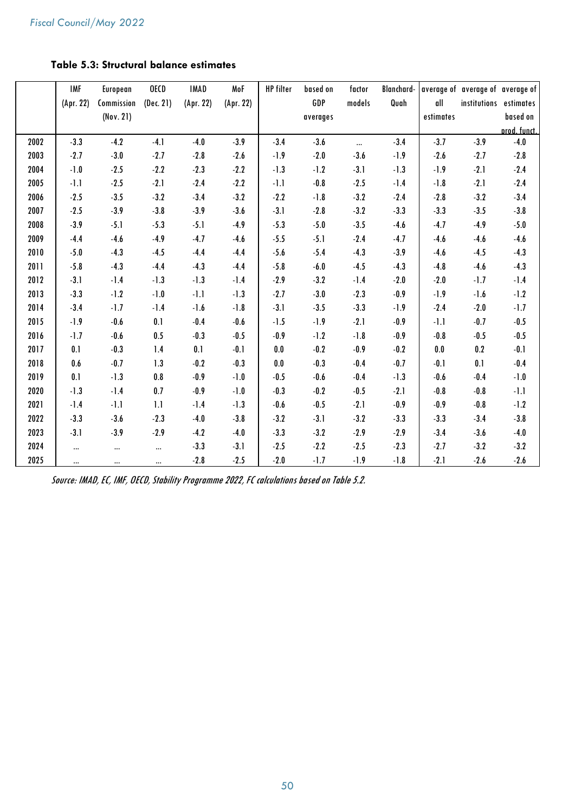|      | <b>IMF</b> | European   | OECD      | <b>IMAD</b> | MoF       | <b>HP</b> filter | based on | factor    | <b>Blanchard-</b> |           | average of average of average of |              |
|------|------------|------------|-----------|-------------|-----------|------------------|----------|-----------|-------------------|-----------|----------------------------------|--------------|
|      | (Apr. 22)  | Commission | (Dec. 21) | (Apr. 22)   | (Apr. 22) |                  | GDP      | models    | Quah              | all       | institutions estimates           |              |
|      |            | (Nov. 21)  |           |             |           |                  | averages |           |                   | estimates |                                  | based on     |
|      |            |            |           |             |           |                  |          |           |                   |           |                                  | prod. funct. |
| 2002 | $-3.3$     | $-4.2$     | $-4.1$    | $-4.0$      | $-3.9$    | $-3.4$           | $-3.6$   | $\ddotsc$ | $-3.4$            | $-3.7$    | $-3.9$                           | $-4.0$       |
| 2003 | $-2.7$     | $-3.0$     | $-2.7$    | $-2.8$      | $-2.6$    | $-1.9$           | $-2.0$   | $-3.6$    | $-1.9$            | $-2.6$    | $-2.7$                           | $-2.8$       |
| 2004 | $-1.0$     | $-2.5$     | $-2.2$    | $-2.3$      | $-2.2$    | $-1.3$           | $-1.2$   | $-3.1$    | $-1.3$            | $-1.9$    | $-2.1$                           | $-2.4$       |
| 2005 | $-1.1$     | $-2.5$     | $-2.1$    | $-2.4$      | $-2.2$    | $-1.1$           | $-0.8$   | $-2.5$    | $-1.4$            | $-1.8$    | $-2.1$                           | $-2.4$       |
| 2006 | $-2.5$     | $-3.5$     | $-3.2$    | $-3.4$      | $-3.2$    | $-2.2$           | $-1.8$   | $-3.2$    | $-2.4$            | $-2.8$    | $-3.2$                           | $-3.4$       |
| 2007 | $-2.5$     | $-3.9$     | $-3.8$    | $-3.9$      | $-3.6$    | $-3.1$           | $-2.8$   | $-3.2$    | $-3.3$            | $-3.3$    | $-3.5$                           | $-3.8$       |
| 2008 | $-3.9$     | $-5.1$     | $-5.3$    | $-5.1$      | $-4.9$    | $-5.3$           | $-5.0$   | $-3.5$    | $-4.6$            | $-4.7$    | $-4.9$                           | $-5.0$       |
| 2009 | $-4.4$     | $-4.6$     | $-4.9$    | $-4.7$      | $-4.6$    | $-5.5$           | $-5.1$   | $-2.4$    | $-4.7$            | $-4.6$    | $-4.6$                           | $-4.6$       |
| 2010 | $-5.0$     | $-4.3$     | $-4.5$    | $-4.4$      | $-4.4$    | $-5.6$           | $-5.4$   | $-4.3$    | $-3.9$            | $-4.6$    | $-4.5$                           | $-4.3$       |
| 2011 | $-5.8$     | $-4.3$     | $-4.4$    | $-4.3$      | $-4.4$    | $-5.8$           | $-6.0$   | $-4.5$    | $-4.3$            | $-4.8$    | $-4.6$                           | $-4.3$       |
| 2012 | $-3.1$     | $-1.4$     | $-1.3$    | $-1.3$      | $-1.4$    | $-2.9$           | $-3.2$   | $-1.4$    | $-2.0$            | $-2.0$    | $-1.7$                           | $-1.4$       |
| 2013 | $-3.3$     | $-1.2$     | $-1.0$    | $-1.1$      | $-1.3$    | $-2.7$           | $-3.0$   | $-2.3$    | $-0.9$            | $-1.9$    | $-1.6$                           | $-1.2$       |
| 2014 | $-3.4$     | $-1.7$     | $-1.4$    | $-1.6$      | $-1.8$    | $-3.1$           | $-3.5$   | $-3.3$    | $-1.9$            | $-2.4$    | $-2.0$                           | $-1.7$       |
| 2015 | $-1.9$     | $-0.6$     | 0.1       | $-0.4$      | $-0.6$    | $-1.5$           | $-1.9$   | $-2.1$    | $-0.9$            | $-1.1$    | $-0.7$                           | $-0.5$       |
| 2016 | $-1.7$     | $-0.6$     | 0.5       | $-0.3$      | $-0.5$    | $-0.9$           | $-1.2$   | $-1.8$    | $-0.9$            | $-0.8$    | $-0.5$                           | $-0.5$       |
| 2017 | 0.1        | $-0.3$     | 1.4       | 0.1         | $-0.1$    | $0.0\,$          | $-0.2$   | $-0.9$    | $-0.2$            | 0.0       | 0.2                              | $-0.1$       |
| 2018 | $0.6\,$    | $-0.7$     | 1.3       | $-0.2$      | $-0.3$    | $0.0\,$          | $-0.3$   | $-0.4$    | $-0.7$            | $-0.1$    | $0.1\,$                          | $-0.4$       |
| 2019 | 0.1        | $-1.3$     | $0.8\,$   | $-0.9$      | $-1.0$    | $-0.5$           | $-0.6$   | $-0.4$    | $-1.3$            | $-0.6$    | $-0.4$                           | $-1.0$       |
| 2020 | $-1.3$     | $-1.4$     | 0.7       | $-0.9$      | $-1.0$    | $-0.3$           | $-0.2$   | $-0.5$    | $-2.1$            | $-0.8$    | $-0.8$                           | $-1.1$       |
| 2021 | $-1.4$     | $-1.1$     | $1.1\,$   | $-1.4$      | $-1.3$    | $-0.6$           | $-0.5$   | $-2.1$    | $-0.9$            | $-0.9$    | $-0.8$                           | $-1.2$       |
| 2022 | $-3.3$     | $-3.6$     | $-2.3$    | $-4.0$      | $-3.8$    | $-3.2$           | $-3.1$   | $-3.2$    | $-3.3$            | $-3.3$    | $-3.4$                           | $-3.8$       |
| 2023 | $-3.1$     | $-3.9$     | $-2.9$    | $-4.2$      | $-4.0$    | $-3.3$           | $-3.2$   | $-2.9$    | $-2.9$            | $-3.4$    | $-3.6$                           | $-4.0$       |
| 2024 |            | $\cdots$   | $\cdots$  | $-3.3$      | $-3.1$    | $-2.5$           | $-2.2$   | $-2.5$    | $-2.3$            | $-2.7$    | $-3.2$                           | $-3.2$       |
| 2025 |            | $\cdots$   | $\cdots$  | $-2.8$      | $-2.5$    | $-2.0$           | $-1.7$   | $-1.9$    | $-1.8$            | $-2.1$    | $-2.6$                           | $-2.6$       |

# Table 5.3: Structural balance estimates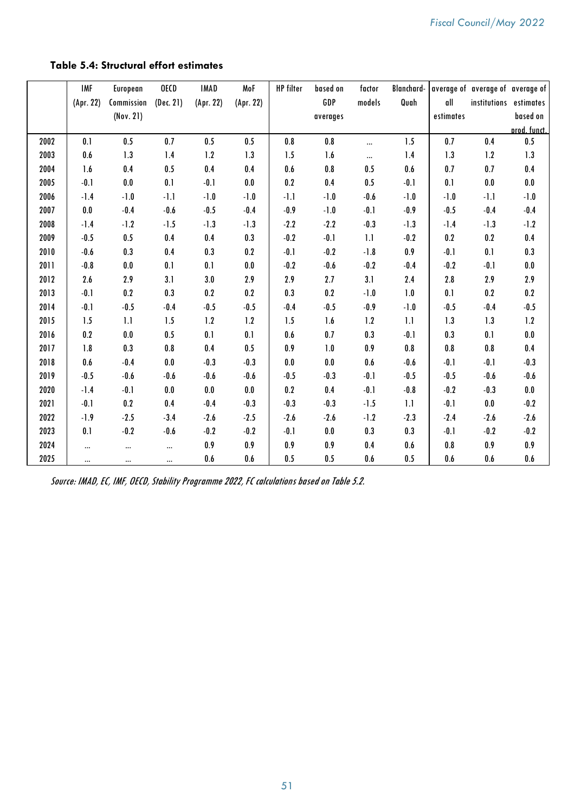Table 5.4: Structural effort estimates

|      | <b>IMF</b> | European   | OECD      | <b>IMAD</b> | MoF       | <b>HP</b> filter | based on | factor    | <b>Blanchard-</b> |           | average of average of average of |              |
|------|------------|------------|-----------|-------------|-----------|------------------|----------|-----------|-------------------|-----------|----------------------------------|--------------|
|      | (Apr. 22)  | Commission | (Dec. 21) | (Apr. 22)   | (Apr. 22) |                  | GDP      | models    | Quah              | all       | institutions                     | estimates    |
|      |            | (Nov. 21)  |           |             |           |                  | averages |           |                   | estimates |                                  | based on     |
|      |            |            |           |             |           |                  |          |           |                   |           |                                  | prod. funct. |
| 2002 | 0.1        | 0.5        | $0.7$     | $0.5\,$     | 0.5       | $0.8\,$          | $0.8\,$  | $\cdots$  | 1.5               | 0.7       | 0.4                              | $0.5\,$      |
| 2003 | $0.6\,$    | 1.3        | 1.4       | 1.2         | 1.3       | 1.5              | $1.6$    | $\ddotsc$ | 1.4               | 1.3       | 1.2                              | 1.3          |
| 2004 | 1.6        | $0.4\,$    | 0.5       | $0.4\,$     | 0.4       | $0.6\,$          | $0.8\,$  | 0.5       | $0.6\,$           | 0.7       | 0.7                              | $0.4\,$      |
| 2005 | $-0.1$     | $0.0\,$    | 0.1       | $-0.1$      | $0.0\,$   | $0.2\,$          | 0.4      | 0.5       | $-0.1$            | 0.1       | $0.0\,$                          | $0.0\,$      |
| 2006 | $-1.4$     | $-1.0$     | $-1.1$    | $-1.0$      | $-1.0$    | $-1.1$           | $-1.0$   | $-0.6$    | $-1.0$            | $-1.0$    | $-1.1$                           | $-1.0$       |
| 2007 | $0.0\,$    | $-0.4$     | $-0.6$    | $-0.5$      | $-0.4$    | $-0.9$           | $-1.0$   | $-0.1$    | $-0.9$            | $-0.5$    | $-0.4$                           | $-0.4$       |
| 2008 | $-1.4$     | $-1.2$     | $-1.5$    | $-1.3$      | $-1.3$    | $-2.2$           | $-2.2$   | $-0.3$    | $-1.3$            | $-1.4$    | $-1.3$                           | $-1.2$       |
| 2009 | $-0.5$     | 0.5        | 0.4       | $0.4\,$     | 0.3       | $-0.2$           | $-0.1$   | $1.1\,$   | $-0.2$            | 0.2       | 0.2                              | 0.4          |
| 2010 | $-0.6$     | 0.3        | 0.4       | $0.3\,$     | 0.2       | $-0.1$           | $-0.2$   | $-1.8$    | 0.9               | $-0.1$    | 0.1                              | $0.3\,$      |
| 2011 | $-0.8\,$   | $0.0\,$    | $0.1\,$   | $0.1\,$     | $0.0\,$   | $-0.2$           | $-0.6$   | $-0.2$    | $-0.4$            | $-0.2$    | $-0.1$                           | $0.0\,$      |
| 2012 | 2.6        | 2.9        | 3.1       | 3.0         | 2.9       | 2.9              | 2.7      | 3.1       | 2.4               | 2.8       | 2.9                              | 2.9          |
| 2013 | $-0.1$     | $0.2\,$    | $0.3\,$   | $0.2\,$     | 0.2       | $0.3\,$          | 0.2      | $-1.0$    | $1.0\,$           | 0.1       | 0.2                              | $0.2\,$      |
| 2014 | $-0.1$     | $-0.5$     | $-0.4$    | $-0.5$      | $-0.5$    | $-0.4$           | $-0.5$   | $-0.9$    | $-1.0$            | $-0.5$    | $-0.4$                           | $-0.5$       |
| 2015 | 1.5        | 1.1        | 1.5       | 1.2         | 1.2       | 1.5              | 1.6      | 1.2       | 1.1               | 1.3       | 1.3                              | 1.2          |
| 2016 | 0.2        | $0.0\,$    | 0.5       | 0.1         | 0.1       | $0.6\,$          | 0.7      | 0.3       | $-0.1$            | 0.3       | 0.1                              | $0.0\,$      |
| 2017 | 1.8        | $0.3\,$    | $0.8\,$   | 0.4         | 0.5       | 0.9              | $1.0\,$  | 0.9       | $0.8\,$           | $0.8\,$   | $0.8\,$                          | $0.4\,$      |
| 2018 | 0.6        | $-0.4$     | $0.0\,$   | $-0.3$      | $-0.3$    | $0.0\,$          | $0.0\,$  | $0.6\,$   | $-0.6$            | $-0.1$    | $-0.1$                           | $-0.3$       |
| 2019 | $-0.5$     | $-0.6$     | $-0.6$    | $-0.6$      | $-0.6$    | $-0.5$           | $-0.3$   | $-0.1$    | $-0.5$            | $-0.5$    | $-0.6$                           | $-0.6$       |
| 2020 | $-1.4$     | $-0.1$     | $0.0\,$   | $0.0\,$     | $0.0\,$   | $0.2\,$          | 0.4      | $-0.1$    | $-0.8$            | $-0.2$    | $-0.3$                           | $0.0\,$      |
| 2021 | $-0.1$     | $0.2\,$    | 0.4       | $-0.4$      | $-0.3$    | $-0.3$           | $-0.3$   | $-1.5$    | 1.1               | $-0.1$    | $0.0\,$                          | $-0.2$       |
| 2022 | $-1.9$     | $-2.5$     | $-3.4$    | $-2.6$      | $-2.5$    | $-2.6$           | $-2.6$   | $-1.2$    | $-2.3$            | $-2.4$    | $-2.6$                           | $-2.6$       |
| 2023 | 0.1        | $-0.2$     | $-0.6$    | $-0.2$      | $-0.2$    | $-0.1$           | $0.0\,$  | $0.3\,$   | $0.3\,$           | $-0.1$    | $-0.2$                           | $-0.2$       |
| 2024 | $\cdots$   | $\cdots$   | $\cdots$  | 0.9         | 0.9       | $0.9\,$          | 0.9      | 0.4       | 0.6               | $0.8\,$   | 0.9                              | $0.9\,$      |
| 2025 | $\cdots$   | $\cdots$   | $\cdots$  | $0.6\,$     | $0.6\,$   | 0.5              | 0.5      | 0.6       | 0.5               | 0.6       | 0.6                              | $0.6\,$      |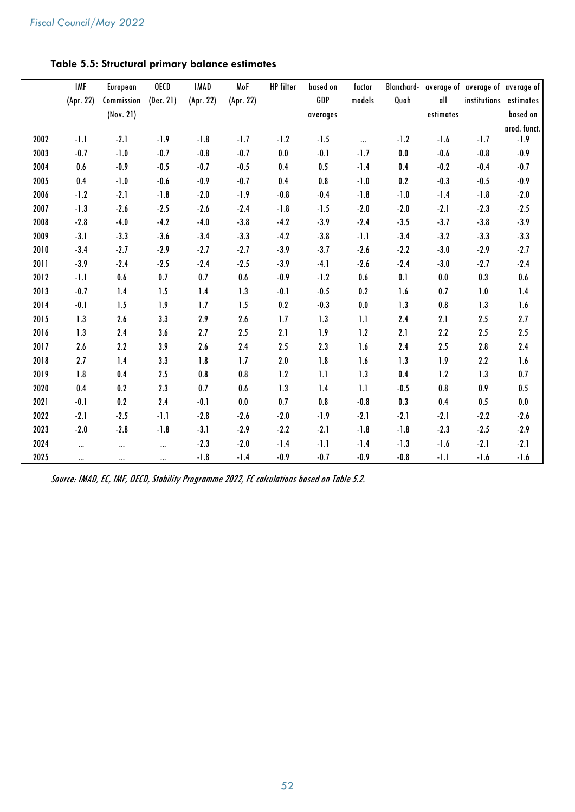|      | <b>IMF</b> | European   | <b>OECD</b> | <b>IMAD</b> | MoF       | <b>HP</b> filter | based on | factor     | <b>Blanchard-</b> |           | average of average of average of |              |
|------|------------|------------|-------------|-------------|-----------|------------------|----------|------------|-------------------|-----------|----------------------------------|--------------|
|      | (Apr. 22)  | Commission | (Dec. 21)   | (Apr. 22)   | (Apr. 22) |                  | GDP      | models     | Quah              | all       | institutions estimates           |              |
|      |            | (Nov. 21)  |             |             |           |                  | averages |            |                   | estimates |                                  | based on     |
|      |            |            |             |             |           |                  |          |            |                   |           |                                  | prod. funct. |
| 2002 | $-1.1$     | $-2.1$     | $-1.9$      | $-1.8$      | $-1.7$    | $-1.2$           | $-1.5$   | $\dddotsc$ | $-1.2$            | $-1.6$    | $-1.7$                           | $-1.9$       |
| 2003 | $-0.7$     | $-1.0$     | $-0.7$      | $-0.8$      | $-0.7$    | $0.0\,$          | $-0.1$   | $-1.7$     | 0.0               | $-0.6$    | $-0.8$                           | $-0.9$       |
| 2004 | 0.6        | $-0.9$     | $-0.5$      | $-0.7$      | $-0.5$    | 0.4              | 0.5      | $-1.4$     | 0.4               | $-0.2$    | $-0.4$                           | $-0.7$       |
| 2005 | 0.4        | $-1.0$     | $-0.6$      | $-0.9$      | $-0.7$    | $0.4\,$          | $0.8\,$  | $-1.0$     | $0.2\,$           | $-0.3$    | $-0.5$                           | $-0.9$       |
| 2006 | $-1.2$     | $-2.1$     | $-1.8$      | $-2.0$      | $-1.9$    | $-0.8$           | $-0.4$   | $-1.8$     | $-1.0$            | $-1.4$    | $-1.8$                           | $-2.0$       |
| 2007 | $-1.3$     | $-2.6$     | $-2.5$      | $-2.6$      | $-2.4$    | $-1.8$           | $-1.5$   | $-2.0$     | $-2.0$            | $-2.1$    | $-2.3$                           | $-2.5$       |
| 2008 | $-2.8$     | $-4.0$     | $-4.2$      | $-4.0$      | $-3.8$    | $-4.2$           | $-3.9$   | $-2.4$     | $-3.5$            | $-3.7$    | $-3.8$                           | $-3.9$       |
| 2009 | $-3.1$     | $-3.3$     | $-3.6$      | $-3.4$      | $-3.3$    | $-4.2$           | $-3.8$   | $-1.1$     | $-3.4$            | $-3.2$    | $-3.3$                           | $-3.3$       |
| 2010 | $-3.4$     | $-2.7$     | $-2.9$      | $-2.7$      | $-2.7$    | $-3.9$           | $-3.7$   | $-2.6$     | $-2.2$            | $-3.0$    | $-2.9$                           | $-2.7$       |
| 2011 | $-3.9$     | $-2.4$     | $-2.5$      | $-2.4$      | $-2.5$    | $-3.9$           | $-4.1$   | $-2.6$     | $-2.4$            | $-3.0$    | $-2.7$                           | $-2.4$       |
| 2012 | $-1.1$     | $0.6\,$    | $0.7$       | $0.7\,$     | $0.6\,$   | $-0.9$           | $-1.2$   | $0.6\,$    | 0.1               | $0.0\,$   | 0.3                              | $0.6\,$      |
| 2013 | $-0.7$     | 1.4        | 1.5         | 1.4         | 1.3       | $-0.1$           | $-0.5$   | 0.2        | $1.6$             | 0.7       | $1.0\,$                          | 1.4          |
| 2014 | $-0.1$     | 1.5        | 1.9         | 1.7         | 1.5       | 0.2              | $-0.3$   | 0.0        | 1.3               | 0.8       | 1.3                              | 1.6          |
| 2015 | 1.3        | 2.6        | 3.3         | 2.9         | 2.6       | 1.7              | 1.3      | 1.1        | 2.4               | 2.1       | 2.5                              | 2.7          |
| 2016 | 1.3        | 2.4        | 3.6         | 2.7         | 2.5       | 2.1              | 1.9      | 1.2        | 2.1               | 2.2       | 2.5                              | 2.5          |
| 2017 | 2.6        | 2.2        | 3.9         | 2.6         | 2.4       | 2.5              | 2.3      | 1.6        | 2.4               | 2.5       | 2.8                              | 2.4          |
| 2018 | 2.7        | 1.4        | 3.3         | 1.8         | 1.7       | $2.0\,$          | 1.8      | $1.6\,$    | 1.3               | 1.9       | 2.2                              | 1.6          |
| 2019 | 1.8        | 0.4        | 2.5         | $0.8\,$     | $0.8\,$   | 1.2              | $1.1\,$  | 1.3        | 0.4               | 1.2       | 1.3                              | 0.7          |
| 2020 | 0.4        | 0.2        | 2.3         | 0.7         | $0.6\,$   | 1.3              | 1.4      | 1.1        | $-0.5$            | 0.8       | 0.9                              | 0.5          |
| 2021 | $-0.1$     | 0.2        | 2.4         | $-0.1$      | $0.0\,$   | 0.7              | $0.8\,$  | $-0.8$     | 0.3               | 0.4       | 0.5                              | $0.0\,$      |
| 2022 | $-2.1$     | $-2.5$     | $-1.1$      | $-2.8$      | $-2.6$    | $-2.0$           | $-1.9$   | $-2.1$     | $-2.1$            | $-2.1$    | $-2.2$                           | $-2.6$       |
| 2023 | $-2.0$     | $-2.8$     | $-1.8$      | $-3.1$      | $-2.9$    | $-2.2$           | $-2.1$   | $-1.8$     | $-1.8$            | $-2.3$    | $-2.5$                           | $-2.9$       |
| 2024 |            |            | $\cdots$    | $-2.3$      | $-2.0$    | $-1.4$           | $-1.1$   | $-1.4$     | $-1.3$            | $-1.6$    | $-2.1$                           | $-2.1$       |
| 2025 |            |            | $\ddotsc$   | $-1.8$      | $-1.4$    | $-0.9$           | $-0.7$   | $-0.9$     | $-0.8$            | $-1.1$    | $-1.6$                           | $-1.6$       |

Table 5.5: Structural primary balance estimates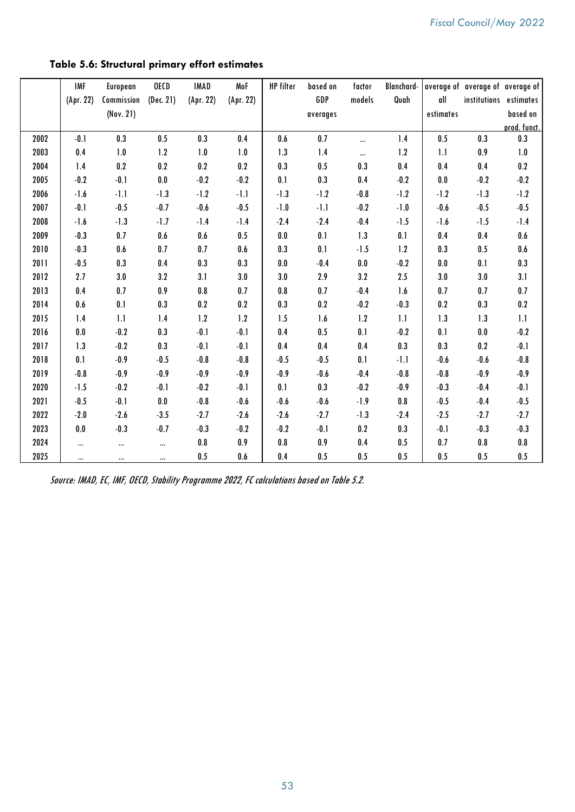|      | <b>IMF</b> | European   | <b>OECD</b> | <b>IMAD</b> | MoF       | <b>HP</b> filter | based on | factor    | <b>Blanchard-</b> |           | average of average of average of |              |
|------|------------|------------|-------------|-------------|-----------|------------------|----------|-----------|-------------------|-----------|----------------------------------|--------------|
|      | (Apr. 22)  | Commission | (Dec. 21)   | (Apr. 22)   | (Apr. 22) |                  | GDP      | models    | Quah              | all       | institutions estimates           |              |
|      |            | (Nov. 21)  |             |             |           |                  | averages |           |                   | estimates |                                  | based on     |
|      |            |            |             |             |           |                  |          |           |                   |           |                                  | prod. funct. |
| 2002 | $-0.1$     | 0.3        | 0.5         | 0.3         | 0.4       | 0.6              | 0.7      | $\ddotsc$ | 1.4               | 0.5       | 0.3                              | 0.3          |
| 2003 | 0.4        | $1.0\,$    | 1.2         | $1.0\,$     | $1.0\,$   | 1.3              | 1.4      |           | 1.2               | 1.1       | 0.9                              | $1.0\,$      |
| 2004 | 1.4        | $0.2\,$    | 0.2         | $0.2\,$     | $0.2\,$   | 0.3              | 0.5      | 0.3       | 0.4               | 0.4       | 0.4                              | $0.2\,$      |
| 2005 | $-0.2$     | $-0.1$     | $0.0\,$     | $-0.2$      | $-0.2$    | 0.1              | 0.3      | 0.4       | $-0.2$            | $0.0\,$   | $-0.2$                           | $-0.2$       |
| 2006 | $-1.6$     | $-1.1$     | $-1.3$      | $-1.2$      | $-1.1$    | $-1.3$           | $-1.2$   | $-0.8$    | $-1.2$            | $-1.2$    | $-1.3$                           | $-1.2$       |
| 2007 | $-0.1$     | $-0.5$     | $-0.7$      | $-0.6$      | $-0.5$    | $-1.0$           | $-1.1$   | $-0.2$    | $-1.0$            | $-0.6$    | $-0.5$                           | $-0.5$       |
| 2008 | $-1.6$     | $-1.3$     | $-1.7$      | $-1.4$      | $-1.4$    | $-2.4$           | $-2.4$   | $-0.4$    | $-1.5$            | $-1.6$    | $-1.5$                           | $-1.4$       |
| 2009 | $-0.3$     | 0.7        | 0.6         | $0.6\,$     | 0.5       | $0.0\,$          | 0.1      | 1.3       | 0.1               | 0.4       | 0.4                              | $0.6\,$      |
| 2010 | $-0.3$     | 0.6        | 0.7         | 0.7         | 0.6       | 0.3              | 0.1      | $-1.5$    | 1.2               | 0.3       | 0.5                              | $0.6\,$      |
| 2011 | $-0.5$     | 0.3        | 0.4         | 0.3         | 0.3       | $0.0\,$          | $-0.4$   | $0.0\,$   | $-0.2$            | $0.0\,$   | 0.1                              | $0.3\,$      |
| 2012 | 2.7        | 3.0        | 3.2         | 3.1         | 3.0       | 3.0              | 2.9      | 3.2       | 2.5               | 3.0       | $3.0\,$                          | 3.1          |
| 2013 | 0.4        | 0.7        | 0.9         | $0.8\,$     | 0.7       | $0.8\,$          | 0.7      | $-0.4$    | 1.6               | 0.7       | 0.7                              | 0.7          |
| 2014 | 0.6        | 0.1        | 0.3         | 0.2         | 0.2       | 0.3              | 0.2      | $-0.2$    | $-0.3$            | 0.2       | 0.3                              | $0.2\,$      |
| 2015 | 1.4        | 1.1        | 1.4         | 1.2         | 1.2       | 1.5              | 1.6      | 1.2       | 1.1               | 1.3       | 1.3                              | 1.1          |
| 2016 | $0.0\,$    | $-0.2$     | 0.3         | $-0.1$      | $-0.1$    | 0.4              | 0.5      | 0.1       | $-0.2$            | 0.1       | $0.0\,$                          | $-0.2$       |
| 2017 | 1.3        | $-0.2$     | 0.3         | $-0.1$      | $-0.1$    | 0.4              | 0.4      | 0.4       | 0.3               | 0.3       | 0.2                              | $-0.1$       |
| 2018 | 0.1        | $-0.9$     | $-0.5$      | $-0.8$      | $-0.8$    | $-0.5$           | $-0.5$   | 0.1       | $-1.1$            | $-0.6$    | $-0.6$                           | $-0.8$       |
| 2019 | $-0.8$     | $-0.9$     | $-0.9$      | $-0.9$      | $-0.9$    | $-0.9$           | $-0.6$   | $-0.4$    | $-0.8$            | $-0.8$    | $-0.9$                           | $-0.9$       |
| 2020 | $-1.5$     | $-0.2$     | $-0.1$      | $-0.2$      | $-0.1$    | 0.1              | 0.3      | $-0.2$    | $-0.9$            | $-0.3$    | $-0.4$                           | $-0.1$       |
| 2021 | $-0.5$     | $-0.1$     | $0.0\,$     | $-0.8$      | $-0.6$    | $-0.6$           | $-0.6$   | $-1.9$    | 0.8               | $-0.5$    | $-0.4$                           | $-0.5$       |
| 2022 | $-2.0$     | $-2.6$     | $-3.5$      | $-2.7$      | $-2.6$    | $-2.6$           | $-2.7$   | $-1.3$    | $-2.4$            | $-2.5$    | $-2.7$                           | $-2.7$       |
| 2023 | $0.0\,$    | $-0.3$     | $-0.7$      | $-0.3$      | $-0.2$    | $-0.2$           | $-0.1$   | 0.2       | 0.3               | $-0.1$    | $-0.3$                           | $-0.3$       |
| 2024 | $\cdots$   |            | $\cdots$    | $0.8\,$     | 0.9       | $0.8\,$          | 0.9      | 0.4       | 0.5               | 0.7       | $0.8\,$                          | $0.8\,$      |
| 2025 |            | $\cdots$   | $\cdots$    | 0.5         | $0.6\,$   | 0.4              | 0.5      | 0.5       | 0.5               | 0.5       | 0.5                              | 0.5          |

# Table 5.6: Structural primary effort estimates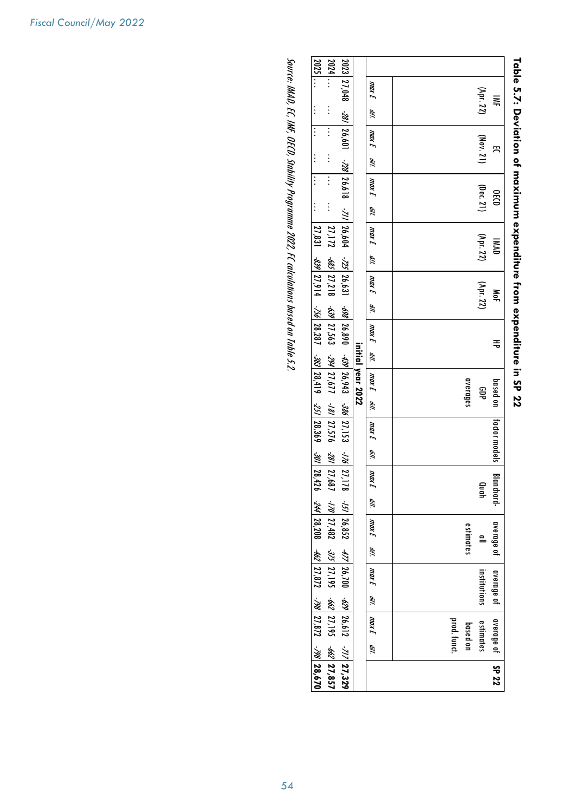| $-798$ , 82, 670 | -798 27,872                                                     | 462 27,872   | -244 28,208   |    |            |                          |                   | $951'82$ $ 108$ $698'82$ $ 152$ $611'82$ $ 283'82$ $ 253'82$ $ 253'82$ $ 253'82$ $ 253'82$ $ 253'82$                             |   |           |              | $\frac{1}{2}$      | $\frac{1}{2}$ : |           |           | $\begin{array}{c} 2025 \\ \ldots \\ \end{array}$ |  |
|------------------|-----------------------------------------------------------------|--------------|---------------|----|------------|--------------------------|-------------------|----------------------------------------------------------------------------------------------------------------------------------|---|-----------|--------------|--------------------|-----------------|-----------|-----------|--------------------------------------------------|--|
| -662 27,857      | $-662 27,195$                                                   | 375 27,195   | $1/10$ 27,482 |    |            |                          |                   | $17, 17, 17$ $17, 17$ $188$ $17, 18$ $19, 17, 18$ $19, 17, 18$ $19, 17, 18$ $19, 17, 18$                                         |   |           |              | $\overline{\cdot}$ | $\vdots$        | $\vdots$  | $\vdots$  | 2024                                             |  |
|                  | $-157$   26,852 $-477$   26,700 $-629$   26,612 $-777$   27,329 |              |               |    |            |                          |                   | $811/12$ $921 - 121/12$ $982 - 129/12$ $929/12$ $934 - 129/12$ $935$ $937 - 129/12$ $937 - 129/12$ $938 - 129/12$ $938 - 129/12$ |   |           |              |                    |                 |           |           |                                                  |  |
|                  |                                                                 |              |               |    |            |                          | initial year 2022 |                                                                                                                                  |   |           |              |                    |                 |           |           |                                                  |  |
|                  | max E diff. max E diff.   max E diff.                           |              |               | Щť |            |                          |                   | max£ diff.   max£ diff.   max£ diff.   max£ diff.   max£ diff.   max£ diff.   max£ diff.   max£ diff.   max£                     |   |           |              |                    |                 |           |           |                                                  |  |
|                  |                                                                 |              |               |    |            |                          |                   |                                                                                                                                  |   |           |              |                    |                 |           |           |                                                  |  |
|                  |                                                                 |              |               |    |            |                          |                   |                                                                                                                                  |   |           |              |                    |                 |           |           |                                                  |  |
|                  |                                                                 |              |               |    |            |                          |                   |                                                                                                                                  |   |           |              |                    |                 |           |           |                                                  |  |
|                  |                                                                 |              |               |    |            |                          |                   |                                                                                                                                  |   |           |              |                    |                 |           |           |                                                  |  |
|                  | prod. funct.                                                    |              |               |    |            |                          |                   |                                                                                                                                  |   |           |              |                    |                 |           |           |                                                  |  |
|                  | based on                                                        |              | estimates     |    |            |                          | averages          |                                                                                                                                  |   |           |              |                    |                 |           |           |                                                  |  |
|                  | estimates                                                       | institutions |               |    | Quah       |                          | 음                 |                                                                                                                                  |   | (Apr. 22) | $($ Apr. 22) | $\vert$ (Dec. 21)  |                 | (Mov. 21) | (Apr. 22) |                                                  |  |
| 22 dS            | average of                                                      | average of   | average of    |    | Blanchard- | hased on [tatter models] |                   | ₹                                                                                                                                | 豪 |           | <b>IMAD</b>  | 0ECD               |                 |           | ⋚         |                                                  |  |

# Table 5.7: Deviation of maximum expenditure from expenditure in SP 22 Table 5.7: Deviation of maximum expenditure from expenditure in SP 22

Source: IMAD, EC, IMF, OECD, Stability Programme 2022, FC calculations based on Table 5.2. Source: IMAD, EC, IMF, OECD, Stability Programme 2022, FC calculations based on Table 5.2.<br>Source: IMAD, EC, IMF, OECD, Stability Programme 2022, FC calculations based on Table 5.2.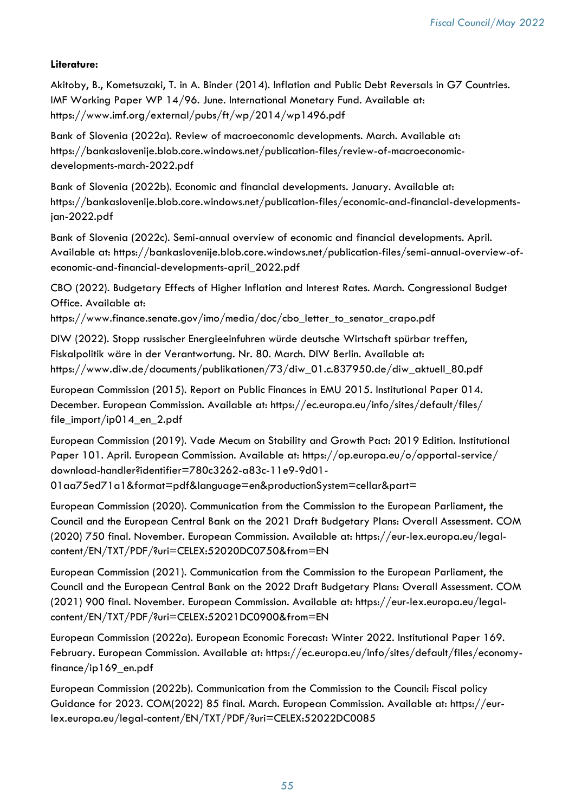### Literature:

Akitoby, B., Kometsuzaki, T. in A. Binder (2014). Inflation and Public Debt Reversals in G7 Countries. IMF Working Paper WP 14/96. June. International Monetary Fund. Available at: https://www.imf.org/external/pubs/ft/wp/2014/wp1496.pdf

Bank of Slovenia (2022a). Review of macroeconomic developments. March. Available at: https://bankaslovenije.blob.core.windows.net/publication-files/review-of-macroeconomicdevelopments-march-2022.pdf

Bank of Slovenia (2022b). Economic and financial developments. January. Available at: https://bankaslovenije.blob.core.windows.net/publication-files/economic-and-financial-developmentsjan-2022.pdf

Bank of Slovenia (2022c). Semi-annual overview of economic and financial developments. April. Available at: https://bankaslovenije.blob.core.windows.net/publication-files/semi-annual-overview-ofeconomic-and-financial-developments-april\_2022.pdf

CBO (2022). Budgetary Effects of Higher Inflation and Interest Rates. March. Congressional Budget Office. Available at:

https://www.finance.senate.gov/imo/media/doc/cbo\_letter\_to\_senator\_crapo.pdf

DIW (2022). Stopp russischer Energieeinfuhren würde deutsche Wirtschaft spürbar treffen, Fiskalpolitik wäre in der Verantwortung. Nr. 80. March. DIW Berlin. Available at: https://www.diw.de/documents/publikationen/73/diw\_01.c.837950.de/diw\_aktuell\_80.pdf

European Commission (2015). Report on Public Finances in EMU 2015. Institutional Paper 014. December. European Commission. Available at: https://ec.europa.eu/info/sites/default/files/ file\_import/ip014\_en\_2.pdf

European Commission (2019). Vade Mecum on Stability and Growth Pact: 2019 Edition. Institutional Paper 101. April. European Commission. Available at: https://op.europa.eu/o/opportal-service/ download-handler?identifier=780c3262-a83c-11e9-9d01-

01aa75ed71a1&format=pdf&language=en&productionSystem=cellar&part=

European Commission (2020). Communication from the Commission to the European Parliament, the Council and the European Central Bank on the 2021 Draft Budgetary Plans: Overall Assessment. COM (2020) 750 final. November. European Commission. Available at: https://eur-lex.europa.eu/legalcontent/EN/TXT/PDF/?uri=CELEX:52020DC0750&from=EN

European Commission (2021). Communication from the Commission to the European Parliament, the Council and the European Central Bank on the 2022 Draft Budgetary Plans: Overall Assessment. COM (2021) 900 final. November. European Commission. Available at: https://eur-lex.europa.eu/legalcontent/EN/TXT/PDF/?uri=CELEX:52021DC0900&from=EN

European Commission (2022a). European Economic Forecast: Winter 2022. Institutional Paper 169. February. European Commission. Available at: https://ec.europa.eu/info/sites/default/files/economyfinance/ip169\_en.pdf

European Commission (2022b). Communication from the Commission to the Council: Fiscal policy Guidance for 2023. COM(2022) 85 final. March. European Commission. Available at: https://eurlex.europa.eu/legal-content/EN/TXT/PDF/?uri=CELEX:52022DC0085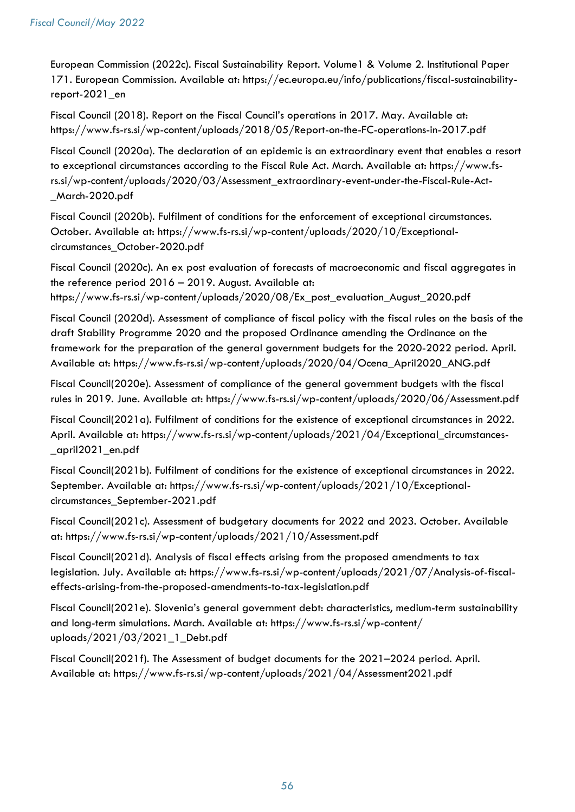European Commission (2022c). Fiscal Sustainability Report. Volume1 & Volume 2. Institutional Paper 171. European Commission. Available at: https://ec.europa.eu/info/publications/fiscal-sustainabilityreport-2021\_en

Fiscal Council (2018). Report on the Fiscal Council's operations in 2017. May. Available at: https://www.fs-rs.si/wp-content/uploads/2018/05/Report-on-the-FC-operations-in-2017.pdf

Fiscal Council (2020a). The declaration of an epidemic is an extraordinary event that enables a resort to exceptional circumstances according to the Fiscal Rule Act. March. Available at: https://www.fsrs.si/wp-content/uploads/2020/03/Assessment\_extraordinary-event-under-the-Fiscal-Rule-Act- \_March-2020.pdf

Fiscal Council (2020b). Fulfilment of conditions for the enforcement of exceptional circumstances. October. Available at: https://www.fs-rs.si/wp-content/uploads/2020/10/Exceptionalcircumstances\_October-2020.pdf

Fiscal Council (2020c). An ex post evaluation of forecasts of macroeconomic and fiscal aggregates in the reference period 2016 – 2019. August. Available at: https://www.fs-rs.si/wp-content/uploads/2020/08/Ex\_post\_evaluation\_August\_2020.pdf

Fiscal Council (2020d). Assessment of compliance of fiscal policy with the fiscal rules on the basis of the draft Stability Programme 2020 and the proposed Ordinance amending the Ordinance on the framework for the preparation of the general government budgets for the 2020-2022 period. April. Available at: https://www.fs-rs.si/wp-content/uploads/2020/04/Ocena\_April2020\_ANG.pdf

Fiscal Council(2020e). Assessment of compliance of the general government budgets with the fiscal rules in 2019. June. Available at: https://www.fs-rs.si/wp-content/uploads/2020/06/Assessment.pdf

Fiscal Council(2021a). Fulfilment of conditions for the existence of exceptional circumstances in 2022. April. Available at: https://www.fs-rs.si/wp-content/uploads/2021/04/Exceptional\_circumstances- \_april2021\_en.pdf

Fiscal Council(2021b). Fulfilment of conditions for the existence of exceptional circumstances in 2022. September. Available at: https://www.fs-rs.si/wp-content/uploads/2021/10/Exceptionalcircumstances\_September-2021.pdf

Fiscal Council(2021c). Assessment of budgetary documents for 2022 and 2023. October. Available at: https://www.fs-rs.si/wp-content/uploads/2021/10/Assessment.pdf

Fiscal Council(2021d). Analysis of fiscal effects arising from the proposed amendments to tax legislation. July. Available at: https://www.fs-rs.si/wp-content/uploads/2021/07/Analysis-of-fiscaleffects-arising-from-the-proposed-amendments-to-tax-legislation.pdf

Fiscal Council(2021e). Slovenia's general government debt: characteristics, medium-term sustainability and long-term simulations. March. Available at: https://www.fs-rs.si/wp-content/ uploads/2021/03/2021\_1\_Debt.pdf

Fiscal Council(2021f). The Assessment of budget documents for the 2021–2024 period. April. Available at: https://www.fs-rs.si/wp-content/uploads/2021/04/Assessment2021.pdf